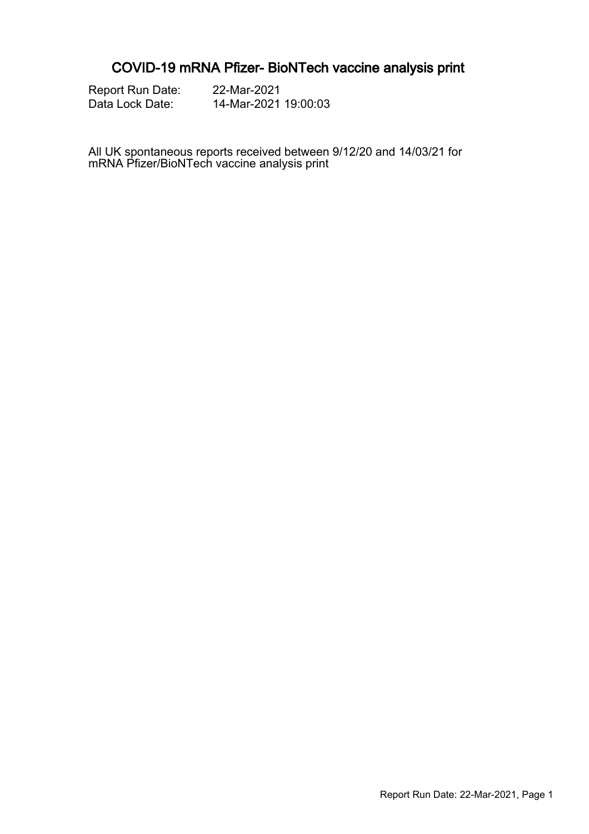### COVID-19 mRNA Pfizer- BioNTech vaccine analysis print

Report Run Date: 22-Mar-2021<br>Data Lock Date: 14-Mar-2021

14-Mar-2021 19:00:03

All UK spontaneous reports received between 9/12/20 and 14/03/21 for mRNA Pfizer/BioNTech vaccine analysis print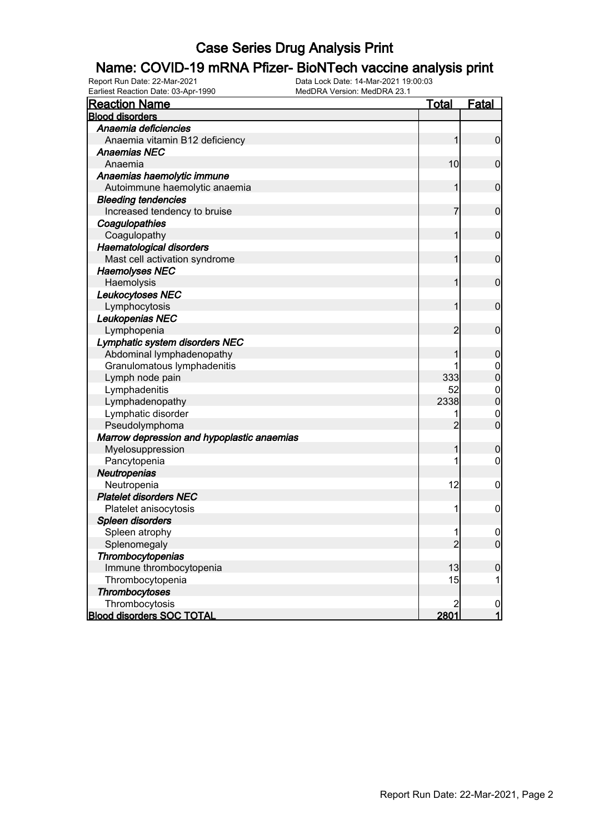## **Name: COVID-19 mRNA Pfizer- BioNTech vaccine analysis print**<br>Report Run Date: 22-Mar-2021

Earliest Reaction Date: 03-Apr-1990

| <b>Reaction Name</b>                       | <b>Total</b>   | <b>Fatal</b>     |
|--------------------------------------------|----------------|------------------|
| <b>Blood disorders</b>                     |                |                  |
| Anaemia deficiencies                       |                |                  |
| Anaemia vitamin B12 deficiency             | 1              | $\mathbf 0$      |
| <b>Anaemias NEC</b>                        |                |                  |
| Anaemia                                    | 10             | $\mathbf 0$      |
| Anaemias haemolytic immune                 |                |                  |
| Autoimmune haemolytic anaemia              | 1              | $\mathbf 0$      |
| <b>Bleeding tendencies</b>                 |                |                  |
| Increased tendency to bruise               | 7              | $\mathbf 0$      |
| Coagulopathies                             |                |                  |
| Coagulopathy                               | 1              | $\mathbf 0$      |
| <b>Haematological disorders</b>            |                |                  |
| Mast cell activation syndrome              | 1              | $\mathbf 0$      |
| <b>Haemolyses NEC</b>                      |                |                  |
| Haemolysis                                 | 1              | $\mathbf 0$      |
| Leukocytoses NEC                           |                |                  |
| Lymphocytosis                              | 1              | $\mathbf 0$      |
| Leukopenias NEC                            |                |                  |
| Lymphopenia                                | 2              | $\mathbf 0$      |
| Lymphatic system disorders NEC             |                |                  |
| Abdominal lymphadenopathy                  | 1              | $\mathbf 0$      |
| Granulomatous lymphadenitis                | 1              | $\mathbf 0$      |
| Lymph node pain                            | 333            | $\overline{0}$   |
| Lymphadenitis                              | 52             | $\mathbf{0}$     |
| Lymphadenopathy                            | 2338           | $\overline{0}$   |
| Lymphatic disorder                         | 1              | $\mathbf 0$      |
| Pseudolymphoma                             | $\overline{2}$ | $\overline{0}$   |
| Marrow depression and hypoplastic anaemias |                |                  |
| Myelosuppression                           | 1              | $\mathbf 0$      |
| Pancytopenia                               | 1              | $\mathbf 0$      |
| Neutropenias                               |                |                  |
| Neutropenia                                | 12             | $\boldsymbol{0}$ |
| <b>Platelet disorders NEC</b>              |                |                  |
| Platelet anisocytosis                      | 1              | $\boldsymbol{0}$ |
| Spleen disorders                           |                |                  |
| Spleen atrophy                             | 1              | $\boldsymbol{0}$ |
| Splenomegaly                               | $\overline{2}$ | 0                |
| Thrombocytopenias                          |                |                  |
| Immune thrombocytopenia                    | 13             | $\pmb{0}$        |
| Thrombocytopenia                           | 15             | 1                |
| <b>Thrombocytoses</b>                      |                |                  |
| Thrombocytosis                             | $\overline{2}$ | $\mathbf 0$      |
| <b>Blood disorders SOC TOTAL</b>           | 2801           | $\overline{1}$   |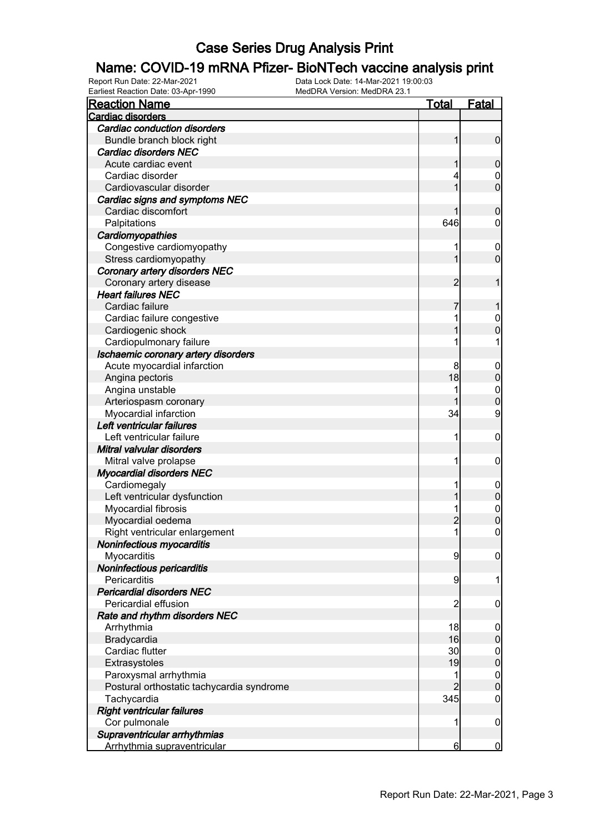## **Name: COVID-19 mRNA Pfizer- BioNTech vaccine analysis print**<br>Report Run Date: 22-Mar-2021

Earliest Reaction Date: 03-Apr-1990

| <b>Reaction Name</b>                      | <b>Total</b>   | Fatal            |
|-------------------------------------------|----------------|------------------|
| <b>Cardiac disorders</b>                  |                |                  |
| <b>Cardiac conduction disorders</b>       |                |                  |
| Bundle branch block right                 | 1              | $\mathbf 0$      |
| <b>Cardiac disorders NEC</b>              |                |                  |
| Acute cardiac event                       |                | $\mathbf 0$      |
| Cardiac disorder                          |                | 0                |
| Cardiovascular disorder                   |                | $\overline{0}$   |
| Cardiac signs and symptoms NEC            |                |                  |
| Cardiac discomfort                        |                | $\mathbf 0$      |
| Palpitations                              | 646            | 0                |
| Cardiomyopathies                          |                |                  |
| Congestive cardiomyopathy                 |                | 0                |
| Stress cardiomyopathy                     | 1              | $\overline{0}$   |
| <b>Coronary artery disorders NEC</b>      |                |                  |
| Coronary artery disease                   | $\overline{2}$ | 1                |
| <b>Heart failures NEC</b>                 |                |                  |
| Cardiac failure                           |                |                  |
| Cardiac failure congestive                |                | $\mathbf 0$      |
| Cardiogenic shock                         |                | $\overline{0}$   |
| Cardiopulmonary failure                   |                |                  |
| Ischaemic coronary artery disorders       |                |                  |
| Acute myocardial infarction               | 8              | $\mathbf 0$      |
| Angina pectoris                           | 18             | $\mathbf 0$      |
| Angina unstable                           |                | $\boldsymbol{0}$ |
| Arteriospasm coronary                     |                | $\overline{0}$   |
| Myocardial infarction                     | 34             | 9                |
| Left ventricular failures                 |                |                  |
| Left ventricular failure                  | 1              | $\mathbf 0$      |
| Mitral valvular disorders                 |                |                  |
| Mitral valve prolapse                     | 1              | $\mathbf 0$      |
| <b>Myocardial disorders NEC</b>           |                |                  |
| Cardiomegaly                              |                | $\mathbf 0$      |
| Left ventricular dysfunction              |                | $\mathbf 0$      |
| Myocardial fibrosis                       |                |                  |
| Myocardial oedema                         | $\overline{c}$ | $0\atop 0$       |
| Right ventricular enlargement             | $\mathbf{1}$   | $\mathbf 0$      |
| Noninfectious myocarditis                 |                |                  |
| Myocarditis                               | 9              | $\overline{0}$   |
| Noninfectious pericarditis                |                |                  |
| Pericarditis                              | 9              | 1                |
| <b>Pericardial disorders NEC</b>          |                |                  |
| Pericardial effusion                      | 2              | $\mathbf 0$      |
| Rate and rhythm disorders NEC             |                |                  |
| Arrhythmia                                | 18             | $\mathbf 0$      |
| Bradycardia                               | 16             | $\pmb{0}$        |
| Cardiac flutter                           | 30             | $\boldsymbol{0}$ |
| Extrasystoles                             | 19             | $\mathbf 0$      |
| Paroxysmal arrhythmia                     | 1              | $\boldsymbol{0}$ |
| Postural orthostatic tachycardia syndrome | $\overline{2}$ | $\overline{0}$   |
| Tachycardia                               | 345            | $\boldsymbol{0}$ |
| <b>Right ventricular failures</b>         |                |                  |
| Cor pulmonale                             | 1              | $\mathbf 0$      |
| Supraventricular arrhythmias              |                |                  |
| Arrhythmia supraventricular               | 6              | $\bf{0}$         |
|                                           |                |                  |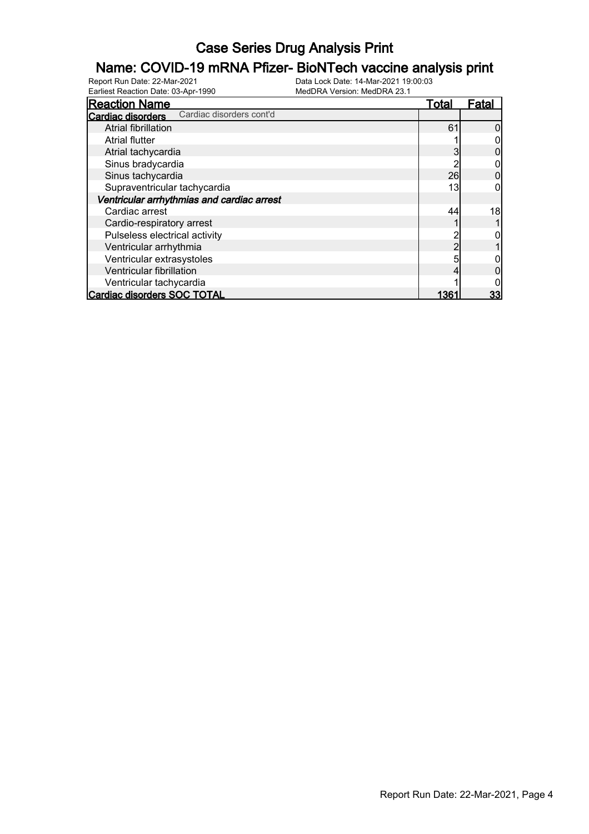## **Name: COVID-19 mRNA Pfizer- BioNTech vaccine analysis print**<br>Report Run Date: 22-Mar-2021

Earliest Reaction Date: 03-Apr-1990

| <b>Reaction Name</b>                          | Total | Fata      |
|-----------------------------------------------|-------|-----------|
| Cardiac disorders cont'd<br>Cardiac disorders |       |           |
| Atrial fibrillation                           | 61    |           |
| <b>Atrial flutter</b>                         |       |           |
| Atrial tachycardia                            |       |           |
| Sinus bradycardia                             |       |           |
| Sinus tachycardia                             | 26    |           |
| Supraventricular tachycardia                  | 13    |           |
| Ventricular arrhythmias and cardiac arrest    |       |           |
| Cardiac arrest                                | 44    | 18        |
| Cardio-respiratory arrest                     |       |           |
| Pulseless electrical activity                 |       |           |
| Ventricular arrhythmia                        |       |           |
| Ventricular extrasystoles                     |       |           |
| Ventricular fibrillation                      |       |           |
| Ventricular tachycardia                       |       |           |
| Cardiac disorders SOC TOTAL                   | 1361  | <u>33</u> |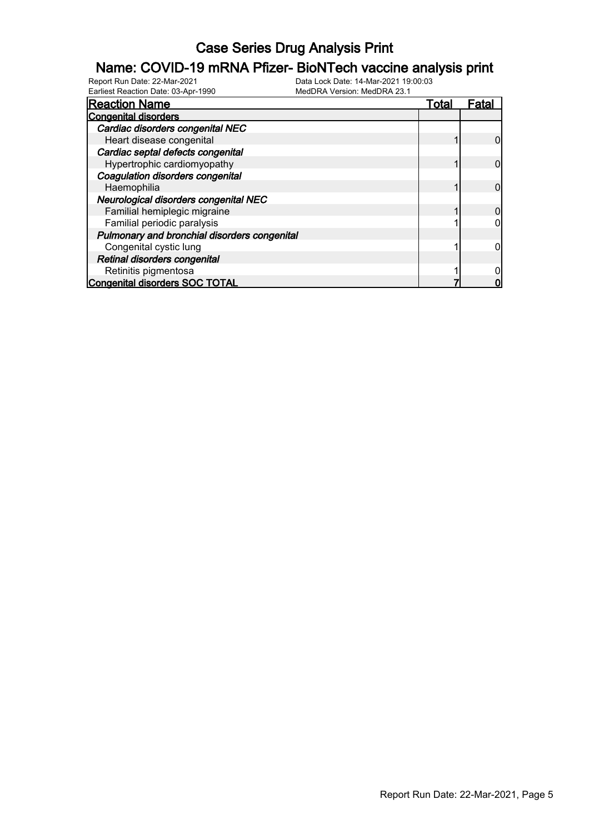## **Name: COVID-19 mRNA Pfizer- BioNTech vaccine analysis print**<br>Report Run Date: 22-Mar-2021

| Lancot Roadwon Dato. 00 Mpi 1000             |              |       |
|----------------------------------------------|--------------|-------|
| <b>Reaction Name</b>                         | <u>Total</u> | Fatal |
| <b>Congenital disorders</b>                  |              |       |
| Cardiac disorders congenital NEC             |              |       |
| Heart disease congenital                     |              |       |
| Cardiac septal defects congenital            |              |       |
| Hypertrophic cardiomyopathy                  |              |       |
| <b>Coagulation disorders congenital</b>      |              |       |
| Haemophilia                                  |              |       |
| Neurological disorders congenital NEC        |              |       |
| Familial hemiplegic migraine                 |              |       |
| Familial periodic paralysis                  |              |       |
| Pulmonary and bronchial disorders congenital |              |       |
| Congenital cystic lung                       |              |       |
| Retinal disorders congenital                 |              |       |
| Retinitis pigmentosa                         |              |       |
| <b>Congenital disorders SOC TOTAL</b>        |              |       |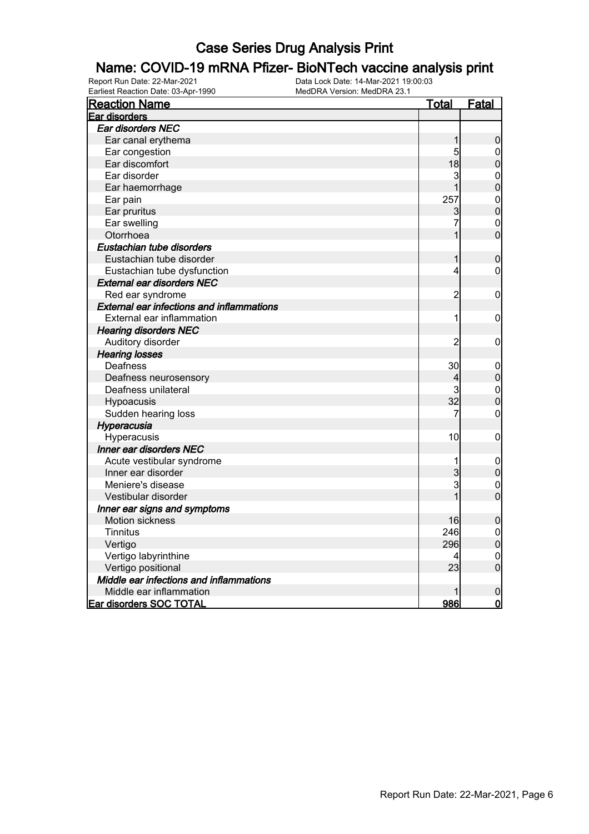#### Name: COVID-19 mRNA Pfizer- BioNTech vaccine analysis print

| <b>Reaction Name</b>                             | <u>Total</u>   | Fatal            |
|--------------------------------------------------|----------------|------------------|
| Ear disorders                                    |                |                  |
| Ear disorders NEC                                |                |                  |
| Ear canal erythema                               | 1              | 0                |
| Ear congestion                                   | 5              | $\mathbf{0}$     |
| Ear discomfort                                   | 18             | $\overline{0}$   |
| Ear disorder                                     | 3              | $\mathbf{0}$     |
| Ear haemorrhage                                  |                | $\overline{0}$   |
| Ear pain                                         | 257            | $\mathbf{0}$     |
| Ear pruritus                                     | 3              | $\overline{0}$   |
| Ear swelling                                     | 7              | $\overline{0}$   |
| Otorrhoea                                        |                | $\overline{0}$   |
| Eustachian tube disorders                        |                |                  |
| Eustachian tube disorder                         | 1              | $\mathbf 0$      |
| Eustachian tube dysfunction                      | 4              | $\mathbf 0$      |
| <b>External ear disorders NEC</b>                |                |                  |
| Red ear syndrome                                 | $\overline{c}$ | $\mathbf 0$      |
| <b>External ear infections and inflammations</b> |                |                  |
| External ear inflammation                        | 1              | $\mathbf 0$      |
| <b>Hearing disorders NEC</b>                     |                |                  |
| Auditory disorder                                | $\overline{c}$ | $\mathbf 0$      |
| <b>Hearing losses</b>                            |                |                  |
| Deafness                                         | 30             | $\mathbf 0$      |
| Deafness neurosensory                            | 4              | $\mathbf 0$      |
| Deafness unilateral                              | 3              | $\mathbf{0}$     |
| Hypoacusis                                       | 32             | $\overline{0}$   |
| Sudden hearing loss                              | 7              | $\mathbf 0$      |
| Hyperacusia                                      |                |                  |
| Hyperacusis                                      | 10             | $\boldsymbol{0}$ |
| <b>Inner ear disorders NEC</b>                   |                |                  |
| Acute vestibular syndrome                        |                | $\mathbf 0$      |
| Inner ear disorder                               | 3              | $\overline{0}$   |
| Meniere's disease                                | 3              | $\mathbf{0}$     |
| Vestibular disorder                              | 1              | $\overline{0}$   |
| Inner ear signs and symptoms                     |                |                  |
| <b>Motion sickness</b>                           | 16             | $\mathbf 0$      |
| <b>Tinnitus</b>                                  | 246            | $\mathbf{0}$     |
| Vertigo                                          | 296            | $\overline{0}$   |
| Vertigo labyrinthine                             | 4              | $\mathbf{0}$     |
| Vertigo positional                               | 23             | $\overline{0}$   |
| Middle ear infections and inflammations          |                |                  |
| Middle ear inflammation                          |                | $\mathbf 0$      |
| <b>Ear disorders SOC TOTAL</b>                   | 986            | $\overline{0}$   |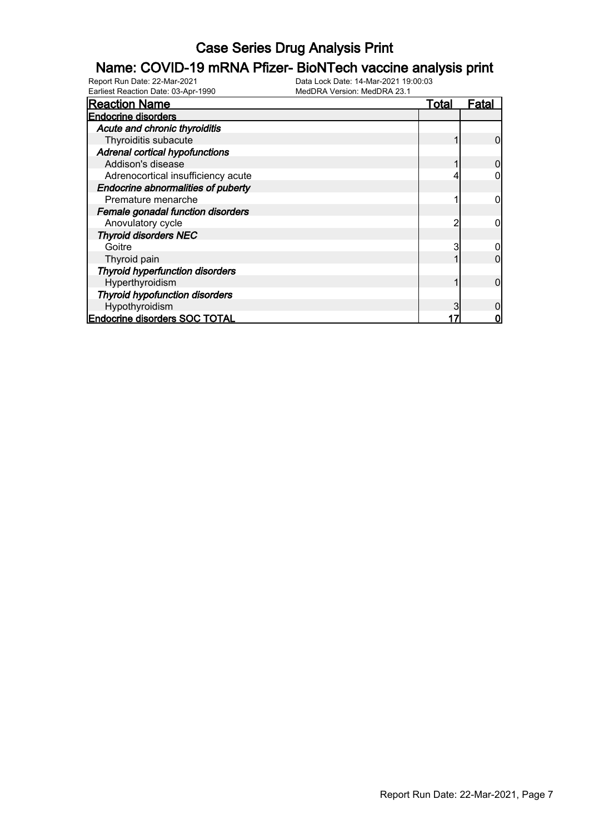#### Name: COVID-19 mRNA Pfizer- BioNTech vaccine analysis print

| <b>Reaction Name</b>                      | Total | Fatal |
|-------------------------------------------|-------|-------|
| <b>Endocrine disorders</b>                |       |       |
| Acute and chronic thyroiditis             |       |       |
| Thyroiditis subacute                      |       |       |
| <b>Adrenal cortical hypofunctions</b>     |       |       |
| Addison's disease                         |       |       |
| Adrenocortical insufficiency acute        |       |       |
| <b>Endocrine abnormalities of puberty</b> |       |       |
| Premature menarche                        |       |       |
| <b>Female gonadal function disorders</b>  |       |       |
| Anovulatory cycle                         |       |       |
| <b>Thyroid disorders NEC</b>              |       |       |
| Goitre                                    |       |       |
| Thyroid pain                              |       |       |
| <b>Thyroid hyperfunction disorders</b>    |       |       |
| Hyperthyroidism                           |       | 0     |
| <b>Thyroid hypofunction disorders</b>     |       |       |
| Hypothyroidism                            |       |       |
| <b>Endocrine disorders SOC TOTAL</b>      |       |       |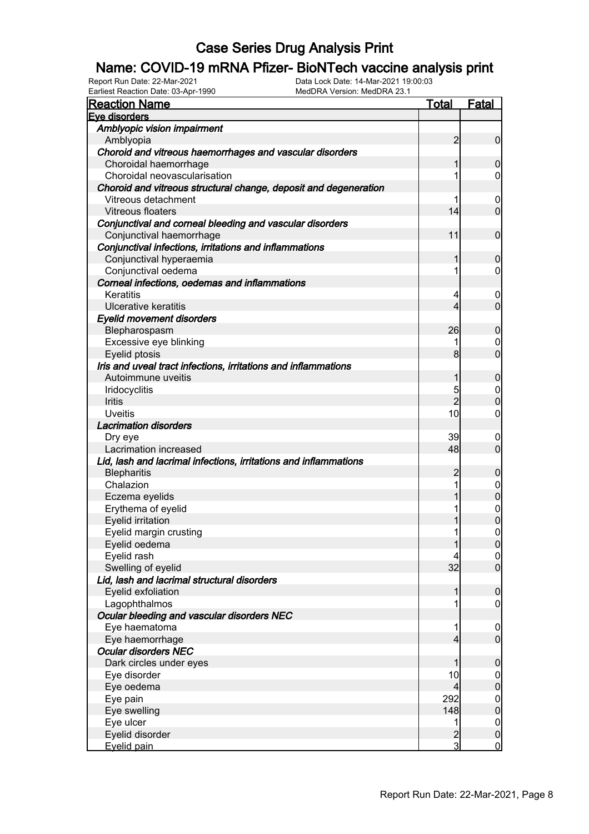## **Name: COVID-19 mRNA Pfizer- BioNTech vaccine analysis print**<br>Report Run Date: 22-Mar-2021

| Earliest Reaction Date: 03-Apr-1990<br>MedDRA Version: MedDRA 23.1 |                |                |
|--------------------------------------------------------------------|----------------|----------------|
| <b>Reaction Name</b>                                               | <u>Total</u>   | <u>Fatal</u>   |
| Eve disorders                                                      |                |                |
| Amblyopic vision impairment                                        |                |                |
| Amblyopia                                                          | 2              | 0              |
| Choroid and vitreous haemorrhages and vascular disorders           |                |                |
| Choroidal haemorrhage                                              |                | 0              |
| Choroidal neovascularisation                                       | 1              | 0              |
| Choroid and vitreous structural change, deposit and degeneration   |                |                |
| Vitreous detachment                                                | 1              | 0              |
| Vitreous floaters                                                  | 14             | $\mathbf 0$    |
| Conjunctival and corneal bleeding and vascular disorders           |                |                |
| Conjunctival haemorrhage                                           | 11             | $\mathbf 0$    |
| Conjunctival infections, irritations and inflammations             |                |                |
| Conjunctival hyperaemia                                            |                | 0              |
| Conjunctival oedema                                                | 1              | 0              |
| Corneal infections, oedemas and inflammations                      |                |                |
| Keratitis                                                          | 4              | 0              |
| <b>Ulcerative keratitis</b>                                        | 4              | $\mathbf 0$    |
| <b>Eyelid movement disorders</b>                                   |                |                |
| Blepharospasm                                                      | 26             | 0              |
| Excessive eye blinking                                             | 1              | 0              |
| Eyelid ptosis                                                      | 8              | 0              |
| Iris and uveal tract infections, irritations and inflammations     |                |                |
| Autoimmune uveitis                                                 | 1              | 0              |
|                                                                    | 5              |                |
| Iridocyclitis                                                      | $\overline{2}$ | 0              |
| <b>Iritis</b><br><b>Uveitis</b>                                    | 10             | 0              |
|                                                                    |                | 0              |
| <b>Lacrimation disorders</b>                                       |                |                |
| Dry eye                                                            | 39             | 0              |
| Lacrimation increased                                              | 48             | $\mathbf 0$    |
| Lid, lash and lacrimal infections, irritations and inflammations   |                |                |
| <b>Blepharitis</b>                                                 | 2              | 0              |
| Chalazion                                                          | 1              | 0              |
| Eczema eyelids                                                     |                | $\mathbf{0}$   |
| Erythema of eyelid                                                 | 1              | 0              |
| Eyelid irritation                                                  |                | 0              |
| Eyelid margin crusting                                             |                | $\mathsf{O}$   |
| Eyelid oedema                                                      |                | $\overline{0}$ |
| Eyelid rash                                                        |                | $\mathbf 0$    |
| Swelling of eyelid                                                 | 32             | $\overline{0}$ |
| Lid, lash and lacrimal structural disorders                        |                |                |
| Eyelid exfoliation                                                 |                | $\mathbf 0$    |
| Lagophthalmos                                                      | 1              | 0              |
| Ocular bleeding and vascular disorders NEC                         |                |                |
| Eye haematoma                                                      | 1              | $\overline{0}$ |
| Eye haemorrhage                                                    | 4              | $\mathbf 0$    |
| <b>Ocular disorders NEC</b>                                        |                |                |
| Dark circles under eyes                                            |                | 0              |
| Eye disorder                                                       | 10             | $\mathbf 0$    |
| Eye oedema                                                         | 4              | 0              |
| Eye pain                                                           | 292            | $\mathbf{0}$   |
| Eye swelling                                                       | 148            | $\mathbf{0}$   |
| Eye ulcer                                                          | 1              | $\mathbf 0$    |
| Eyelid disorder                                                    | $\overline{c}$ | $\mathbf 0$    |
| Eyelid pain                                                        | $\overline{3}$ | $\overline{0}$ |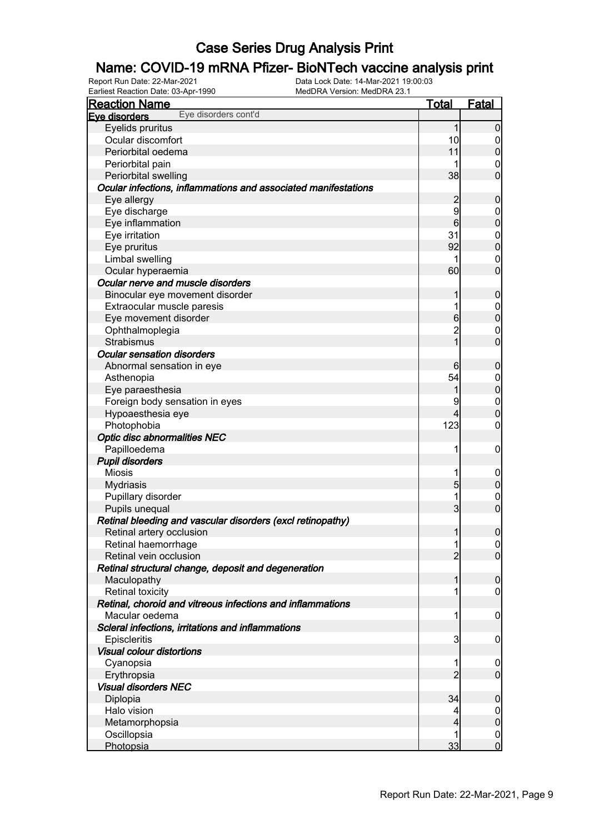#### Name: COVID-19 mRNA Pfizer- BioNTech vaccine analysis print

Earliest Reaction Date: 03-Apr-1990 MedDRA Version: MedDRA 23.1

| <b>Reaction Name</b>                                           | <u>Total</u>            | <u>Fatal</u>     |
|----------------------------------------------------------------|-------------------------|------------------|
| Eye disorders cont'd<br>Eve disorders                          |                         |                  |
| Eyelids pruritus                                               | 1                       | $\mathbf 0$      |
| Ocular discomfort                                              | 10                      | 0                |
| Periorbital oedema                                             | 11                      | $\pmb{0}$        |
| Periorbital pain                                               |                         | 0                |
| Periorbital swelling                                           | 38                      | $\mathbf 0$      |
| Ocular infections, inflammations and associated manifestations |                         |                  |
| Eye allergy                                                    | $\overline{c}$          | $\mathbf 0$      |
| Eye discharge                                                  | 9                       | $\overline{0}$   |
| Eye inflammation                                               | 6                       | $\pmb{0}$        |
| Eye irritation                                                 | 31                      | $\mathbf 0$      |
| Eye pruritus                                                   | 92                      | $\mathbf 0$      |
| Limbal swelling                                                | 1                       | $\mathbf 0$      |
| Ocular hyperaemia                                              | 60                      | $\overline{0}$   |
| Ocular nerve and muscle disorders                              |                         |                  |
| Binocular eye movement disorder                                | 1                       | $\boldsymbol{0}$ |
| Extraocular muscle paresis                                     | 1                       | $\mathbf 0$      |
| Eye movement disorder                                          | 6                       | $\mathbf 0$      |
| Ophthalmoplegia                                                | $\overline{c}$          | $\mathbf 0$      |
| <b>Strabismus</b>                                              | $\overline{1}$          | $\overline{0}$   |
| <b>Ocular sensation disorders</b>                              |                         |                  |
| Abnormal sensation in eye                                      | 6                       | $\boldsymbol{0}$ |
| Asthenopia                                                     | 54                      | $\mathbf 0$      |
| Eye paraesthesia                                               | 1                       | $\pmb{0}$        |
| Foreign body sensation in eyes                                 | 9                       | $\mathbf{0}$     |
| Hypoaesthesia eye                                              | $\overline{4}$          | $\mathbf 0$      |
| Photophobia                                                    | 123                     | $\mathbf 0$      |
| <b>Optic disc abnormalities NEC</b>                            |                         |                  |
| Papilloedema                                                   | 1                       | $\mathbf 0$      |
| <b>Pupil disorders</b>                                         |                         |                  |
| <b>Miosis</b>                                                  | 1                       | $\mathbf 0$      |
| <b>Mydriasis</b>                                               | 5                       | $\pmb{0}$        |
| Pupillary disorder                                             | 1                       | $\mathbf 0$      |
| Pupils unequal                                                 | 3                       | $\boldsymbol{0}$ |
| Retinal bleeding and vascular disorders (excl retinopathy)     |                         |                  |
| Retinal artery occlusion                                       | 1                       | $\boldsymbol{0}$ |
| Retinal haemorrhage                                            | 1                       | 0                |
| Retinal vein occlusion                                         | $\overline{2}$          | $\overline{0}$   |
| Retinal structural change, deposit and degeneration            |                         |                  |
| Maculopathy                                                    | 1                       | $\pmb{0}$        |
| <b>Retinal toxicity</b>                                        | 1                       | $\mathbf 0$      |
| Retinal, choroid and vitreous infections and inflammations     |                         |                  |
| Macular oedema                                                 | 1                       | $\mathbf 0$      |
| Scleral infections, irritations and inflammations              |                         |                  |
| Episcleritis                                                   | 3                       | $\mathbf 0$      |
| <b>Visual colour distortions</b>                               |                         |                  |
| Cyanopsia                                                      | 1                       | $\boldsymbol{0}$ |
| Erythropsia                                                    | $\overline{2}$          | $\overline{0}$   |
| <b>Visual disorders NEC</b>                                    |                         |                  |
| Diplopia                                                       | 34                      | $\boldsymbol{0}$ |
| Halo vision                                                    | 4                       | $\overline{0}$   |
| Metamorphopsia                                                 | $\overline{\mathbf{4}}$ | $\pmb{0}$        |
| Oscillopsia                                                    | 1                       | $\boldsymbol{0}$ |
| Photopsia                                                      | 33                      | $\mathbf 0$      |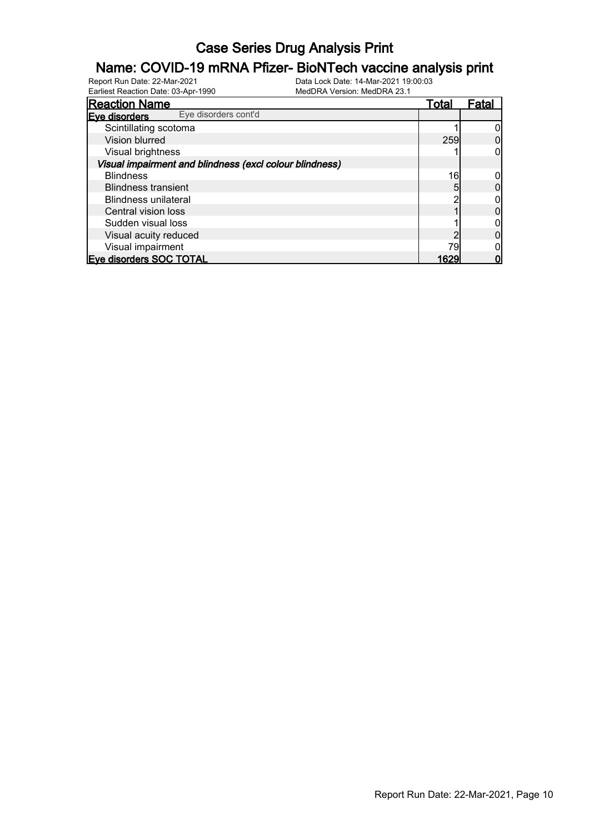## **Name: COVID-19 mRNA Pfizer- BioNTech vaccine analysis print**<br>Report Run Date: 22-Mar-2021

Earliest Reaction Date: 03-Apr-1990

| <b>Reaction Name</b>                                    | Total | Fatal |
|---------------------------------------------------------|-------|-------|
| Eye disorders cont'd<br>Eve disorders                   |       |       |
| Scintillating scotoma                                   |       |       |
| Vision blurred                                          | 259   |       |
| Visual brightness                                       |       |       |
| Visual impairment and blindness (excl colour blindness) |       |       |
| <b>Blindness</b>                                        | 16    |       |
| <b>Blindness transient</b>                              |       |       |
| <b>Blindness unilateral</b>                             |       |       |
| Central vision loss                                     |       |       |
| Sudden visual loss                                      |       |       |
| Visual acuity reduced                                   |       |       |
| Visual impairment                                       | 79    |       |
| <b>Eve disorders SOC TOTAL</b>                          | 1629  |       |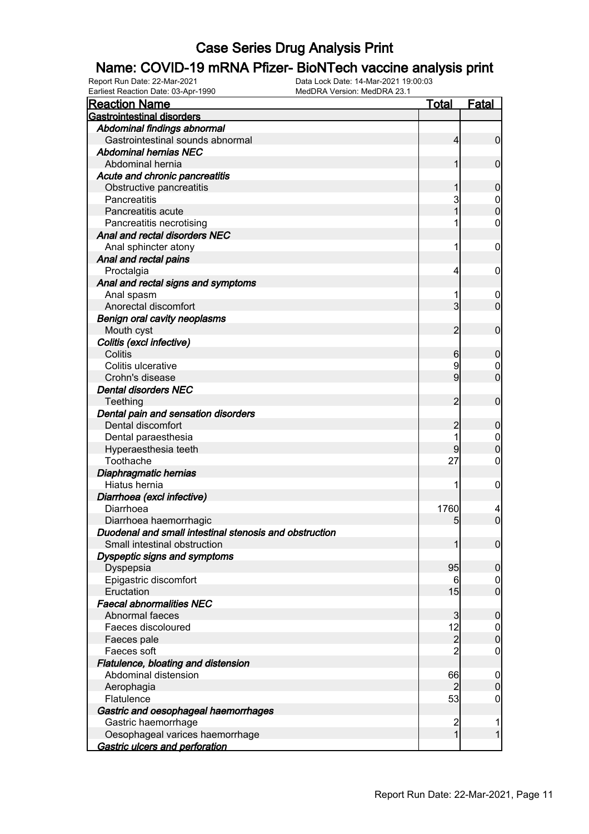#### Name: COVID-19 mRNA Pfizer- BioNTech vaccine analysis print

| Earliest Reaction Date: 03-Apr-1990                    | MedDRA Version: MedDRA 23.1 |                  |
|--------------------------------------------------------|-----------------------------|------------------|
| <u>Reaction Name</u>                                   | <u>Total</u>                | <b>Fatal</b>     |
| <b>Gastrointestinal disorders</b>                      |                             |                  |
| Abdominal findings abnormal                            |                             |                  |
| Gastrointestinal sounds abnormal                       | $\overline{4}$              | $\mathbf 0$      |
| <b>Abdominal hernias NEC</b>                           |                             |                  |
| Abdominal hernia                                       | 1                           | $\mathbf 0$      |
| Acute and chronic pancreatitis                         |                             |                  |
| Obstructive pancreatitis                               | 1                           | $\mathbf 0$      |
| Pancreatitis                                           | 3                           | $\overline{0}$   |
| Pancreatitis acute                                     | 1                           | $\mathbf 0$      |
| Pancreatitis necrotising                               | 1                           | $\boldsymbol{0}$ |
| Anal and rectal disorders NEC                          |                             |                  |
| Anal sphincter atony                                   | 1                           | $\mathbf 0$      |
| Anal and rectal pains                                  |                             |                  |
| Proctalgia                                             | 4                           | $\mathbf 0$      |
| Anal and rectal signs and symptoms                     |                             |                  |
| Anal spasm                                             | 1                           | $\boldsymbol{0}$ |
| Anorectal discomfort                                   | $\overline{3}$              | $\overline{0}$   |
| <b>Benign oral cavity neoplasms</b>                    |                             |                  |
| Mouth cyst                                             | $\overline{2}$              | $\boldsymbol{0}$ |
| Colitis (excl infective)                               |                             |                  |
| Colitis                                                | 6                           | $\mathbf 0$      |
| Colitis ulcerative                                     | 9                           | $\overline{0}$   |
| Crohn's disease                                        | 9                           | $\overline{0}$   |
| <b>Dental disorders NEC</b>                            |                             |                  |
| Teething                                               | $\overline{2}$              | $\boldsymbol{0}$ |
| Dental pain and sensation disorders                    |                             |                  |
| Dental discomfort                                      | $\overline{c}$              | $\mathbf 0$      |
| Dental paraesthesia                                    | 1                           | $\overline{0}$   |
| Hyperaesthesia teeth                                   | 9                           | $\boldsymbol{0}$ |
| Toothache                                              | 27                          | $\boldsymbol{0}$ |
| Diaphragmatic hernias                                  |                             |                  |
| Hiatus hernia                                          | 1                           | $\mathbf 0$      |
| Diarrhoea (excl infective)                             |                             |                  |
| Diarrhoea                                              | 1760                        | 4                |
| Diarrhoea haemorrhagic                                 | 5                           | $\overline{0}$   |
| Duodenal and small intestinal stenosis and obstruction |                             |                  |
| Small intestinal obstruction                           | 1                           | $\boldsymbol{0}$ |
| Dyspeptic signs and symptoms                           |                             |                  |
| Dyspepsia                                              | 95                          | $\mathbf 0$      |
| Epigastric discomfort                                  |                             | 0                |
| Eructation                                             | 15                          | $\mathbf 0$      |
| <b>Faecal abnormalities NEC</b>                        |                             |                  |
| Abnormal faeces                                        | 3                           | $\mathbf 0$      |
| Faeces discoloured                                     | 12                          | 0                |
| Faeces pale                                            | $\overline{c}$              | $\mathbf 0$      |
| Faeces soft                                            | $\overline{2}$              | 0                |
|                                                        |                             |                  |
| Flatulence, bloating and distension                    |                             |                  |
| Abdominal distension                                   | 66                          | $\mathbf 0$      |
| Aerophagia                                             |                             | $\mathbf 0$      |
| Flatulence                                             | 53                          | 0                |
| Gastric and oesophageal haemorrhages                   |                             |                  |
| Gastric haemorrhage                                    | 2                           | 1                |
| Oesophageal varices haemorrhage                        | 1                           | 1                |
| Gastric ulcers and perforation                         |                             |                  |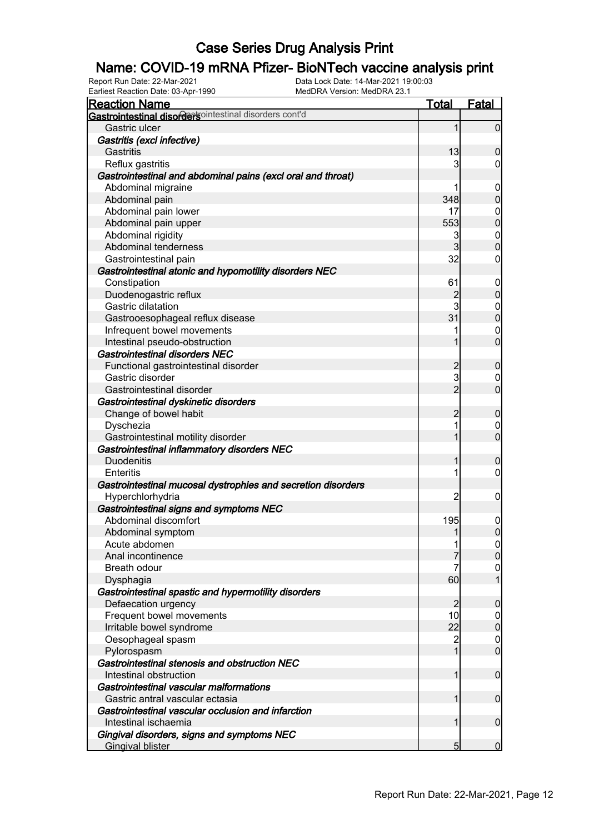## **Name: COVID-19 mRNA Pfizer- BioNTech vaccine analysis print**<br>Report Run Date: 22-Mar-2021

Earliest Reaction Date: 03-Apr-1990

| <b>Reaction Name</b>                                         | <u>Total</u>    | <b>Fatal</b>     |
|--------------------------------------------------------------|-----------------|------------------|
| Gastrointestinal disordersointestinal disorders cont'd       |                 |                  |
| Gastric ulcer                                                | 1               | $\overline{0}$   |
| Gastritis (excl infective)                                   |                 |                  |
| Gastritis                                                    | 13              | $\mathbf 0$      |
| Reflux gastritis                                             | 3               | 0                |
| Gastrointestinal and abdominal pains (excl oral and throat)  |                 |                  |
| Abdominal migraine                                           | 1               | 0                |
| Abdominal pain                                               | 348             | $\mathbf 0$      |
| Abdominal pain lower                                         | 17              | 0                |
| Abdominal pain upper                                         | 553             | $\mathbf 0$      |
| Abdominal rigidity                                           | 3               | $\mathbf 0$      |
| Abdominal tenderness                                         | 3               | $\overline{0}$   |
| Gastrointestinal pain                                        | 32              | $\mathbf 0$      |
| Gastrointestinal atonic and hypomotility disorders NEC       |                 |                  |
| Constipation                                                 | 61              | $\mathbf 0$      |
| Duodenogastric reflux                                        | $\overline{c}$  | $\mathbf 0$      |
| Gastric dilatation                                           | 3               | $\mathbf 0$      |
| Gastrooesophageal reflux disease                             | 31              | $\overline{0}$   |
| Infrequent bowel movements                                   | 1               | $\boldsymbol{0}$ |
| Intestinal pseudo-obstruction                                | 1               | $\overline{0}$   |
| Gastrointestinal disorders NEC                               |                 |                  |
| Functional gastrointestinal disorder                         | $\overline{c}$  | 0                |
| Gastric disorder                                             | $\mathbf{3}$    | $\mathbf 0$      |
| Gastrointestinal disorder                                    | $\overline{2}$  | $\overline{0}$   |
| Gastrointestinal dyskinetic disorders                        |                 |                  |
| Change of bowel habit                                        | $\overline{c}$  | $\mathbf 0$      |
| Dyschezia                                                    | 1               | $\mathbf 0$      |
| Gastrointestinal motility disorder                           | 1               | $\overline{0}$   |
| Gastrointestinal inflammatory disorders NEC                  |                 |                  |
| <b>Duodenitis</b>                                            | 1               | $\mathbf 0$      |
| <b>Enteritis</b>                                             | 1               | $\mathbf 0$      |
| Gastrointestinal mucosal dystrophies and secretion disorders |                 |                  |
| Hyperchlorhydria                                             | $\overline{c}$  | $\mathbf 0$      |
| Gastrointestinal signs and symptoms NEC                      |                 |                  |
| Abdominal discomfort                                         | 195             | 0                |
| Abdominal symptom                                            | 1               | $\overline{0}$   |
| Acute abdomen                                                | 11              | $\overline{0}$   |
| Anal incontinence                                            | 7               | $\overline{0}$   |
| Breath odour                                                 | 7               | $\mathbf 0$      |
| Dysphagia                                                    | 60              | $\overline{1}$   |
| Gastrointestinal spastic and hypermotility disorders         |                 |                  |
| Defaecation urgency                                          | $\overline{2}$  | $\mathbf 0$      |
| Frequent bowel movements                                     | 10 <sup>1</sup> | $\overline{0}$   |
| Irritable bowel syndrome                                     | 22              | $\mathbf 0$      |
| Oesophageal spasm                                            | $\overline{c}$  | $\mathbf 0$      |
| Pylorospasm                                                  | $\mathbf{1}$    | $\overline{0}$   |
| Gastrointestinal stenosis and obstruction NEC                |                 |                  |
| Intestinal obstruction                                       | 1               | $\mathbf 0$      |
| Gastrointestinal vascular malformations                      |                 |                  |
| Gastric antral vascular ectasia                              | 1               | $\mathbf 0$      |
| Gastrointestinal vascular occlusion and infarction           |                 |                  |
| Intestinal ischaemia                                         | 1               | $\mathbf 0$      |
| Gingival disorders, signs and symptoms NEC                   |                 |                  |
| <b>Gingival blister</b>                                      | $5\overline{)}$ | $\overline{0}$   |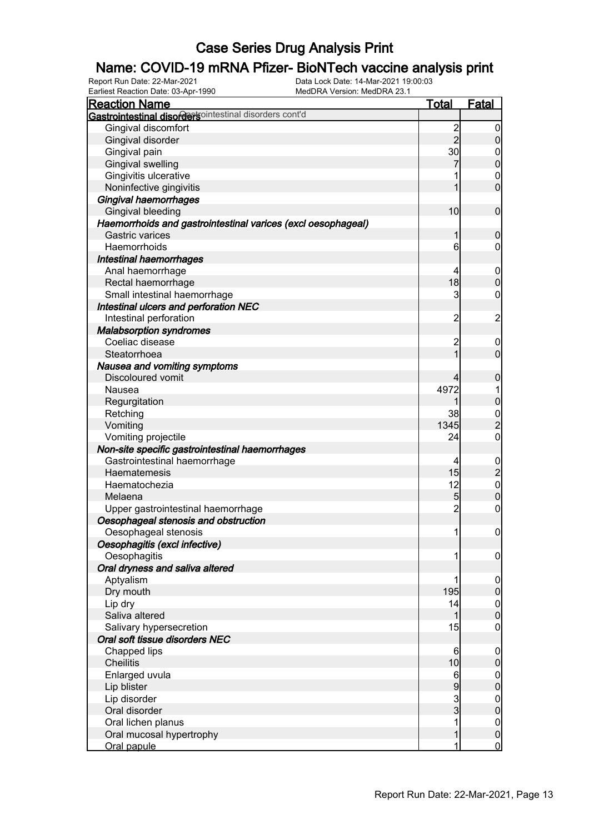#### Name: COVID-19 mRNA Pfizer- BioNTech vaccine analysis print

Earliest Reaction Date: 03-Apr-1990 MedDRA Version: MedDRA 23.1

| <b>Reaction Name</b>                                         | <u>Total</u>    | <b>Fatal</b>                                    |
|--------------------------------------------------------------|-----------------|-------------------------------------------------|
| Gastrointestinal disordertsointestinal disorders cont'd      |                 |                                                 |
| Gingival discomfort                                          | $\overline{c}$  | $\boldsymbol{0}$                                |
| Gingival disorder                                            | $\overline{2}$  | $\overline{0}$                                  |
| Gingival pain                                                | 30 <sup>2</sup> |                                                 |
| Gingival swelling                                            |                 | $\begin{matrix} 0 \\ 0 \end{matrix}$            |
| Gingivitis ulcerative                                        |                 | $\mathbf{0}$                                    |
| Noninfective gingivitis                                      | 1               | $\overline{0}$                                  |
| Gingival haemorrhages                                        |                 |                                                 |
| <b>Gingival bleeding</b>                                     | 10              | $\mathbf 0$                                     |
| Haemorrhoids and gastrointestinal varices (excl oesophageal) |                 |                                                 |
| Gastric varices                                              | 1               | $\mathbf 0$                                     |
| Haemorrhoids                                                 | $6 \overline{}$ | $\mathbf 0$                                     |
| <b>Intestinal haemorrhages</b>                               |                 |                                                 |
| Anal haemorrhage                                             | 4               | $\boldsymbol{0}$                                |
| Rectal haemorrhage                                           | 18              | $\overline{0}$                                  |
| Small intestinal haemorrhage                                 | 3               | $\mathbf 0$                                     |
| Intestinal ulcers and perforation NEC                        |                 |                                                 |
| Intestinal perforation                                       | $\overline{2}$  | $\overline{c}$                                  |
| <b>Malabsorption syndromes</b>                               |                 |                                                 |
| Coeliac disease                                              | $\overline{c}$  | $\mathbf 0$                                     |
| Steatorrhoea                                                 | $\overline{1}$  | $\overline{0}$                                  |
| Nausea and vomiting symptoms                                 |                 |                                                 |
| Discoloured vomit                                            |                 | 0                                               |
| Nausea                                                       | 4972            | 1                                               |
| Regurgitation                                                | 1               | $\overline{0}$                                  |
| Retching                                                     | 38              |                                                 |
| Vomiting                                                     | 1345            | $\frac{0}{2}$                                   |
| Vomiting projectile                                          | 24              | $\mathbf 0$                                     |
| Non-site specific gastrointestinal haemorrhages              |                 |                                                 |
| Gastrointestinal haemorrhage                                 | 4               |                                                 |
| Haematemesis                                                 | 15              |                                                 |
| Haematochezia                                                | 12              | $\begin{array}{c} 0 \\ 2 \\ 0 \\ 0 \end{array}$ |
| Melaena                                                      | 5               |                                                 |
| Upper gastrointestinal haemorrhage                           | $\overline{2}$  | $\pmb{0}$                                       |
| Oesophageal stenosis and obstruction                         |                 |                                                 |
| Oesophageal stenosis                                         | 1               | $\boldsymbol{0}$                                |
| Oesophagitis (excl infective)                                |                 |                                                 |
| Oesophagitis                                                 | 1               | $\overline{0}$                                  |
| Oral dryness and saliva altered                              |                 |                                                 |
| Aptyalism                                                    | 1               | $\mathbf 0$                                     |
| Dry mouth                                                    | 195             | $\pmb{0}$                                       |
| Lip dry                                                      | 14              |                                                 |
| Saliva altered                                               | 1               | $\begin{matrix} 0 \\ 0 \end{matrix}$            |
| Salivary hypersecretion                                      | 15              | $\mathbf 0$                                     |
| Oral soft tissue disorders NEC                               |                 |                                                 |
| Chapped lips                                                 | 6               | $\mathbf 0$                                     |
| <b>Cheilitis</b>                                             | 10              | $\boldsymbol{0}$                                |
| Enlarged uvula                                               | $6 \overline{}$ | $\boldsymbol{0}$                                |
| Lip blister                                                  |                 | $\pmb{0}$                                       |
| Lip disorder                                                 |                 | $\boldsymbol{0}$                                |
| Oral disorder                                                | $9$<br>3<br>3   | $\pmb{0}$                                       |
| Oral lichen planus                                           | 1               | $\mathbf 0$                                     |
| Oral mucosal hypertrophy                                     | $\mathbf{1}$    | $\pmb{0}$                                       |
| Oral papule                                                  | 1               | $\overline{0}$                                  |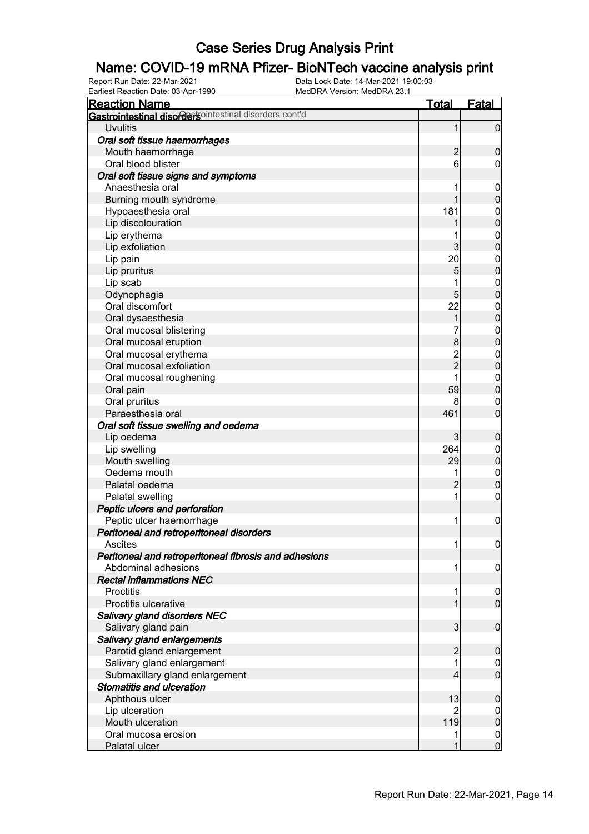## **Name: COVID-19 mRNA Pfizer- BioNTech vaccine analysis print**<br>Report Run Date: 22-Mar-2021

Earliest Reaction Date: 03-Apr-1990

| <b>Daio:</b> 00 <i>i</i> ipi 1000<br><b>Reaction Name</b> | <b>Total</b>             | Fatal                           |
|-----------------------------------------------------------|--------------------------|---------------------------------|
| Gastrointestinal disordersointestinal disorders cont'd    |                          |                                 |
| <b>Uvulitis</b>                                           | 1                        | $\mathbf 0$                     |
| Oral soft tissue haemorrhages                             |                          |                                 |
| Mouth haemorrhage                                         | $\overline{2}$           | $\mathbf 0$                     |
| Oral blood blister                                        | 6                        | 0                               |
| Oral soft tissue signs and symptoms                       |                          |                                 |
| Anaesthesia oral                                          |                          | $\overline{0}$                  |
| Burning mouth syndrome                                    |                          | $\boldsymbol{0}$                |
| Hypoaesthesia oral                                        | 181                      | $\mathbf 0$                     |
| Lip discolouration                                        |                          | $\mathbf 0$                     |
| Lip erythema                                              |                          | $\boldsymbol{0}$                |
| Lip exfoliation                                           | 3                        | $\mathbf 0$                     |
| Lip pain                                                  | 20                       |                                 |
|                                                           | 5                        | $\boldsymbol{0}$<br>$\mathbf 0$ |
| Lip pruritus<br>Lip scab                                  |                          |                                 |
|                                                           |                          | $\boldsymbol{0}$<br>$\mathbf 0$ |
| Odynophagia                                               | 5                        |                                 |
| Oral discomfort                                           | 22                       | $\mathbf 0$                     |
| Oral dysaesthesia                                         |                          | $\mathbf 0$                     |
| Oral mucosal blistering                                   |                          | $\boldsymbol{0}$                |
| Oral mucosal eruption                                     | 8                        | $\mathbf 0$                     |
| Oral mucosal erythema                                     | $\overline{c}$<br>–<br>2 | $\mathbf{0}$                    |
| Oral mucosal exfoliation                                  |                          | $\mathbf 0$                     |
| Oral mucosal roughening                                   |                          | $\mathbf 0$                     |
| Oral pain                                                 | 59                       | $\boldsymbol{0}$                |
| Oral pruritus                                             |                          | 0                               |
| Paraesthesia oral                                         | 461                      | $\overline{0}$                  |
| Oral soft tissue swelling and oedema                      |                          |                                 |
| Lip oedema                                                | 3                        | $\mathbf 0$                     |
| Lip swelling                                              | 264                      | $\mathbf 0$                     |
| Mouth swelling                                            | 29                       | $\mathbf 0$                     |
| Oedema mouth                                              |                          | $\boldsymbol{0}$                |
| Palatal oedema                                            | $\overline{2}$           | $\boldsymbol{0}$                |
| Palatal swelling                                          | 1                        | 0                               |
| Peptic ulcers and perforation                             |                          |                                 |
| Peptic ulcer haemorrhage                                  | 1                        | $\mathbf 0$                     |
| Peritoneal and retroperitoneal disorders                  |                          |                                 |
| <b>Ascites</b>                                            | 1                        | $\overline{0}$                  |
| Peritoneal and retroperitoneal fibrosis and adhesions     |                          |                                 |
| Abdominal adhesions                                       | 1                        | $\mathbf 0$                     |
| <b>Rectal inflammations NEC</b>                           |                          |                                 |
| Proctitis                                                 |                          | $\overline{0}$                  |
| Proctitis ulcerative                                      |                          | $\overline{0}$                  |
| Salivary gland disorders NEC                              |                          |                                 |
| Salivary gland pain                                       | 3                        | $\mathbf 0$                     |
| Salivary gland enlargements                               |                          |                                 |
| Parotid gland enlargement                                 | $\overline{c}$           | $\boldsymbol{0}$                |
| Salivary gland enlargement                                |                          | 0                               |
| Submaxillary gland enlargement                            | 4                        | $\overline{0}$                  |
| <b>Stomatitis and ulceration</b>                          |                          |                                 |
| Aphthous ulcer                                            | 13                       | $\boldsymbol{0}$                |
| Lip ulceration                                            | 2                        | 0                               |
| Mouth ulceration                                          | 119                      | $\mathbf 0$                     |
| Oral mucosa erosion                                       | 1                        | $\mathbf 0$                     |
| Palatal ulcer                                             | 1                        | $\overline{0}$                  |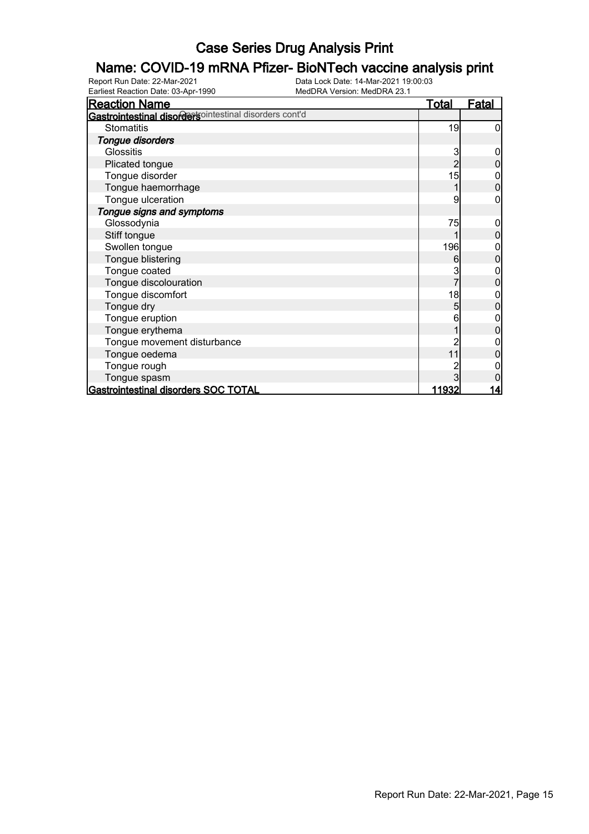## **Name: COVID-19 mRNA Pfizer- BioNTech vaccine analysis print**<br>Report Run Date: 22-Mar-2021

Earliest Reaction Date: 03-Apr-1990

| <b>Reaction Name</b>                                   | <u>Total</u> | <u>Fatal</u> |
|--------------------------------------------------------|--------------|--------------|
| Gastrointestinal disordersointestinal disorders cont'd |              |              |
| <b>Stomatitis</b>                                      | 19           | 0            |
| <b>Tongue disorders</b>                                |              |              |
| <b>Glossitis</b>                                       | 3            |              |
| Plicated tongue                                        |              |              |
| Tongue disorder                                        | 15           | 0            |
| Tongue haemorrhage                                     |              | 0            |
| Tongue ulceration                                      | 9            | 0            |
| Tongue signs and symptoms                              |              |              |
| Glossodynia                                            | 75           | 0            |
| Stiff tongue                                           |              | 0            |
| Swollen tongue                                         | 196          |              |
| Tongue blistering                                      | 6            | 0            |
| Tongue coated                                          |              |              |
| Tongue discolouration                                  |              |              |
| Tongue discomfort                                      | 18           |              |
| Tongue dry                                             | 5            |              |
| Tongue eruption                                        |              |              |
| Tongue erythema                                        |              |              |
| Tongue movement disturbance                            |              |              |
| Tongue oedema                                          | 11           |              |
| Tongue rough                                           |              |              |
| Tongue spasm                                           |              |              |
| Gastrointestinal disorders SOC TOTAL                   | 11932        | 14           |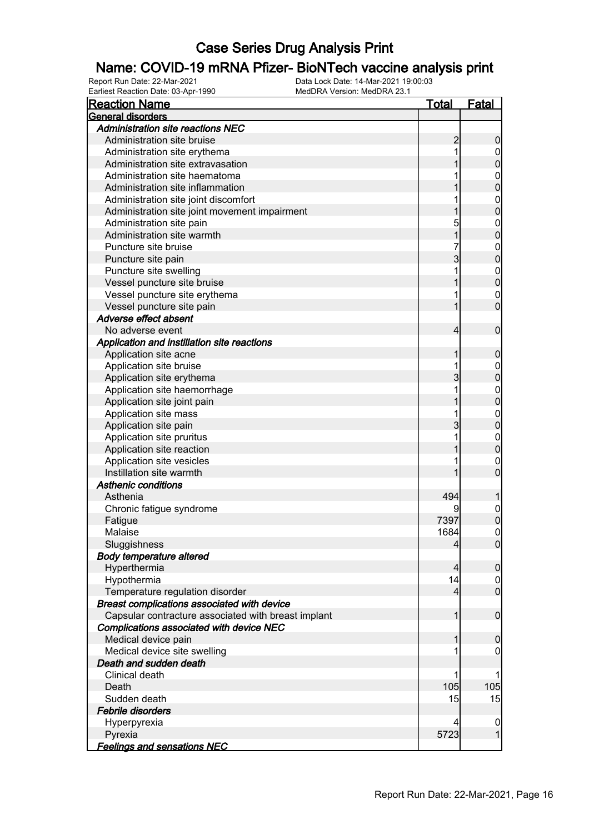#### Name: COVID-19 mRNA Pfizer- BioNTech vaccine analysis print

| <b>Reaction Name</b>                                | <u>Total</u>    | <b>Fatal</b>     |
|-----------------------------------------------------|-----------------|------------------|
| General disorders                                   |                 |                  |
| <b>Administration site reactions NEC</b>            |                 |                  |
| Administration site bruise                          | $\overline{c}$  | $\boldsymbol{0}$ |
| Administration site erythema                        | 1               | $\boldsymbol{0}$ |
| Administration site extravasation                   |                 | $\mathbf 0$      |
| Administration site haematoma                       | 1               | $\mathbf{0}$     |
| Administration site inflammation                    | 1               | $\overline{0}$   |
| Administration site joint discomfort                | 1               | $\mathbf{0}$     |
| Administration site joint movement impairment       | 1               | $\overline{0}$   |
| Administration site pain                            | 5               | $\mathbf{0}$     |
| Administration site warmth                          | $\overline{1}$  | $\overline{0}$   |
| Puncture site bruise                                | 7               | $\mathbf{0}$     |
| Puncture site pain                                  | 3               | $\overline{0}$   |
| Puncture site swelling                              | 1               |                  |
| Vessel puncture site bruise                         | 1               | $0\atop 0$       |
| Vessel puncture site erythema                       | 1               | $\mathbf{0}$     |
| Vessel puncture site pain                           | 1               | $\overline{0}$   |
| Adverse effect absent                               |                 |                  |
| No adverse event                                    | $\overline{4}$  | $\mathbf 0$      |
| Application and instillation site reactions         |                 |                  |
| Application site acne                               | 1               | $\mathbf 0$      |
| Application site bruise                             | 1               | $\mathbf{0}$     |
| Application site erythema                           | 3               | $\mathbf 0$      |
| Application site haemorrhage                        | 1               | $\mathbf{0}$     |
| Application site joint pain                         | 1               | $\mathbf 0$      |
| Application site mass                               | 1               | $\mathbf{0}$     |
| Application site pain                               | 3               | $\mathbf 0$      |
| Application site pruritus                           | 1               | $\mathbf{0}$     |
| Application site reaction                           |                 | $\mathbf 0$      |
| Application site vesicles                           | 1               | $\mathbf{0}$     |
| Instillation site warmth                            | 1               | $\overline{0}$   |
| <b>Asthenic conditions</b>                          |                 |                  |
| Asthenia                                            | 494             | 1                |
| Chronic fatigue syndrome                            |                 | $\mathbf{0}$     |
| Fatigue                                             | 7397            | $\overline{0}$   |
| Malaise                                             | 1684            | $\mathbf 0$      |
| Sluggishness                                        | $\vert 4 \vert$ | 0                |
| <b>Body temperature altered</b>                     |                 |                  |
| Hyperthermia                                        | 4               | $\mathbf 0$      |
| Hypothermia                                         | 14              | $\overline{0}$   |
| Temperature regulation disorder                     | 4               | $\overline{0}$   |
| Breast complications associated with device         |                 |                  |
| Capsular contracture associated with breast implant | 1               | $\mathbf 0$      |
| Complications associated with device NEC            |                 |                  |
| Medical device pain                                 | 1               | $\mathbf 0$      |
| Medical device site swelling                        | 1               | 0                |
| Death and sudden death                              |                 |                  |
| Clinical death                                      | 1               |                  |
| Death                                               | 105             | 105              |
| Sudden death                                        | 15              | 15               |
| <b>Febrile disorders</b>                            |                 |                  |
| Hyperpyrexia                                        | 4               | 0                |
| Pyrexia                                             | 5723            | $\overline{1}$   |
| <b>Feelings and sensations NEC</b>                  |                 |                  |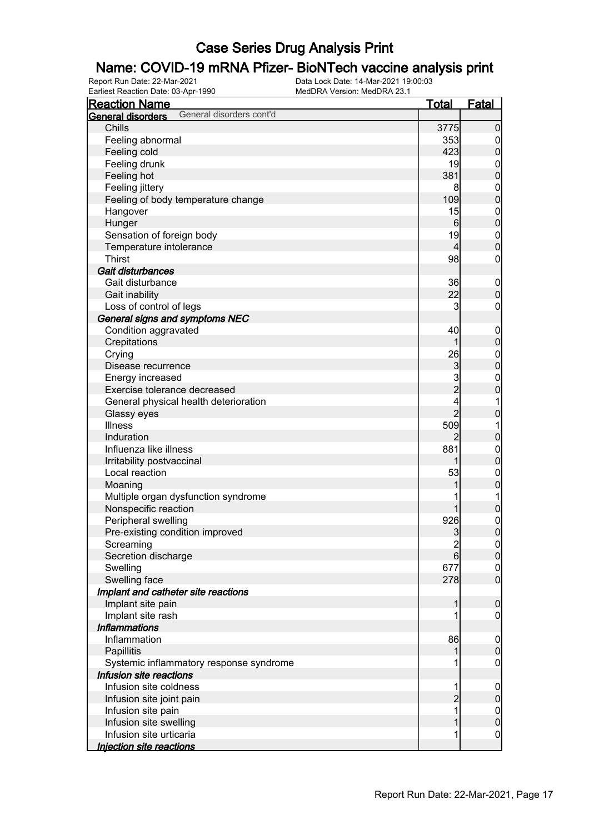#### Name: COVID-19 mRNA Pfizer- BioNTech vaccine analysis print

| <b>Reaction Name</b>                                 | <b>Total</b>        | <b>Fatal</b>     |
|------------------------------------------------------|---------------------|------------------|
| General disorders cont'd<br><b>General disorders</b> |                     |                  |
| Chills                                               | 3775                | $\boldsymbol{0}$ |
| Feeling abnormal                                     | 353                 | $\overline{0}$   |
| Feeling cold                                         | 423                 | $\pmb{0}$        |
| Feeling drunk                                        | 19                  | $\mathbf 0$      |
| Feeling hot                                          | 381                 | $\bf{0}$         |
| Feeling jittery                                      | 8                   | $\boldsymbol{0}$ |
| Feeling of body temperature change                   | 109                 | $\mathbf 0$      |
| Hangover                                             | 15                  | $\mathbf 0$      |
| Hunger                                               | $6 \overline{6}$    | $\mathbf 0$      |
| Sensation of foreign body                            | 19                  | $\boldsymbol{0}$ |
| Temperature intolerance                              | $\overline{4}$      | $\mathbf 0$      |
| <b>Thirst</b>                                        | 98                  | $\mathbf 0$      |
| Gait disturbances                                    |                     |                  |
| Gait disturbance                                     | 36                  | $\mathbf 0$      |
| Gait inability                                       | 22                  | $\mathbf 0$      |
| Loss of control of legs                              | 3                   | $\mathbf 0$      |
| General signs and symptoms NEC                       |                     |                  |
| Condition aggravated                                 | 40                  | $\mathbf 0$      |
| Crepitations                                         | 1                   | $\pmb{0}$        |
|                                                      | 26                  | $\overline{0}$   |
| Crying<br>Disease recurrence                         |                     | $\mathbf 0$      |
|                                                      | $\mathbf{3}$        |                  |
| Energy increased                                     | $\frac{3}{2}$       | $\mathbf{0}$     |
| Exercise tolerance decreased                         |                     | $\overline{0}$   |
| General physical health deterioration                | 4<br>$\overline{2}$ | 1                |
| Glassy eyes                                          |                     | $\mathbf 0$      |
| <b>Illness</b>                                       | 509                 | 1                |
| Induration                                           | 2                   | $\mathbf 0$      |
| Influenza like illness                               | 881                 | $\mathbf{0}$     |
| Irritability postvaccinal                            | 1                   | $\mathbf 0$      |
| Local reaction                                       | 53                  | $\mathbf{0}$     |
| Moaning                                              |                     | $\bf{0}$         |
| Multiple organ dysfunction syndrome                  |                     | 1                |
| Nonspecific reaction                                 | 1                   | $\pmb{0}$        |
| Peripheral swelling                                  | 926                 | $\mathbf{0}$     |
| Pre-existing condition improved                      | 3                   | $\overline{0}$   |
| Screaming                                            | $\frac{2}{6}$       | $\overline{0}$   |
| Secretion discharge                                  |                     | $\overline{0}$   |
| Swelling                                             | 677                 | $\mathbf 0$      |
| Swelling face                                        | 278                 | $\overline{0}$   |
| Implant and catheter site reactions                  |                     |                  |
| Implant site pain                                    | 1                   | $\boldsymbol{0}$ |
| Implant site rash                                    |                     | 0                |
| <b>Inflammations</b>                                 |                     |                  |
| Inflammation                                         | 86                  | $\mathbf 0$      |
| Papillitis                                           | 1                   | $\pmb{0}$        |
| Systemic inflammatory response syndrome              |                     | $\mathbf 0$      |
| Infusion site reactions                              |                     |                  |
| Infusion site coldness                               | 1                   | $\mathbf 0$      |
| Infusion site joint pain                             | $\overline{c}$      | $\pmb{0}$        |
| Infusion site pain                                   | 1                   | $\overline{0}$   |
| Infusion site swelling                               | 1                   | $\mathbf 0$      |
| Infusion site urticaria                              | 1                   | $\boldsymbol{0}$ |
| <b>Injection site reactions</b>                      |                     |                  |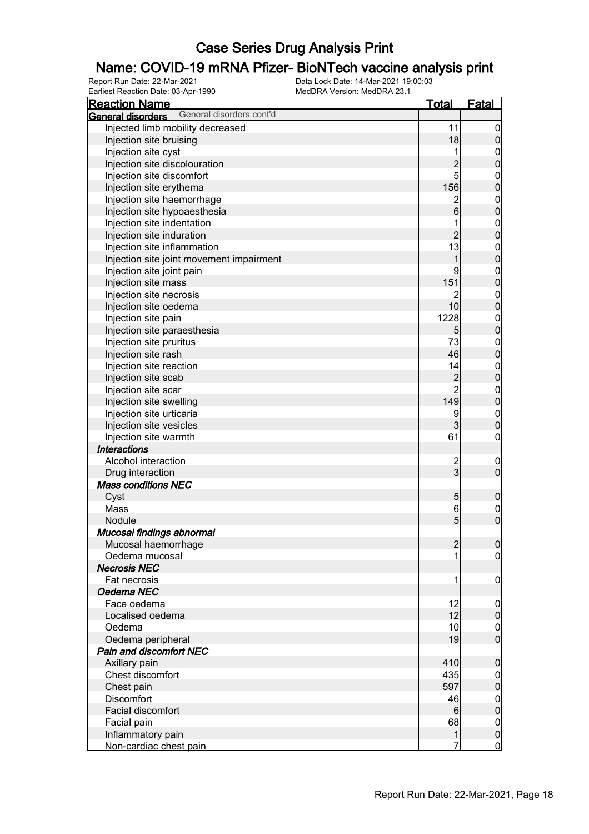#### Name: COVID-19 mRNA Pfizer- BioNTech vaccine analysis print

| <b>Reaction Name</b>                                 | <b>Total</b>                               | <b>Fatal</b>                         |
|------------------------------------------------------|--------------------------------------------|--------------------------------------|
| General disorders cont'd<br><b>General disorders</b> |                                            |                                      |
| Injected limb mobility decreased                     | 11                                         | $\overline{0}$                       |
| Injection site bruising                              | 18                                         | $\pmb{0}$                            |
| Injection site cyst                                  | 1                                          | $\mathbf 0$                          |
| Injection site discolouration                        | $\overline{c}$                             | $\mathbf 0$                          |
| Injection site discomfort                            | $5\overline{5}$                            | $\boldsymbol{0}$                     |
| Injection site erythema                              | 156                                        | $\mathbf 0$                          |
| Injection site haemorrhage                           |                                            | $\boldsymbol{0}$                     |
| Injection site hypoaesthesia                         | $\overline{\mathbf{c}}$<br>$6\overline{6}$ | $\mathbf 0$                          |
| Injection site indentation                           |                                            | $\boldsymbol{0}$                     |
| Injection site induration                            | $\overline{c}$                             | $\overline{0}$                       |
| Injection site inflammation                          | 13                                         | $\boldsymbol{0}$                     |
| Injection site joint movement impairment             | 1                                          | $\overline{0}$                       |
| Injection site joint pain                            | 9                                          | $\boldsymbol{0}$                     |
| Injection site mass                                  | 151                                        | $\overline{0}$                       |
| Injection site necrosis                              | 2                                          | $\boldsymbol{0}$                     |
| Injection site oedema                                | 10                                         | $\mathbf 0$                          |
| Injection site pain                                  | 1228                                       |                                      |
| Injection site paraesthesia                          | $5\overline{)}$                            | $\boldsymbol{0}$<br>$\overline{0}$   |
| Injection site pruritus                              | 73                                         |                                      |
| Injection site rash                                  | 46                                         | $\boldsymbol{0}$<br>$\overline{0}$   |
| Injection site reaction                              | 14                                         |                                      |
| Injection site scab                                  | $\overline{a}$                             | $\boldsymbol{0}$<br>$\overline{0}$   |
|                                                      | $\overline{2}$                             |                                      |
| Injection site scar                                  | 149                                        | $\boldsymbol{0}$<br>$\boldsymbol{0}$ |
| Injection site swelling                              |                                            |                                      |
| Injection site urticaria                             | 9<br>3                                     | $\boldsymbol{0}$                     |
| Injection site vesicles                              |                                            | $\mathbf 0$                          |
| Injection site warmth                                | 61                                         | $\mathbf 0$                          |
| <b>Interactions</b>                                  |                                            |                                      |
| Alcohol interaction                                  | $\frac{2}{3}$                              | $\mathbf 0$                          |
| Drug interaction<br><b>Mass conditions NEC</b>       |                                            | $\mathbf 0$                          |
|                                                      |                                            |                                      |
| Cyst                                                 | $\overline{5}$                             | $\mathbf 0$                          |
| Mass                                                 | 6                                          | $\mathbf 0$<br>$\overline{0}$        |
| Nodule                                               | 5 <sub>5</sub>                             |                                      |
| Mucosal findings abnormal                            |                                            |                                      |
| Mucosal haemorrhage                                  | $\overline{2}$                             | 0                                    |
| Oedema mucosal                                       |                                            | $\overline{0}$                       |
| <b>Necrosis NEC</b>                                  |                                            |                                      |
| Fat necrosis                                         | 1                                          | $\mathbf 0$                          |
| Oedema NEC                                           |                                            |                                      |
| Face oedema                                          | 12<br>12                                   | $\mathbf 0$                          |
| Localised oedema                                     |                                            | $\pmb{0}$                            |
| Oedema                                               | 10                                         | $\overline{0}$                       |
| Oedema peripheral                                    | 19                                         | $\overline{0}$                       |
| Pain and discomfort NEC                              |                                            |                                      |
| Axillary pain                                        | 410                                        | $\boldsymbol{0}$                     |
| Chest discomfort                                     | 435                                        | $\overline{0}$                       |
| Chest pain                                           | 597                                        | $\pmb{0}$                            |
| <b>Discomfort</b>                                    | 46                                         | $\overline{0}$                       |
| Facial discomfort                                    | 6                                          | $\pmb{0}$                            |
| Facial pain                                          | 68                                         | $\overline{0}$                       |
| Inflammatory pain                                    | $\mathbf{1}$                               | $\pmb{0}$                            |
| Non-cardiac chest pain                               | 7                                          | $\mathbf 0$                          |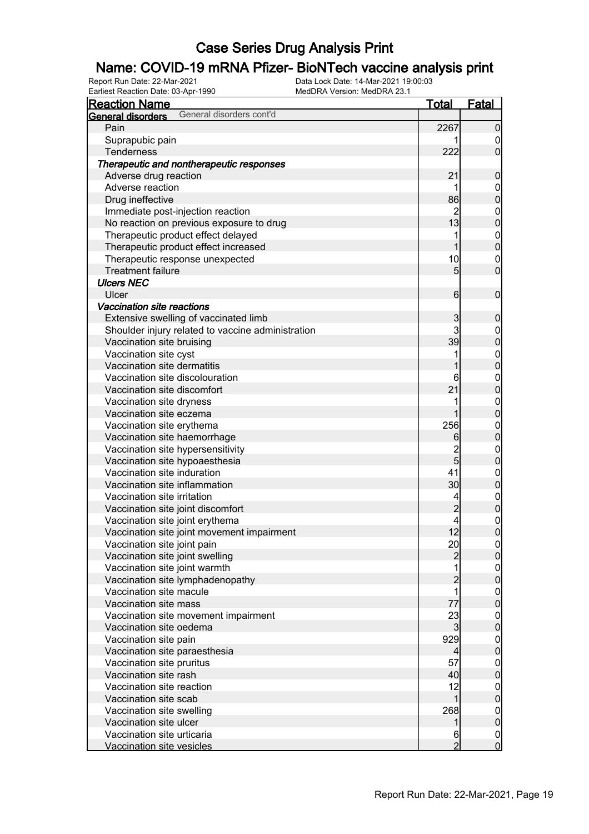## **Name: COVID-19 mRNA Pfizer- BioNTech vaccine analysis print**<br>Report Run Date: 22-Mar-2021

Earliest Reaction Date: 03-Apr-1990

| <b>Reaction Name</b>                              | <b>Total</b>   | <b>Fatal</b>                |
|---------------------------------------------------|----------------|-----------------------------|
| General disorders cont'd<br>General disorders     |                |                             |
| Pain                                              | 2267           | $\boldsymbol{0}$            |
| Suprapubic pain                                   |                | 0                           |
| Tenderness                                        | 222            | $\mathbf 0$                 |
| Therapeutic and nontherapeutic responses          |                |                             |
| Adverse drug reaction                             | 21             | $\mathbf 0$                 |
| Adverse reaction                                  |                | $\boldsymbol{0}$            |
| Drug ineffective                                  | 86             | $\overline{0}$              |
| Immediate post-injection reaction                 | $\overline{c}$ | $\mathbf{0}$                |
| No reaction on previous exposure to drug          | 13             | $\mathbf 0$                 |
| Therapeutic product effect delayed                |                | $\mathbf{0}$                |
| Therapeutic product effect increased              | 1              | $\overline{0}$              |
| Therapeutic response unexpected                   | 10             | $\boldsymbol{0}$            |
| <b>Treatment failure</b>                          | 5              | $\mathbf 0$                 |
| <b>Ulcers NEC</b>                                 |                |                             |
| Ulcer                                             | $6 \mid$       | $\boldsymbol{0}$            |
| <b>Vaccination site reactions</b>                 |                |                             |
| Extensive swelling of vaccinated limb             | 3              | $\mathbf 0$                 |
| Shoulder injury related to vaccine administration | 3              |                             |
| Vaccination site bruising                         | 39             | $\mathbf{0}$<br>$\mathbf 0$ |
| Vaccination site cyst                             |                |                             |
| Vaccination site dermatitis                       |                | $0\atop 0$                  |
| Vaccination site discolouration                   |                |                             |
|                                                   | 6              | $\mathbf{0}$                |
| Vaccination site discomfort                       | 21             | $\overline{0}$              |
| Vaccination site dryness                          |                | $\mathbf{0}$                |
| Vaccination site eczema                           |                | $\overline{0}$              |
| Vaccination site erythema                         | 256            | $\mathbf{0}$                |
| Vaccination site haemorrhage                      | 6              | $\overline{0}$              |
| Vaccination site hypersensitivity                 | $\overline{c}$ | $\mathbf{0}$                |
| Vaccination site hypoaesthesia                    | $\overline{5}$ | $\overline{0}$              |
| Vaccination site induration                       | 41             | $\mathbf{0}$                |
| Vaccination site inflammation                     | 30             | $\mathbf 0$                 |
| Vaccination site irritation                       |                | $0\atop 0$                  |
| Vaccination site joint discomfort                 | $\overline{c}$ |                             |
| Vaccination site joint erythema                   | 4              | $\mathbf{0}$                |
| Vaccination site joint movement impairment        | 12             | $\overline{0}$              |
| Vaccination site joint pain                       | 20             | 0                           |
| Vaccination site joint swelling                   | $\overline{c}$ | 0                           |
| Vaccination site joint warmth                     |                | $\boldsymbol{0}$            |
| Vaccination site lymphadenopathy                  | $\overline{c}$ | $\mathbf 0$                 |
| Vaccination site macule                           | 1              | $\boldsymbol{0}$            |
| Vaccination site mass                             | 77             | $\mathbf 0$                 |
| Vaccination site movement impairment              | 23             | $\overline{0}$              |
| Vaccination site oedema                           | $\overline{3}$ | $\mathbf 0$                 |
| Vaccination site pain                             | 929            | $\overline{0}$              |
| Vaccination site paraesthesia                     | $\overline{4}$ | $\mathbf 0$                 |
| Vaccination site pruritus                         | 57             | $\mathbf 0$                 |
| Vaccination site rash                             | 40             | $\mathbf 0$                 |
| Vaccination site reaction                         | 12             | $\overline{0}$              |
| Vaccination site scab                             | 1              | $\pmb{0}$                   |
| Vaccination site swelling                         | 268            | $\mathbf 0$                 |
| Vaccination site ulcer                            | 1              | $\pmb{0}$                   |
| Vaccination site urticaria                        | 6              | $\overline{0}$              |
| Vaccination site vesicles                         | $\overline{2}$ | $\overline{0}$              |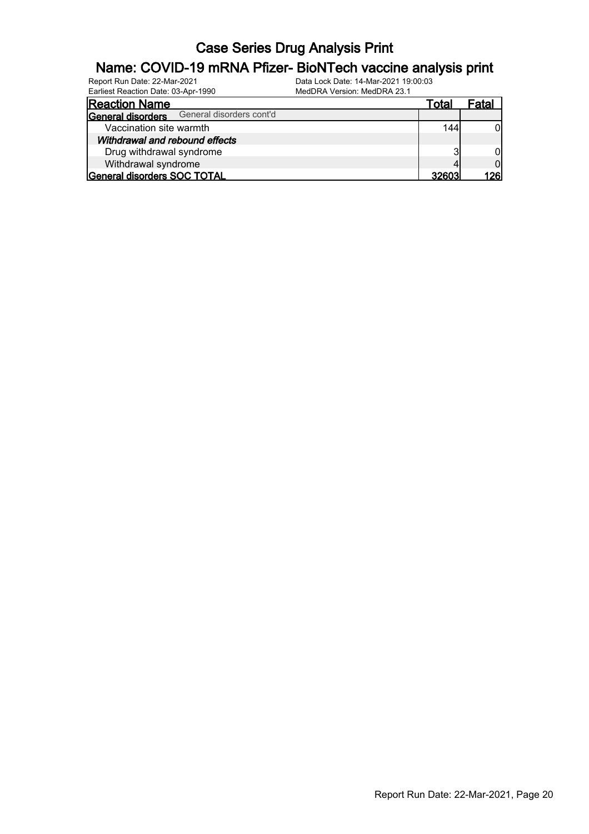### Name: COVID-19 mRNA Pfizer- BioNTech vaccine analysis print

| Report Run Date: 22-Mar-2021<br>Earliest Reaction Date: 03-Apr-1990 | Data Lock Date: 14-Mar-2021 19:00:03<br>MedDRA Version: MedDRA 23.1 |        |       |
|---------------------------------------------------------------------|---------------------------------------------------------------------|--------|-------|
| <b>Reaction Name</b>                                                |                                                                     | Total  | Fatal |
| General disorders cont'd<br>General disorders                       |                                                                     |        |       |
| Vaccination site warmth                                             |                                                                     | 144    |       |
| Withdrawal and rebound effects                                      |                                                                     |        |       |
| Drug withdrawal syndrome                                            |                                                                     | ο      |       |
| Withdrawal syndrome                                                 |                                                                     |        |       |
| General disorders SOC TOTAL                                         |                                                                     | 32603. | 126l  |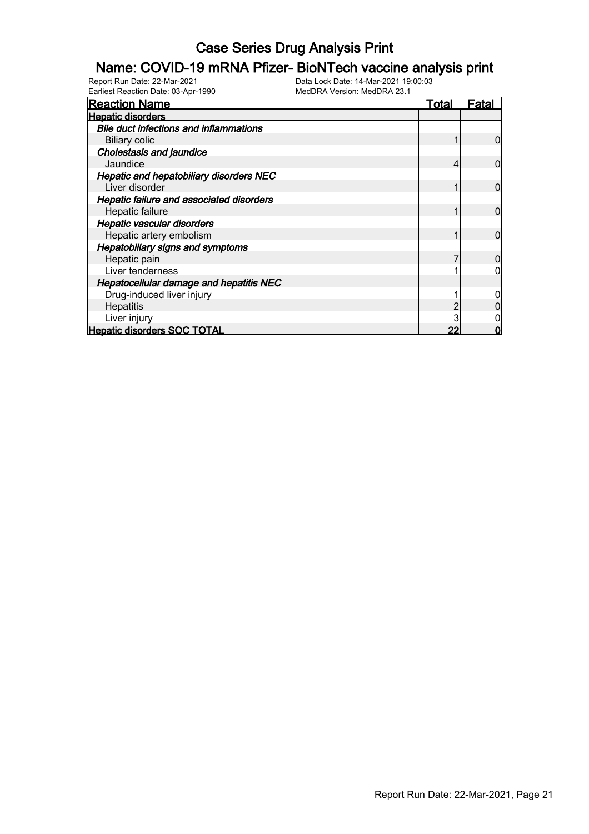## **Name: COVID-19 mRNA Pfizer- BioNTech vaccine analysis print**<br>Report Run Date: 22-Mar-2021

Earliest Reaction Date: 03-Apr-1990

| <b>Reaction Name</b>                          | Total | <b>Fatal</b> |
|-----------------------------------------------|-------|--------------|
| <b>Hepatic disorders</b>                      |       |              |
| <b>Bile duct infections and inflammations</b> |       |              |
| <b>Biliary colic</b>                          |       |              |
| <b>Cholestasis and jaundice</b>               |       |              |
| Jaundice                                      |       |              |
| Hepatic and hepatobiliary disorders NEC       |       |              |
| Liver disorder                                |       | 0            |
| Hepatic failure and associated disorders      |       |              |
| Hepatic failure                               |       | 0            |
| Hepatic vascular disorders                    |       |              |
| Hepatic artery embolism                       |       | 0            |
| <b>Hepatobiliary signs and symptoms</b>       |       |              |
| Hepatic pain                                  |       |              |
| Liver tenderness                              |       |              |
| Hepatocellular damage and hepatitis NEC       |       |              |
| Drug-induced liver injury                     |       |              |
| Hepatitis                                     |       |              |
| Liver injury                                  |       |              |
| <b>Hepatic disorders SOC TOTAL</b>            |       |              |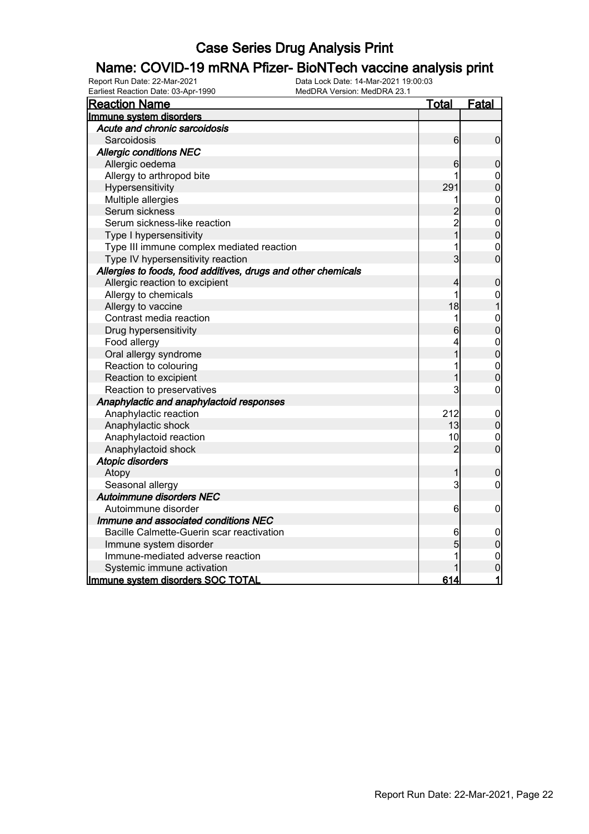## **Name: COVID-19 mRNA Pfizer- BioNTech vaccine analysis print**<br>Report Run Date: 22-Mar-2021

Earliest Reaction Date: 03-Apr-1990

| <b>Reaction Name</b>                                          | <u>Total</u>    | <b>Fatal</b>     |
|---------------------------------------------------------------|-----------------|------------------|
| Immune system disorders                                       |                 |                  |
| Acute and chronic sarcoidosis                                 |                 |                  |
| Sarcoidosis                                                   | $6 \overline{}$ | $\overline{0}$   |
| <b>Allergic conditions NEC</b>                                |                 |                  |
| Allergic oedema                                               | 6               | 0                |
| Allergy to arthropod bite                                     |                 | 0                |
| Hypersensitivity                                              | 291             | $\overline{0}$   |
| Multiple allergies                                            |                 | $\mathbf{0}$     |
| Serum sickness                                                | $\overline{c}$  | $\mathbf{0}$     |
| Serum sickness-like reaction                                  | $\overline{c}$  | $\mathbf{0}$     |
| Type I hypersensitivity                                       | 1               | $\overline{0}$   |
| Type III immune complex mediated reaction                     |                 | $\mathbf 0$      |
| Type IV hypersensitivity reaction                             | 3               | $\overline{0}$   |
| Allergies to foods, food additives, drugs and other chemicals |                 |                  |
| Allergic reaction to excipient                                | 4               | $\mathbf 0$      |
| Allergy to chemicals                                          | 1               | $\mathbf{0}$     |
| Allergy to vaccine                                            | 18              | 1                |
| Contrast media reaction                                       |                 | $\mathbf{0}$     |
| Drug hypersensitivity                                         | 6               | $\mathbf{0}$     |
| Food allergy                                                  | 4               | $\mathbf{0}$     |
| Oral allergy syndrome                                         |                 | $\overline{0}$   |
| Reaction to colouring                                         | 1               | $\mathbf 0$      |
| Reaction to excipient                                         |                 | $\overline{0}$   |
| Reaction to preservatives                                     | 3               | $\mathbf 0$      |
| Anaphylactic and anaphylactoid responses                      |                 |                  |
| Anaphylactic reaction                                         | 212             | $\overline{0}$   |
| Anaphylactic shock                                            | 13              | $\overline{0}$   |
| Anaphylactoid reaction                                        | 10              | $\boldsymbol{0}$ |
| Anaphylactoid shock                                           | $\overline{2}$  | $\overline{0}$   |
| <b>Atopic disorders</b>                                       |                 |                  |
| Atopy                                                         | 1               | $\mathbf 0$      |
| Seasonal allergy                                              | 3               | 0                |
| <b>Autoimmune disorders NEC</b>                               |                 |                  |
| Autoimmune disorder                                           | 6               | $\mathbf 0$      |
| Immune and associated conditions NEC                          |                 |                  |
| Bacille Calmette-Guerin scar reactivation                     | 6               | $\overline{0}$   |
| Immune system disorder                                        | 5               | $\mathbf 0$      |
| Immune-mediated adverse reaction                              |                 | $\mathbf 0$      |
| Systemic immune activation                                    |                 | $\mathbf 0$      |
| Immune system disorders SOC TOTAL                             | 614             | 1                |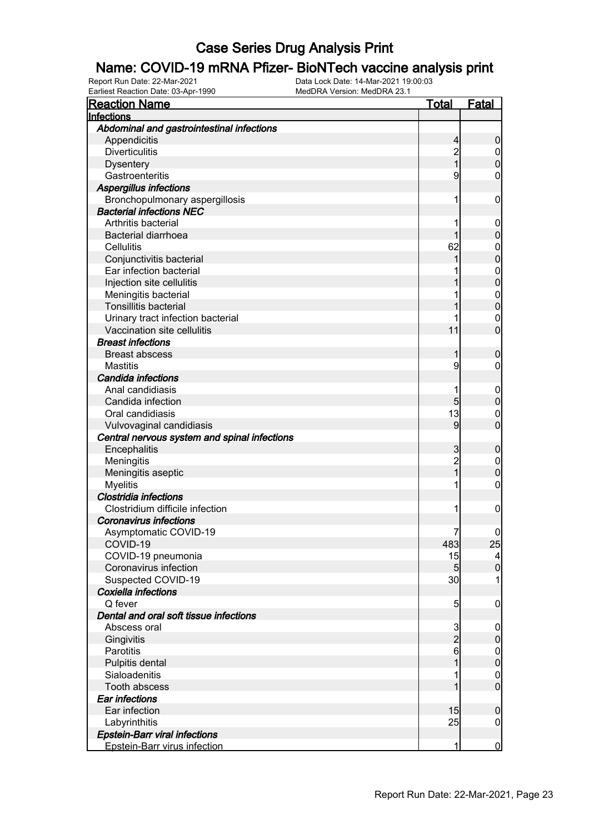## **Name: COVID-19 mRNA Pfizer- BioNTech vaccine analysis print**<br>Report Run Date: 22-Mar-2021

Earliest Reaction Date: 03-Apr-1990

| <b>Reaction Name</b>                         | <u>Total</u>        | <b>Fatal</b>                |
|----------------------------------------------|---------------------|-----------------------------|
| <b>Infections</b>                            |                     |                             |
| Abdominal and gastrointestinal infections    |                     |                             |
| Appendicitis                                 | 4                   | 0                           |
| <b>Diverticulitis</b>                        | $\overline{c}$      | 0                           |
| <b>Dysentery</b>                             | 1                   | $\overline{0}$              |
| Gastroenteritis                              | 9                   | 0                           |
| Aspergillus infections                       |                     |                             |
| Bronchopulmonary aspergillosis               | 1                   | $\mathbf 0$                 |
| <b>Bacterial infections NEC</b>              |                     |                             |
| Arthritis bacterial                          |                     | $\overline{0}$              |
| <b>Bacterial diarrhoea</b>                   |                     | 0                           |
| <b>Cellulitis</b>                            | 62                  | $\mathbf{0}$                |
| Conjunctivitis bacterial                     |                     | 0                           |
| Ear infection bacterial                      |                     | $\mathbf{0}$                |
| Injection site cellulitis                    |                     | $\mathbf{0}$                |
| Meningitis bacterial                         |                     | $\mathbf{0}$                |
| Tonsillitis bacterial                        |                     | $\mathbf{0}$                |
| Urinary tract infection bacterial            |                     | $\mathbf 0$                 |
| Vaccination site cellulitis                  | 11                  | $\overline{0}$              |
| <b>Breast infections</b>                     |                     |                             |
| <b>Breast abscess</b>                        |                     | 0                           |
| <b>Mastitis</b>                              | 9                   | 0                           |
| Candida infections                           |                     |                             |
| Anal candidiasis                             | 1                   | $\overline{0}$              |
| Candida infection                            | 5                   | 0                           |
| Oral candidiasis                             | 13                  | $\mathbf 0$                 |
| Vulvovaginal candidiasis                     | 9                   | $\overline{0}$              |
| Central nervous system and spinal infections |                     |                             |
| Encephalitis                                 |                     | 0                           |
| Meningitis                                   | 3<br>$\overline{c}$ |                             |
| Meningitis aseptic                           | 1                   | $\mathbf{0}$<br>$\mathbf 0$ |
|                                              | 1                   | 0                           |
| <b>Myelitis</b><br>Clostridia infections     |                     |                             |
| Clostridium difficile infection              | 1                   |                             |
| <b>Coronavirus infections</b>                |                     | $\mathbf 0$                 |
|                                              |                     |                             |
| Asymptomatic COVID-19                        | 7                   | 0                           |
| COVID-19                                     | 483                 | 25                          |
| COVID-19 pneumonia                           | 15                  | $\overline{\mathcal{A}}$    |
| Coronavirus infection                        | 5 <sub>5</sub>      | $\overline{0}$              |
| Suspected COVID-19                           | 30                  | 1                           |
| Coxiella infections                          |                     |                             |
| Q fever                                      | $5\overline{)}$     | $\mathbf 0$                 |
| Dental and oral soft tissue infections       |                     |                             |
| Abscess oral                                 | 3                   | $\mathbf 0$                 |
| Gingivitis                                   | $\overline{2}$      | 0                           |
| Parotitis                                    | $6\phantom{.}6$     | $\mathbf 0$                 |
| Pulpitis dental                              |                     | $\mathbf 0$                 |
| Sialoadenitis                                |                     | $\mathbf 0$                 |
| Tooth abscess                                |                     | $\overline{0}$              |
| Ear infections                               |                     |                             |
| Ear infection                                | 15                  | $\mathbf 0$                 |
| Labyrinthitis                                | 25                  | $\mathbf 0$                 |
| <b>Epstein-Barr viral infections</b>         |                     |                             |
| <b>Epstein-Barr virus infection</b>          | 1                   | $\overline{0}$              |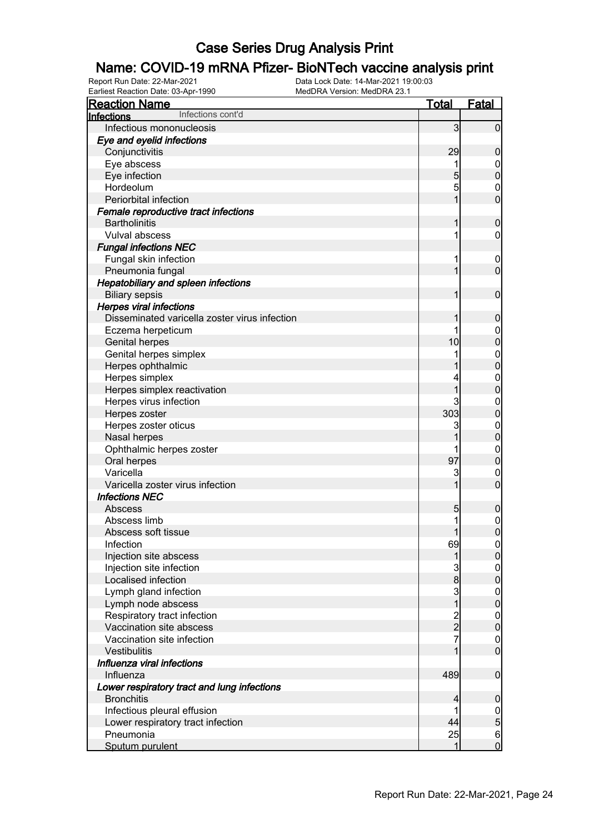#### Name: COVID-19 mRNA Pfizer- BioNTech vaccine analysis print

Earliest Reaction Date: 03-Apr-1990 MedDRA Version: MedDRA 23.1

| <b>Reaction Name</b>                          | <u>Total</u>   | <b>Fatal</b>                           |
|-----------------------------------------------|----------------|----------------------------------------|
| Infections cont'd<br>Infections               |                |                                        |
| Infectious mononucleosis                      | 3              | $\overline{0}$                         |
| Eye and eyelid infections                     |                |                                        |
| Conjunctivitis                                | 29             | $\boldsymbol{0}$                       |
| Eye abscess                                   | 1              | $\overline{0}$                         |
| Eye infection                                 | 5              | $\mathbf 0$                            |
| Hordeolum                                     | 5              | $\mathbf 0$                            |
| Periorbital infection                         | 1              | $\overline{0}$                         |
| Female reproductive tract infections          |                |                                        |
| <b>Bartholinitis</b>                          | 1              | $\boldsymbol{0}$                       |
| Vulval abscess                                | 1              | $\mathbf 0$                            |
| <b>Fungal infections NEC</b>                  |                |                                        |
| Fungal skin infection                         | 1              | $\mathbf 0$                            |
| Pneumonia fungal                              | 1              | $\mathbf 0$                            |
| Hepatobiliary and spleen infections           |                |                                        |
| <b>Biliary sepsis</b>                         | 1              | $\mathbf 0$                            |
| <b>Herpes viral infections</b>                |                |                                        |
| Disseminated varicella zoster virus infection |                | $\boldsymbol{0}$                       |
| Eczema herpeticum                             |                | $\mathbf 0$                            |
| <b>Genital herpes</b>                         | 10             | $\mathbf 0$                            |
| Genital herpes simplex                        |                | $\mathbf{0}$                           |
| Herpes ophthalmic                             |                | $\overline{0}$                         |
| Herpes simplex                                |                | $\mathbf{0}$                           |
| Herpes simplex reactivation                   | 1              | $\mathbf 0$                            |
| Herpes virus infection                        |                | $\mathbf{0}$                           |
| Herpes zoster                                 | 303            | $\mathbf 0$                            |
| Herpes zoster oticus                          | 3              | $\mathbf{0}$                           |
| Nasal herpes                                  |                | $\mathbf 0$                            |
| Ophthalmic herpes zoster                      |                | $\mathbf{0}$                           |
| Oral herpes                                   | 97             | $\mathbf 0$                            |
| Varicella                                     | 3              | $\mathbf 0$                            |
| Varicella zoster virus infection              | 1              | $\mathbf 0$                            |
| <b>Infections NEC</b>                         |                |                                        |
| Abscess                                       | 5              | $\boldsymbol{0}$                       |
| Abscess limb                                  | 1              | $\mathbf{0}$                           |
| Abscess soft tissue                           | 1              | $\overline{0}$                         |
| Infection                                     | 69             | $\Omega$                               |
| Injection site abscess                        | 1              | $\overline{0}$                         |
| Injection site infection                      | 3              | $\boldsymbol{0}$                       |
| Localised infection                           | $\bf{8}$       | $\mathbf 0$                            |
| Lymph gland infection                         | 3              | $\boldsymbol{0}$                       |
| Lymph node abscess                            | 1              | $\mathbf 0$                            |
| Respiratory tract infection                   |                | $\boldsymbol{0}$                       |
| Vaccination site abscess                      | $\frac{2}{2}$  | $\mathbf 0$                            |
| Vaccination site infection                    | $\overline{7}$ | $\boldsymbol{0}$                       |
| Vestibulitis                                  | 1              | $\mathbf 0$                            |
| Influenza viral infections                    |                |                                        |
| Influenza                                     | 489            | $\boldsymbol{0}$                       |
| Lower respiratory tract and lung infections   |                |                                        |
| <b>Bronchitis</b>                             | 4              | $\mathbf 0$                            |
| Infectious pleural effusion                   | 1              |                                        |
| Lower respiratory tract infection             | 44             | $\frac{0}{5}$                          |
| Pneumonia                                     | 25             |                                        |
| Sputum purulent                               | 1              | $\begin{bmatrix} 6 \\ 0 \end{bmatrix}$ |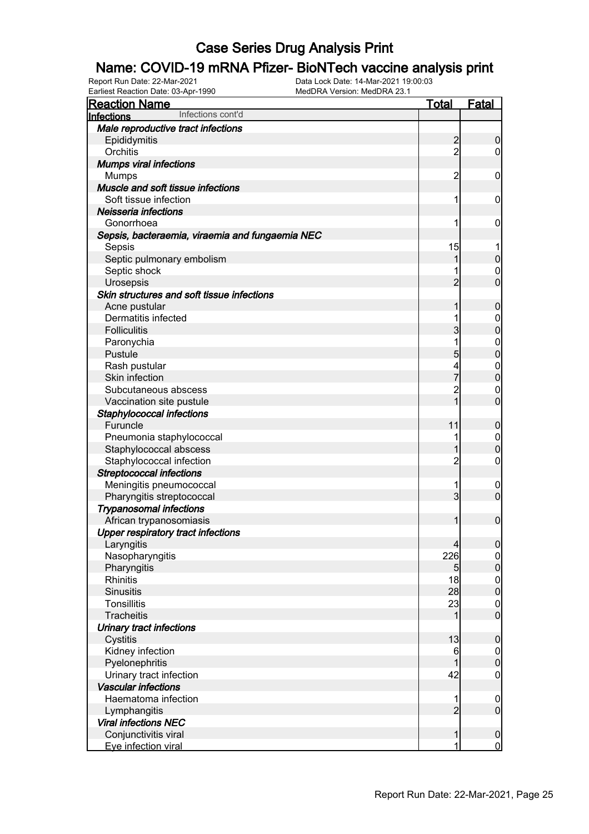#### Name: COVID-19 mRNA Pfizer- BioNTech vaccine analysis print

| <b>Reaction Name</b>                            | <u>Total</u>    | <b>Fatal</b>                     |
|-------------------------------------------------|-----------------|----------------------------------|
| Infections cont'd<br><b>Infections</b>          |                 |                                  |
| Male reproductive tract infections              |                 |                                  |
| Epididymitis                                    |                 | $\boldsymbol{0}$                 |
| Orchitis                                        | $\frac{2}{2}$   | $\overline{0}$                   |
| <b>Mumps viral infections</b>                   |                 |                                  |
| <b>Mumps</b>                                    | $\overline{2}$  | 0                                |
| Muscle and soft tissue infections               |                 |                                  |
| Soft tissue infection                           | 1               | 0                                |
| Neisseria infections                            |                 |                                  |
| Gonorrhoea                                      | 1               | 0                                |
| Sepsis, bacteraemia, viraemia and fungaemia NEC |                 |                                  |
| Sepsis                                          | 15              | 1                                |
| Septic pulmonary embolism                       | 1               | $\pmb{0}$                        |
| Septic shock                                    | 1               | $\mathbf 0$                      |
| Urosepsis                                       | $\overline{2}$  | $\overline{0}$                   |
| Skin structures and soft tissue infections      |                 |                                  |
| Acne pustular                                   | 1               | $\mathbf 0$                      |
| Dermatitis infected                             | 1               | $\mathbf 0$                      |
| <b>Folliculitis</b>                             | 3               | $\overline{0}$                   |
| Paronychia                                      | 1               | $\mathbf{0}$                     |
| Pustule                                         | 5               | $\overline{0}$                   |
| Rash pustular                                   | 4               |                                  |
| Skin infection                                  | 7               | $\begin{matrix}0\\0\end{matrix}$ |
| Subcutaneous abscess                            | $\overline{2}$  | $\mathbf 0$                      |
| Vaccination site pustule                        | $\overline{1}$  | $\overline{0}$                   |
| Staphylococcal infections                       |                 |                                  |
| Furuncle                                        | 11              | $\mathbf 0$                      |
| Pneumonia staphylococcal                        | 1               | $\mathbf{0}$                     |
| Staphylococcal abscess                          | 1               | $\mathbf 0$                      |
| Staphylococcal infection                        | $\overline{2}$  | $\mathbf 0$                      |
| <b>Streptococcal infections</b>                 |                 |                                  |
| Meningitis pneumococcal                         | 1               | $\overline{0}$                   |
| Pharyngitis streptococcal                       | $\overline{3}$  | $\mathbf 0$                      |
| <b>Trypanosomal infections</b>                  |                 |                                  |
| African trypanosomiasis                         | 1               | $\boldsymbol{0}$                 |
| <b>Upper respiratory tract infections</b>       |                 |                                  |
| Laryngitis                                      | 4               | 0                                |
| Nasopharyngitis                                 | 226             | $\overline{0}$                   |
| Pharyngitis                                     | $5\overline{)}$ | $\pmb{0}$                        |
| <b>Rhinitis</b>                                 | 18              |                                  |
| <b>Sinusitis</b>                                | 28              | $0\atop 0$                       |
| Tonsillitis                                     | 23              | $\mathbf{0}$                     |
| <b>Tracheitis</b>                               | 1               | $\overline{0}$                   |
| Urinary tract infections                        |                 |                                  |
| Cystitis                                        | 13              | $\boldsymbol{0}$                 |
| Kidney infection                                | $6 \overline{}$ | $\boldsymbol{0}$                 |
| Pyelonephritis                                  |                 | $\mathbf 0$                      |
| Urinary tract infection                         | 42              | $\boldsymbol{0}$                 |
| <b>Vascular infections</b>                      |                 |                                  |
| Haematoma infection                             | 1               | $\mathbf 0$                      |
| Lymphangitis                                    | $\overline{2}$  | $\overline{0}$                   |
| <b>Viral infections NEC</b>                     |                 |                                  |
| Conjunctivitis viral                            | $\mathbf{1}$    | $\mathbf 0$                      |
| Eye infection viral                             | 1               | $\mathbf 0$                      |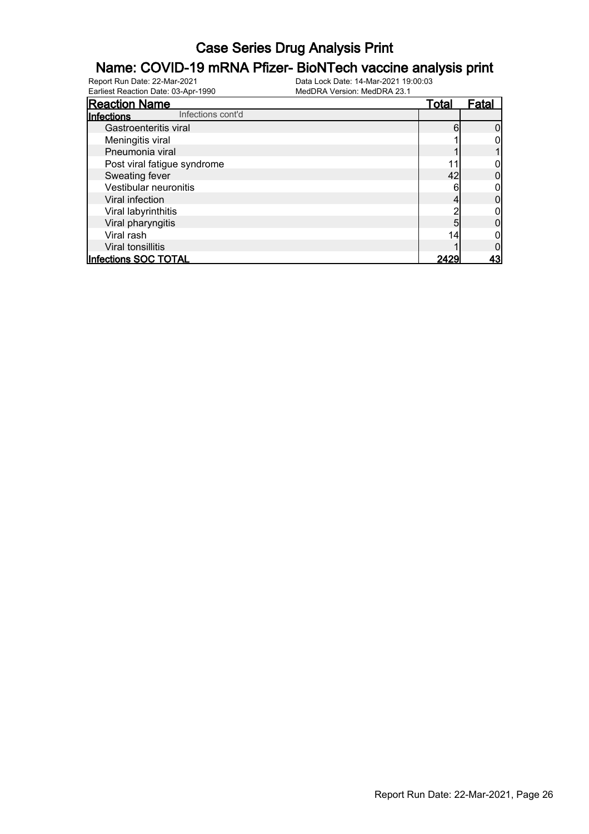## **Name: COVID-19 mRNA Pfizer- BioNTech vaccine analysis print**<br>Report Run Date: 22-Mar-2021

Earliest Reaction Date: 03-Apr-1990

| <b>Reaction Name</b>            | Total | <u>Fatal</u> |
|---------------------------------|-------|--------------|
| Infections cont'd<br>Infections |       |              |
| Gastroenteritis viral           |       |              |
| Meningitis viral                |       |              |
| Pneumonia viral                 |       |              |
| Post viral fatigue syndrome     |       |              |
| Sweating fever                  | 42    |              |
| Vestibular neuronitis           |       |              |
| Viral infection                 |       |              |
| Viral labyrinthitis             |       |              |
| Viral pharyngitis               |       |              |
| Viral rash                      | 14    |              |
| Viral tonsillitis               |       |              |
| Infections SOC TOTAL            | 2429  | 43           |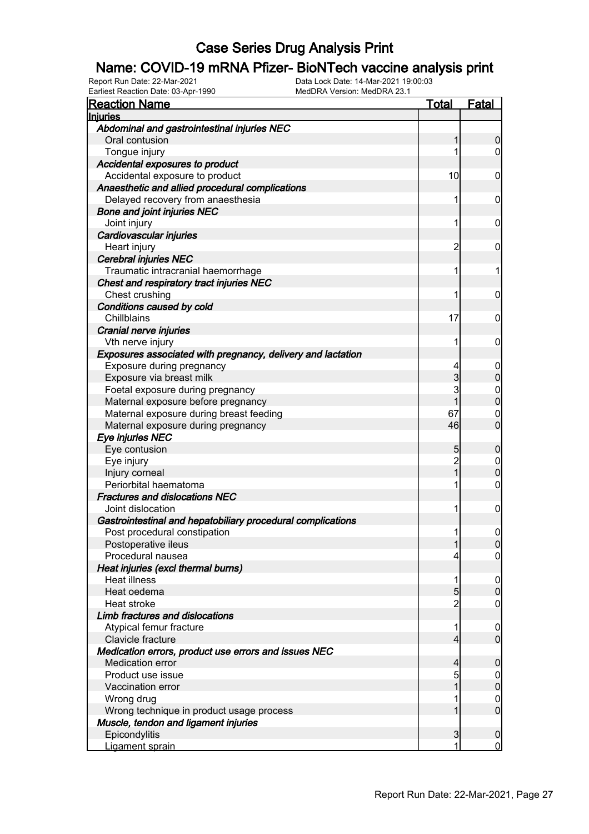## **Name: COVID-19 mRNA Pfizer- BioNTech vaccine analysis print**<br>Report Run Date: 22-Mar-2021

Earliest Reaction Date: 03-Apr-1990

| <b>Reaction Name</b>                                                            | Total           | <u>Fatal</u>                         |
|---------------------------------------------------------------------------------|-----------------|--------------------------------------|
| <b>Injuries</b>                                                                 |                 |                                      |
| Abdominal and gastrointestinal injuries NEC                                     |                 |                                      |
| Oral contusion                                                                  | 1               | $\overline{0}$                       |
| Tongue injury                                                                   |                 | 0                                    |
| Accidental exposures to product                                                 |                 |                                      |
| Accidental exposure to product                                                  | 10              | 0                                    |
| Anaesthetic and allied procedural complications                                 |                 |                                      |
| Delayed recovery from anaesthesia                                               |                 | 0                                    |
| <b>Bone and joint injuries NEC</b>                                              |                 |                                      |
| Joint injury                                                                    |                 | 0                                    |
| Cardiovascular injuries                                                         |                 |                                      |
| Heart injury                                                                    | $\overline{2}$  | 0                                    |
| <b>Cerebral injuries NEC</b>                                                    |                 |                                      |
| Traumatic intracranial haemorrhage                                              | 1               | 1                                    |
| Chest and respiratory tract injuries NEC                                        |                 |                                      |
| Chest crushing                                                                  |                 | 0                                    |
| Conditions caused by cold                                                       |                 |                                      |
| Chillblains                                                                     | 17              | 0                                    |
| Cranial nerve injuries                                                          |                 |                                      |
| Vth nerve injury                                                                |                 | 0                                    |
| Exposures associated with pregnancy, delivery and lactation                     |                 |                                      |
| Exposure during pregnancy                                                       |                 | 0                                    |
| Exposure via breast milk                                                        | 3               | $\mathbf 0$                          |
| Foetal exposure during pregnancy                                                | 3               | $\begin{matrix} 0 \\ 0 \end{matrix}$ |
| Maternal exposure before pregnancy                                              | 1               |                                      |
| Maternal exposure during breast feeding                                         | 67              | $\mathbf 0$                          |
| Maternal exposure during pregnancy                                              | 46              | $\overline{0}$                       |
| Eye injuries NEC                                                                |                 |                                      |
| Eye contusion                                                                   | 5               | $\mathbf 0$                          |
| Eye injury                                                                      | $\overline{2}$  | $\mathbf 0$                          |
| Injury corneal                                                                  | $\overline{1}$  | $\overline{0}$                       |
| Periorbital haematoma                                                           |                 | 0                                    |
| <b>Fractures and dislocations NEC</b>                                           |                 |                                      |
| Joint dislocation                                                               |                 | 0                                    |
| Gastrointestinal and hepatobiliary procedural complications                     |                 |                                      |
| Post procedural constipation                                                    |                 | 0                                    |
| Postoperative ileus                                                             |                 |                                      |
| Procedural nausea                                                               |                 | 0                                    |
| Heat injuries (excl thermal burns)                                              |                 |                                      |
| Heat illness                                                                    |                 | $\boldsymbol{0}$                     |
| Heat oedema                                                                     | $5\overline{)}$ | $\mathbf 0$                          |
| Heat stroke                                                                     |                 | 0                                    |
| Limb fractures and dislocations                                                 |                 |                                      |
| Atypical femur fracture                                                         |                 | 0                                    |
| Clavicle fracture                                                               | 4               | $\mathbf 0$                          |
| Medication errors, product use errors and issues NEC<br><b>Medication error</b> |                 |                                      |
| Product use issue                                                               | 4               | 0                                    |
| Vaccination error                                                               | 5<br>1          | $\mathbf 0$<br>$\mathbf 0$           |
|                                                                                 |                 |                                      |
| Wrong drug<br>Wrong technique in product usage process                          |                 | 0<br>$\mathbf 0$                     |
|                                                                                 |                 |                                      |
| Muscle, tendon and ligament injuries<br>Epicondylitis                           | 3               | $\boldsymbol{0}$                     |
| Ligament sprain                                                                 | 1               | $\mathbf 0$                          |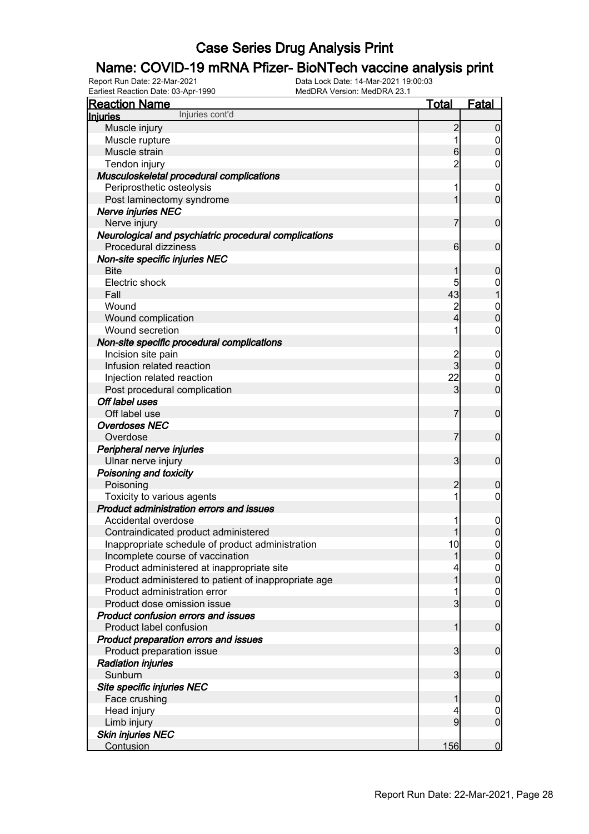#### Name: COVID-19 mRNA Pfizer- BioNTech vaccine analysis print

| <b>Reaction Name</b>                                  | <u>Total</u>        | Fatal                                |
|-------------------------------------------------------|---------------------|--------------------------------------|
| Injuries cont'd<br><b>Injuries</b>                    |                     |                                      |
| Muscle injury                                         | $\overline{c}$      | $\overline{0}$                       |
| Muscle rupture                                        | 1                   | $\overline{0}$                       |
| Muscle strain                                         | $6 \,$              | $\overline{0}$                       |
| Tendon injury                                         | $\overline{2}$      | $\mathbf 0$                          |
| Musculoskeletal procedural complications              |                     |                                      |
| Periprosthetic osteolysis                             | 1                   | $\mathbf 0$                          |
| Post laminectomy syndrome                             | 1                   | $\overline{0}$                       |
| Nerve injuries NEC                                    |                     |                                      |
| Nerve injury                                          | 7                   | $\mathbf 0$                          |
| Neurological and psychiatric procedural complications |                     |                                      |
| Procedural dizziness                                  | 6                   | $\mathbf 0$                          |
| Non-site specific injuries NEC                        |                     |                                      |
| <b>Bite</b>                                           | 1                   | $\mathbf 0$                          |
| Electric shock                                        | 5                   | 0                                    |
| Fall                                                  | 43                  | $\overline{1}$                       |
| Wound                                                 | $\overline{c}$      |                                      |
| Wound complication                                    | 4                   | $\begin{matrix}0\\0\end{matrix}$     |
| Wound secretion                                       | 1                   | $\mathbf 0$                          |
| Non-site specific procedural complications            |                     |                                      |
|                                                       |                     |                                      |
| Incision site pain<br>Infusion related reaction       | $\overline{c}$<br>3 | $\mathbf 0$<br>$\mathbf 0$           |
|                                                       |                     |                                      |
| Injection related reaction                            | 22                  | $\mathbf 0$                          |
| Post procedural complication                          | 3                   | $\overline{0}$                       |
| Off label uses                                        |                     |                                      |
| Off label use                                         | 7                   | $\mathbf 0$                          |
| <b>Overdoses NEC</b>                                  |                     |                                      |
| Overdose                                              | 7                   | $\mathbf 0$                          |
| Peripheral nerve injuries                             |                     |                                      |
| Ulnar nerve injury                                    | 3                   | $\mathbf 0$                          |
| Poisoning and toxicity                                |                     |                                      |
| Poisoning                                             | $\overline{c}$      | $\mathbf 0$                          |
| Toxicity to various agents                            | 1                   | $\mathbf 0$                          |
| Product administration errors and issues              |                     |                                      |
| Accidental overdose                                   | 1                   | $\mathbf{0}$                         |
| Contraindicated product administered                  | 1                   | $\overline{0}$                       |
| Inappropriate schedule of product administration      | 10                  | $\Omega$                             |
| Incomplete course of vaccination                      | 1                   | $\overline{0}$                       |
| Product administered at inappropriate site            |                     | $\begin{matrix} 0 \\ 0 \end{matrix}$ |
| Product administered to patient of inappropriate age  | 1                   |                                      |
| Product administration error                          | 1                   | $\begin{matrix} 0 \\ 0 \end{matrix}$ |
| Product dose omission issue                           | $\overline{3}$      |                                      |
| Product confusion errors and issues                   |                     |                                      |
| Product label confusion                               | 1                   | $\boldsymbol{0}$                     |
| Product preparation errors and issues                 |                     |                                      |
| Product preparation issue                             | $\mathbf{3}$        | $\boldsymbol{0}$                     |
| <b>Radiation injuries</b>                             |                     |                                      |
| Sunburn                                               | $\overline{3}$      | $\boldsymbol{0}$                     |
| Site specific injuries NEC                            |                     |                                      |
| Face crushing                                         | 1                   | $\mathbf 0$                          |
| Head injury                                           | 4                   | $\overline{0}$                       |
| Limb injury                                           | 9                   | $\boldsymbol{0}$                     |
| <b>Skin injuries NEC</b>                              |                     |                                      |
| Contusion                                             | 156                 | $\mathbf 0$                          |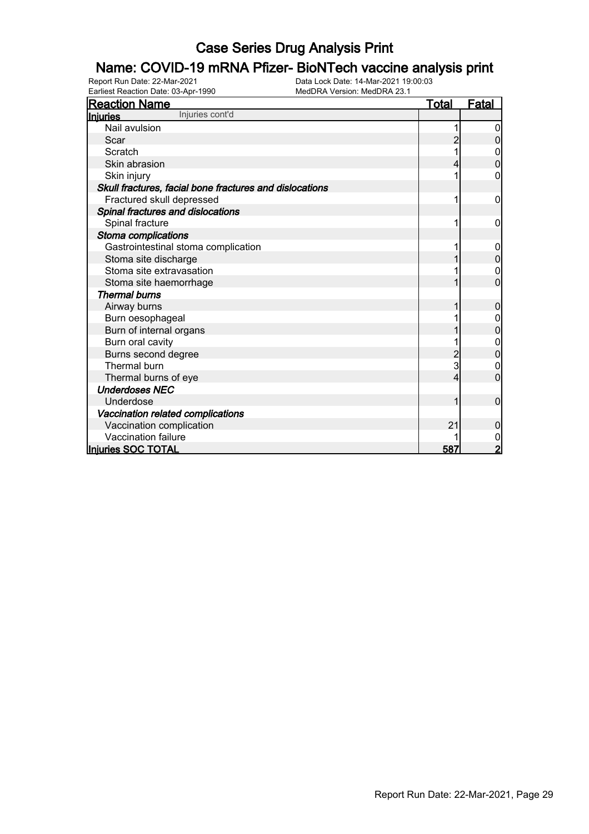## **Name: COVID-19 mRNA Pfizer- BioNTech vaccine analysis print**<br>Report Run Date: 22-Mar-2021

Earliest Reaction Date: 03-Apr-1990

| <b>Reaction Name</b>                                    | <b>Total</b> | <b>Fatal</b>   |
|---------------------------------------------------------|--------------|----------------|
| Injuries cont'd<br><u>Injuries</u>                      |              |                |
| Nail avulsion                                           |              | 0              |
| Scar                                                    |              |                |
| Scratch                                                 |              | 0              |
| Skin abrasion                                           |              | 0              |
| Skin injury                                             |              | 0              |
| Skull fractures, facial bone fractures and dislocations |              |                |
| Fractured skull depressed                               |              | 0              |
| Spinal fractures and dislocations                       |              |                |
| Spinal fracture                                         |              | 0              |
| Stoma complications                                     |              |                |
| Gastrointestinal stoma complication                     |              | 0              |
| Stoma site discharge                                    |              | $\mathbf{0}$   |
| Stoma site extravasation                                |              |                |
| Stoma site haemorrhage                                  | 1            | $\overline{0}$ |
| <b>Thermal burns</b>                                    |              |                |
| Airway burns                                            |              | 0              |
| Burn oesophageal                                        |              |                |
| Burn of internal organs                                 |              | 0              |
| Burn oral cavity                                        |              | 0              |
| Burns second degree                                     |              | 0              |
| Thermal burn                                            | 3            | 0              |
| Thermal burns of eye                                    | 4            | 0              |
| <b>Underdoses NEC</b>                                   |              |                |
| Underdose                                               |              | 0              |
| Vaccination related complications                       |              |                |
| Vaccination complication                                | 21           | 0              |
| Vaccination failure                                     |              | 0              |
| Injuries SOC TOTAL                                      | 587          | $\overline{2}$ |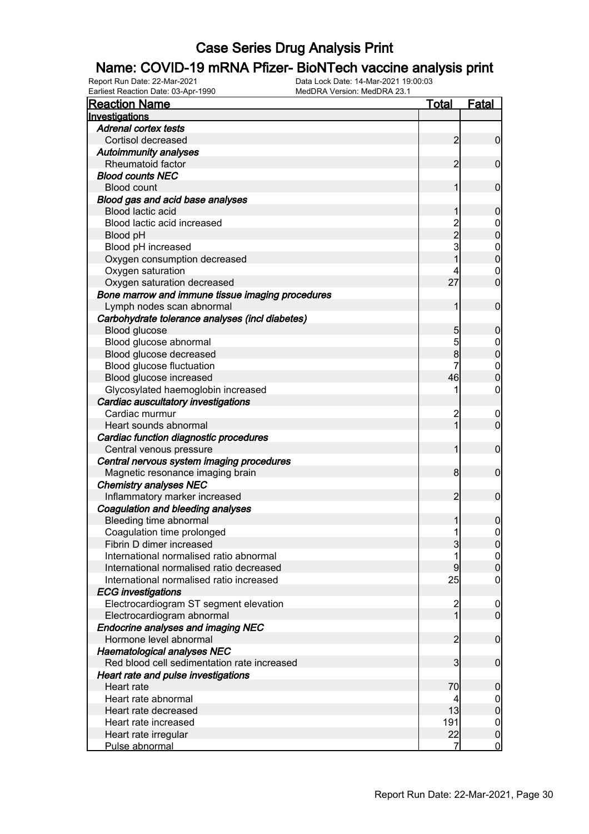## **Name: COVID-19 mRNA Pfizer- BioNTech vaccine analysis print**<br>Report Run Date: 22-Mar-2021

Earliest Reaction Date: 03-Apr-1990

| <b>Reaction Name</b>                             | <u>Total</u>   | <b>Fatal</b>     |
|--------------------------------------------------|----------------|------------------|
| Investigations                                   |                |                  |
| <b>Adrenal cortex tests</b>                      |                |                  |
| Cortisol decreased                               | $\overline{2}$ | $\overline{0}$   |
| <b>Autoimmunity analyses</b>                     |                |                  |
| Rheumatoid factor                                | $\overline{2}$ | $\mathbf 0$      |
| <b>Blood counts NEC</b>                          |                |                  |
| <b>Blood count</b>                               | 1              | $\mathbf 0$      |
| Blood gas and acid base analyses                 |                |                  |
| <b>Blood lactic acid</b>                         | 1              | $\boldsymbol{0}$ |
| Blood lactic acid increased                      |                | $\mathbf 0$      |
| Blood pH                                         |                | $\mathbf 0$      |
| Blood pH increased                               | 2<br>2<br>3    | $\mathbf{0}$     |
| Oxygen consumption decreased                     |                | $\overline{0}$   |
| Oxygen saturation                                |                | $\mathbf 0$      |
| Oxygen saturation decreased                      | 27             | $\mathbf 0$      |
| Bone marrow and immune tissue imaging procedures |                |                  |
| Lymph nodes scan abnormal                        | 1              | $\mathbf 0$      |
| Carbohydrate tolerance analyses (incl diabetes)  |                |                  |
| Blood glucose                                    | 5              | $\boldsymbol{0}$ |
| Blood glucose abnormal                           | 5              | $\boldsymbol{0}$ |
| Blood glucose decreased                          | 8              | $\mathbf 0$      |
| Blood glucose fluctuation                        |                | $\mathbf{0}$     |
| Blood glucose increased                          | 46             | $\overline{0}$   |
| Glycosylated haemoglobin increased               | 1              | $\mathbf 0$      |
| Cardiac auscultatory investigations              |                |                  |
| Cardiac murmur                                   | $\overline{c}$ | $\mathbf 0$      |
| Heart sounds abnormal                            | 1              | $\mathbf 0$      |
| Cardiac function diagnostic procedures           |                |                  |
| Central venous pressure                          | 1              | $\mathbf 0$      |
| Central nervous system imaging procedures        |                |                  |
| Magnetic resonance imaging brain                 | 8              | $\mathbf 0$      |
| <b>Chemistry analyses NEC</b>                    |                |                  |
| Inflammatory marker increased                    | $\overline{2}$ | $\mathbf 0$      |
| Coagulation and bleeding analyses                |                |                  |
| Bleeding time abnormal                           |                | 0                |
| Coagulation time prolonged                       | 1              | 0                |
| Fibrin D dimer increased                         | 3              | 0                |
| International normalised ratio abnormal          |                | $\overline{0}$   |
| International normalised ratio decreased         | 9              | $\pmb{0}$        |
| International normalised ratio increased         | 25             | $\mathbf 0$      |
| <b>ECG</b> investigations                        |                |                  |
| Electrocardiogram ST segment elevation           | $\overline{c}$ | $\mathbf 0$      |
| Electrocardiogram abnormal                       | 1              | $\overline{0}$   |
| <b>Endocrine analyses and imaging NEC</b>        |                |                  |
| Hormone level abnormal                           | $\overline{2}$ | $\boldsymbol{0}$ |
| <b>Haematological analyses NEC</b>               |                |                  |
| Red blood cell sedimentation rate increased      | 3              | $\boldsymbol{0}$ |
| Heart rate and pulse investigations              |                |                  |
| Heart rate                                       | 70             | $\boldsymbol{0}$ |
| Heart rate abnormal                              | 4              | $\overline{0}$   |
| Heart rate decreased                             | 13             | $\pmb{0}$        |
| Heart rate increased                             | 191            | $\boldsymbol{0}$ |
| Heart rate irregular                             | 22             | $\pmb{0}$        |
| Pulse abnormal                                   | $\overline{7}$ | $\mathbf 0$      |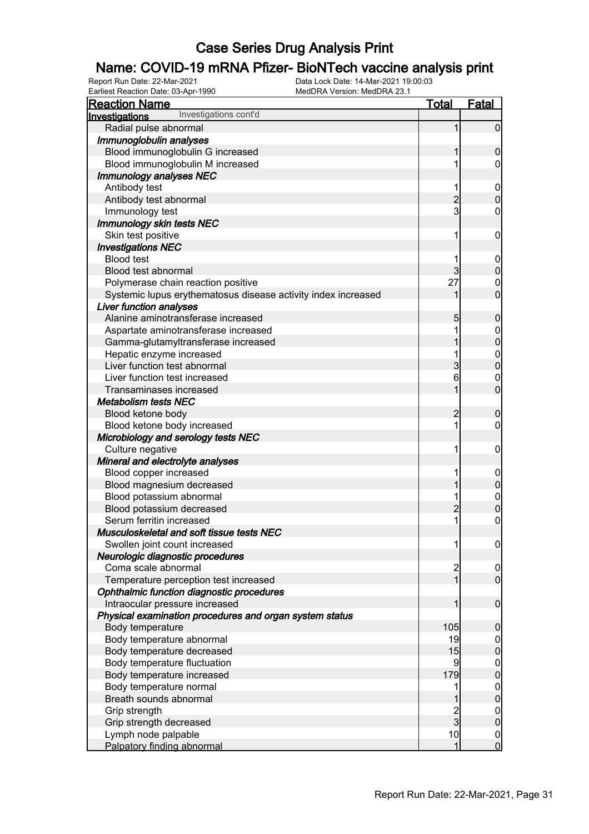# **Name: COVID-19 mRNA Pfizer- BioNTech vaccine analysis print**<br>Report Run Date: 22-Mar-2021

| Lamost Readuoir Date: 00-Apr-1000<br><b>Reaction Name</b>     | <u>Total</u>   | <b>Fatal</b>     |
|---------------------------------------------------------------|----------------|------------------|
| Investigations cont'd                                         |                |                  |
| Investigations<br>Radial pulse abnormal                       | 1              | $\overline{0}$   |
|                                                               |                |                  |
| Immunoglobulin analyses                                       |                |                  |
| Blood immunoglobulin G increased                              |                | 0                |
| Blood immunoglobulin M increased                              |                | 0                |
| <b>Immunology analyses NEC</b>                                |                |                  |
| Antibody test                                                 |                | $\mathbf 0$      |
| Antibody test abnormal                                        | $\overline{2}$ | $\overline{0}$   |
| Immunology test                                               | 3              | 0                |
| <b>Immunology skin tests NEC</b>                              |                |                  |
| Skin test positive                                            |                | $\mathbf 0$      |
| <b>Investigations NEC</b>                                     |                |                  |
| <b>Blood test</b>                                             |                |                  |
| Blood test abnormal                                           | 3              | $\mathbf 0$      |
| Polymerase chain reaction positive                            | 27             | 0                |
| Systemic lupus erythematosus disease activity index increased |                | $\overline{0}$   |
| <b>Liver function analyses</b>                                |                |                  |
| Alanine aminotransferase increased                            | 5              | $\mathbf 0$      |
| Aspartate aminotransferase increased                          |                | $\mathbf{0}$     |
| Gamma-glutamyltransferase increased                           |                | $\mathbf 0$      |
| Hepatic enzyme increased                                      |                | $\mathbf{0}$     |
| Liver function test abnormal                                  | $\overline{3}$ | $\overline{0}$   |
| Liver function test increased                                 | 6              | $\mathbf 0$      |
| Transaminases increased                                       |                | $\overline{0}$   |
| <b>Metabolism tests NEC</b>                                   |                |                  |
| Blood ketone body                                             | 2              | $\mathbf 0$      |
| Blood ketone body increased                                   |                | 0                |
| Microbiology and serology tests NEC                           |                |                  |
|                                                               |                | $\mathbf 0$      |
| Culture negative                                              |                |                  |
| Mineral and electrolyte analyses                              |                |                  |
| Blood copper increased                                        |                | $\mathbf 0$      |
| Blood magnesium decreased                                     |                |                  |
| Blood potassium abnormal                                      |                | $\mathbf{0}$     |
| Blood potassium decreased                                     | $\overline{2}$ | $\overline{0}$   |
| Serum ferritin increased                                      |                | 0                |
| Musculoskeletal and soft tissue tests NEC                     |                |                  |
| Swollen joint count increased                                 |                | $\overline{0}$   |
| Neurologic diagnostic procedures                              |                |                  |
| Coma scale abnormal                                           | $\overline{c}$ | $\overline{0}$   |
| Temperature perception test increased                         | 1              | $\overline{0}$   |
| Ophthalmic function diagnostic procedures                     |                |                  |
| Intraocular pressure increased                                |                | $\mathbf 0$      |
| Physical examination procedures and organ system status       |                |                  |
| Body temperature                                              | 105            | $\mathbf 0$      |
| Body temperature abnormal                                     | 19             | $\mathbf 0$      |
| Body temperature decreased                                    | 15             | $\overline{0}$   |
| Body temperature fluctuation                                  | 9              | $\boldsymbol{0}$ |
| Body temperature increased                                    | 179            | $\overline{0}$   |
| Body temperature normal                                       |                | $\boldsymbol{0}$ |
| Breath sounds abnormal                                        |                | $\overline{0}$   |
| Grip strength                                                 |                | $\boldsymbol{0}$ |
| Grip strength decreased                                       | $\frac{2}{3}$  | $\overline{0}$   |
| Lymph node palpable                                           | 10             | $\overline{0}$   |
| Palpatory finding abnormal                                    | 1              | $\mathbf 0$      |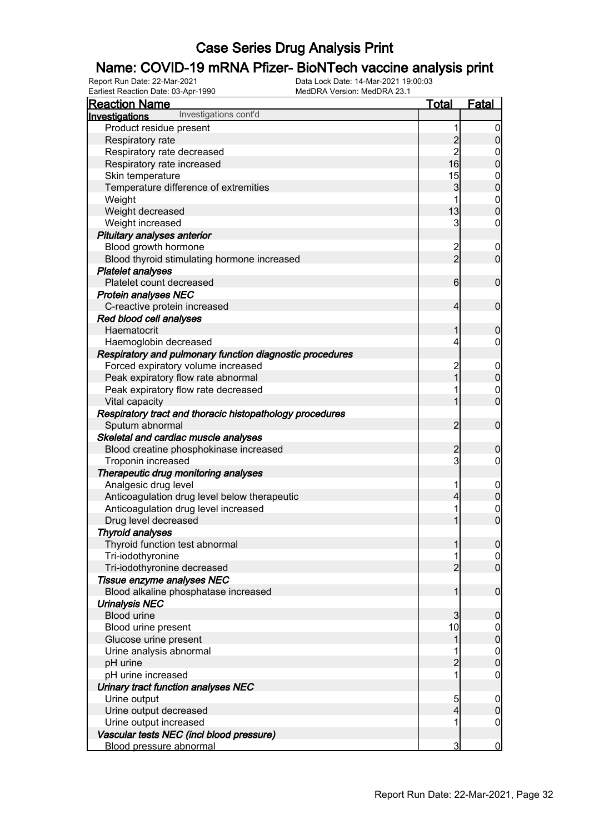# **Name: COVID-19 mRNA Pfizer- BioNTech vaccine analysis print**<br>Report Run Date: 22-Mar-2021

| $\frac{1}{2}$<br><b>Reaction Name</b>                    | <b>Total</b>                              | Fatal                      |
|----------------------------------------------------------|-------------------------------------------|----------------------------|
| Investigations cont'd<br>Investigations                  |                                           |                            |
| Product residue present                                  |                                           | $\boldsymbol{0}$           |
| Respiratory rate                                         | $\overline{c}$                            | $\overline{0}$             |
| Respiratory rate decreased                               | $\overline{c}$                            | 0                          |
| Respiratory rate increased                               | 16                                        | $\overline{0}$             |
| Skin temperature                                         | 15                                        | $\mathbf 0$                |
| Temperature difference of extremities                    | $\overline{3}$                            | $\overline{0}$             |
| Weight                                                   | 1                                         | $\boldsymbol{0}$           |
| Weight decreased                                         | 13                                        | $\overline{0}$             |
| Weight increased                                         | 3                                         | $\mathbf 0$                |
| Pituitary analyses anterior                              |                                           |                            |
| Blood growth hormone                                     |                                           | $\overline{0}$             |
| Blood thyroid stimulating hormone increased              | $\overline{\mathbf{c}}$<br>$\overline{2}$ | $\mathbf 0$                |
| <b>Platelet analyses</b>                                 |                                           |                            |
| Platelet count decreased                                 | $6 \overline{}$                           | $\mathbf 0$                |
| <b>Protein analyses NEC</b>                              |                                           |                            |
| C-reactive protein increased                             | 4                                         | $\mathbf 0$                |
| Red blood cell analyses                                  |                                           |                            |
| Haematocrit                                              |                                           | $\boldsymbol{0}$           |
| Haemoglobin decreased                                    | 4                                         | 0                          |
| Respiratory and pulmonary function diagnostic procedures |                                           |                            |
| Forced expiratory volume increased                       |                                           |                            |
| Peak expiratory flow rate abnormal                       | $\overline{c}$<br>1                       | $\mathbf 0$<br>$\mathbf 0$ |
|                                                          |                                           |                            |
| Peak expiratory flow rate decreased                      |                                           | $\mathbf 0$<br>$\mathbf 0$ |
| Vital capacity                                           |                                           |                            |
| Respiratory tract and thoracic histopathology procedures |                                           |                            |
| Sputum abnormal                                          | $\overline{2}$                            | $\mathbf 0$                |
| Skeletal and cardiac muscle analyses                     |                                           |                            |
| Blood creatine phosphokinase increased                   | $\overline{2}$                            | $\boldsymbol{0}$           |
| Troponin increased                                       | 3                                         | 0                          |
| Therapeutic drug monitoring analyses                     |                                           |                            |
| Analgesic drug level                                     |                                           | $\mathbf 0$                |
| Anticoagulation drug level below therapeutic             | 4                                         | $\mathbf 0$                |
| Anticoagulation drug level increased                     |                                           | $\boldsymbol{0}$           |
| Drug level decreased                                     |                                           | $\overline{0}$             |
| <b>Thyroid analyses</b>                                  |                                           |                            |
| Thyroid function test abnormal                           |                                           | 0                          |
| Tri-iodothyronine                                        |                                           | $\overline{0}$             |
| Tri-iodothyronine decreased                              | 2                                         | $\overline{0}$             |
| Tissue enzyme analyses NEC                               |                                           |                            |
| Blood alkaline phosphatase increased                     | 1                                         | $\mathbf 0$                |
| <b>Urinalysis NEC</b>                                    |                                           |                            |
| <b>Blood urine</b>                                       | 3                                         | $\boldsymbol{0}$           |
| Blood urine present                                      | 10                                        | $\overline{0}$             |
| Glucose urine present                                    |                                           | $\mathbf 0$                |
| Urine analysis abnormal                                  |                                           | $\boldsymbol{0}$           |
| pH urine                                                 | $\overline{2}$                            | $\mathbf 0$                |
| pH urine increased                                       |                                           | 0                          |
| Urinary tract function analyses NEC                      |                                           |                            |
| Urine output                                             | 5                                         | $\overline{0}$             |
| Urine output decreased                                   | 4                                         | $\mathbf 0$                |
| Urine output increased                                   |                                           | $\boldsymbol{0}$           |
| Vascular tests NEC (incl blood pressure)                 |                                           |                            |
| <b>Blood pressure abnormal</b>                           | 3                                         | $\overline{0}$             |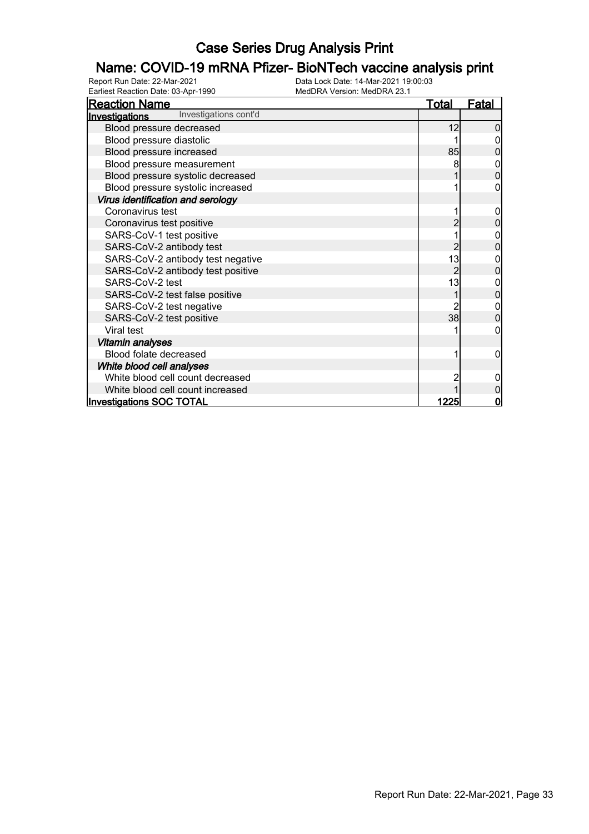# **Name: COVID-19 mRNA Pfizer- BioNTech vaccine analysis print**<br>Report Run Date: 22-Mar-2021

| <b>Reaction Name</b>                    | <u>Total</u> | <b>Fatal</b> |
|-----------------------------------------|--------------|--------------|
| Investigations cont'd<br>Investigations |              |              |
| Blood pressure decreased                | 12           |              |
| Blood pressure diastolic                |              |              |
| Blood pressure increased                | 85           |              |
| Blood pressure measurement              | 8            | 0            |
| Blood pressure systolic decreased       |              | 0            |
| Blood pressure systolic increased       |              |              |
| Virus identification and serology       |              |              |
| Coronavirus test                        |              |              |
| Coronavirus test positive               | 2            |              |
| SARS-CoV-1 test positive                |              |              |
| SARS-CoV-2 antibody test                |              |              |
| SARS-CoV-2 antibody test negative       | 13           |              |
| SARS-CoV-2 antibody test positive       |              |              |
| SARS-CoV-2 test                         | 13           | 0            |
| SARS-CoV-2 test false positive          |              | 0            |
| SARS-CoV-2 test negative                |              |              |
| SARS-CoV-2 test positive                | 38           |              |
| Viral test                              |              |              |
| Vitamin analyses                        |              |              |
| Blood folate decreased                  |              | 0            |
| White blood cell analyses               |              |              |
| White blood cell count decreased        |              |              |
| White blood cell count increased        |              |              |
| <b>Investigations SOC TOTAL</b>         | 1225         | O            |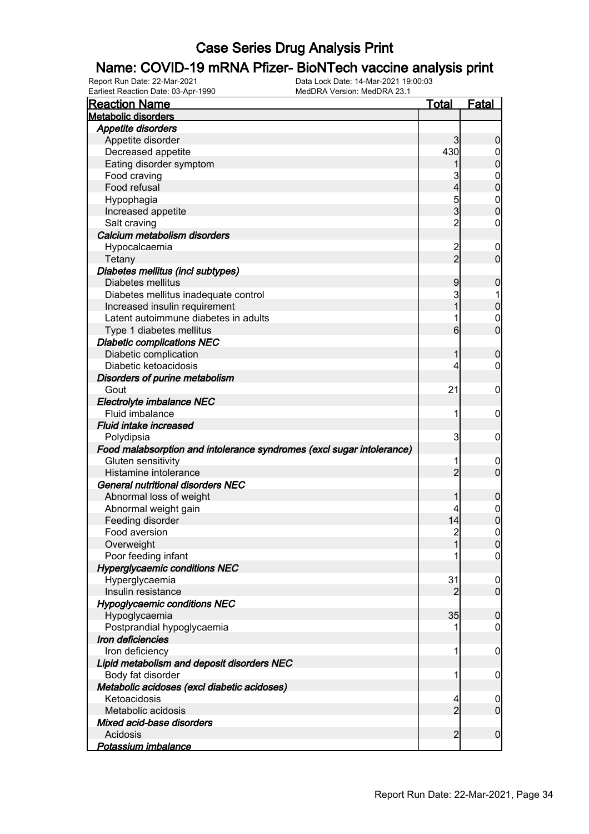## **Name: COVID-19 mRNA Pfizer- BioNTech vaccine analysis print**<br>Report Run Date: 22-Mar-2021

Earliest Reaction Date: 03-Apr-1990

| <b>Reaction Name</b>                                                  | <b>Total</b>        | <b>Fatal</b>               |
|-----------------------------------------------------------------------|---------------------|----------------------------|
| <b>Metabolic disorders</b>                                            |                     |                            |
| <b>Appetite disorders</b>                                             |                     |                            |
| Appetite disorder                                                     | 3                   | $\boldsymbol{0}$           |
| Decreased appetite                                                    | 430                 | 0                          |
| Eating disorder symptom                                               |                     | $\mathbf 0$                |
| Food craving                                                          | 3                   | $\mathbf 0$                |
| Food refusal                                                          | 4                   | $\mathbf 0$                |
| Hypophagia                                                            | 5                   | $\mathbf 0$                |
| Increased appetite                                                    | 3                   | $\mathbf 0$                |
| Salt craving                                                          | $\overline{c}$      | 0                          |
| Calcium metabolism disorders                                          |                     |                            |
| Hypocalcaemia                                                         |                     | $\mathbf 0$                |
| Tetany                                                                | $\frac{2}{2}$       | $\mathbf 0$                |
| Diabetes mellitus (incl subtypes)                                     |                     |                            |
| Diabetes mellitus                                                     | 9                   | $\boldsymbol{0}$           |
| Diabetes mellitus inadequate control                                  | 3                   |                            |
| Increased insulin requirement                                         | 1                   | $\pmb{0}$                  |
| Latent autoimmune diabetes in adults                                  |                     | $\mathbf 0$                |
| Type 1 diabetes mellitus                                              | 6                   | $\mathbf 0$                |
| <b>Diabetic complications NEC</b>                                     |                     |                            |
| Diabetic complication                                                 | 1                   | $\mathbf 0$                |
| Diabetic ketoacidosis                                                 | 4                   | 0                          |
| Disorders of purine metabolism                                        |                     |                            |
| Gout                                                                  | 21                  | $\mathbf 0$                |
| Electrolyte imbalance NEC                                             |                     |                            |
| Fluid imbalance                                                       | 1                   | $\mathbf 0$                |
| <b>Fluid intake increased</b>                                         |                     |                            |
| Polydipsia                                                            | 3                   | $\mathbf 0$                |
| Food malabsorption and intolerance syndromes (excl sugar intolerance) |                     |                            |
| Gluten sensitivity                                                    |                     | $\mathbf 0$                |
| Histamine intolerance                                                 | $\overline{2}$      | $\mathbf 0$                |
| General nutritional disorders NEC                                     |                     |                            |
| Abnormal loss of weight                                               |                     | $\mathbf 0$                |
| Abnormal weight gain                                                  |                     | $\boldsymbol{0}$           |
| Feeding disorder                                                      | 14                  | $\overline{0}$             |
| Food aversion                                                         | $\overline{2}$      | $\boldsymbol{0}$           |
| Overweight                                                            | 1                   | $\overline{0}$             |
| Poor feeding infant                                                   |                     | $\boldsymbol{0}$           |
| <b>Hyperglycaemic conditions NEC</b>                                  |                     |                            |
| Hyperglycaemia                                                        | 31                  | $\mathbf 0$                |
| Insulin resistance                                                    | 2                   | $\mathbf 0$                |
| <b>Hypoglycaemic conditions NEC</b>                                   |                     |                            |
| Hypoglycaemia                                                         | 35                  | $\boldsymbol{0}$           |
| Postprandial hypoglycaemia                                            |                     | $\mathbf 0$                |
| Iron deficiencies                                                     |                     |                            |
| Iron deficiency                                                       | 1                   | $\mathbf 0$                |
| Lipid metabolism and deposit disorders NEC                            |                     |                            |
| Body fat disorder                                                     | 1                   | $\mathbf 0$                |
| Metabolic acidoses (excl diabetic acidoses)                           |                     |                            |
| Ketoacidosis                                                          |                     |                            |
| Metabolic acidosis                                                    | 4<br>$\overline{2}$ | $\mathbf 0$<br>$\mathbf 0$ |
| Mixed acid-base disorders                                             |                     |                            |
| Acidosis                                                              | $\overline{2}$      | $\boldsymbol{0}$           |
|                                                                       |                     |                            |
| <u>Potassium imbalance</u>                                            |                     |                            |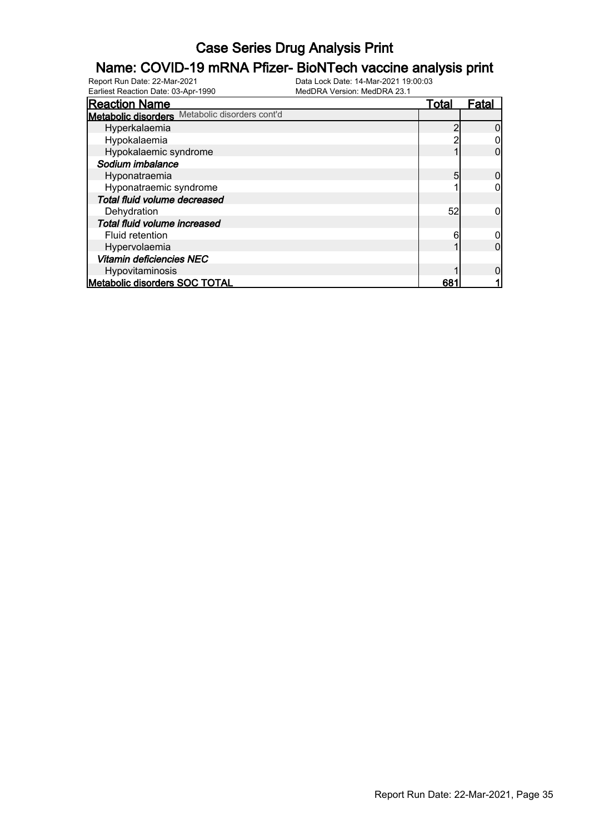## **Name: COVID-19 mRNA Pfizer- BioNTech vaccine analysis print**<br>Report Run Date: 22-Mar-2021

Earliest Reaction Date: 03-Apr-1990

| <b>Reaction Name</b>                           | <b>Total</b> | Fatal |
|------------------------------------------------|--------------|-------|
| Metabolic disorders Metabolic disorders cont'd |              |       |
| Hyperkalaemia                                  |              |       |
| Hypokalaemia                                   |              |       |
| Hypokalaemic syndrome                          |              |       |
| Sodium imbalance                               |              |       |
| Hyponatraemia                                  | 5            |       |
| Hyponatraemic syndrome                         |              |       |
| Total fluid volume decreased                   |              |       |
| Dehydration                                    | 52           |       |
| Total fluid volume increased                   |              |       |
| Fluid retention                                | 6            |       |
| Hypervolaemia                                  |              |       |
| <b>Vitamin deficiencies NEC</b>                |              |       |
| Hypovitaminosis                                |              |       |
| Metabolic disorders SOC TOTAL                  | 68           |       |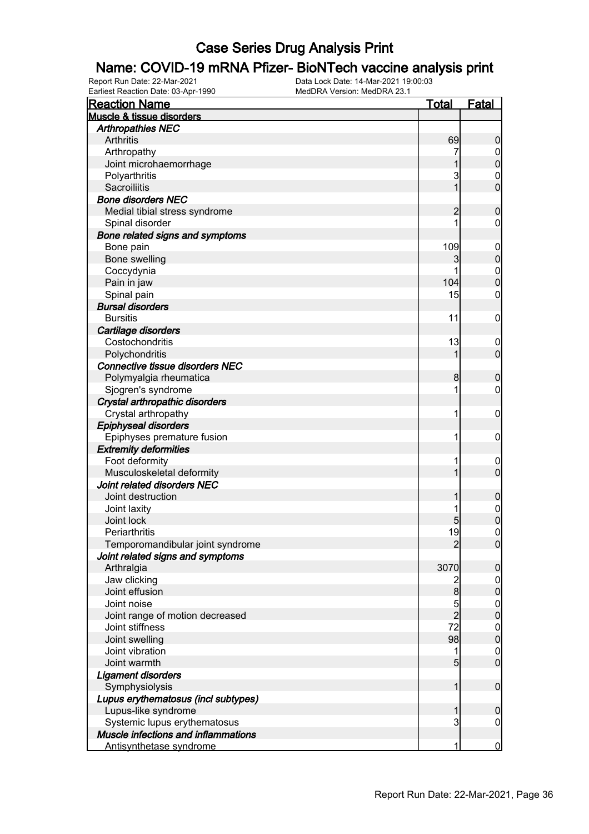## **Name: COVID-19 mRNA Pfizer- BioNTech vaccine analysis print**<br>Report Run Date: 22-Mar-2021

Earliest Reaction Date: 03-Apr-1990

| <b>Reaction Name</b>                       | <b>Total</b>   | <b>Fatal</b>                  |
|--------------------------------------------|----------------|-------------------------------|
| Muscle & tissue disorders                  |                |                               |
| <b>Arthropathies NEC</b>                   |                |                               |
| Arthritis                                  | 69             | $\boldsymbol{0}$              |
| Arthropathy                                |                | 0                             |
| Joint microhaemorrhage                     |                | $\mathbf 0$                   |
| Polyarthritis                              | 3              | $\mathbf 0$                   |
| Sacroiliitis                               | 1              | $\overline{0}$                |
| <b>Bone disorders NEC</b>                  |                |                               |
| Medial tibial stress syndrome              | $\overline{c}$ | $\boldsymbol{0}$              |
| Spinal disorder                            |                | 0                             |
| Bone related signs and symptoms            |                |                               |
| Bone pain                                  | 109            | $\mathbf 0$                   |
| Bone swelling                              | 3              | $\mathbf 0$                   |
| Coccydynia                                 |                | $\mathbf 0$                   |
| Pain in jaw                                | 104            | $\mathbf 0$                   |
| Spinal pain                                | 15             | $\mathbf 0$                   |
| <b>Bursal disorders</b>                    |                |                               |
| <b>Bursitis</b>                            | 11             | $\mathbf 0$                   |
| Cartilage disorders                        |                |                               |
| Costochondritis                            | 13             |                               |
| Polychondritis                             | 1              | $\overline{0}$<br>$\mathbf 0$ |
| Connective tissue disorders NEC            |                |                               |
|                                            |                |                               |
| Polymyalgia rheumatica                     | 8<br>1         | $\boldsymbol{0}$              |
| Sjogren's syndrome                         |                | $\mathbf 0$                   |
| Crystal arthropathic disorders             |                |                               |
| Crystal arthropathy                        | 1              | $\mathbf 0$                   |
| <b>Epiphyseal disorders</b>                |                |                               |
| Epiphyses premature fusion                 | 1              | $\mathbf 0$                   |
| <b>Extremity deformities</b>               |                |                               |
| Foot deformity                             |                | $\mathbf 0$                   |
| Musculoskeletal deformity                  |                | $\mathbf 0$                   |
| Joint related disorders NEC                |                |                               |
| Joint destruction                          |                | $\mathbf 0$                   |
| Joint laxity                               |                | $\boldsymbol{0}$              |
| Joint lock                                 | 5              | $\overline{0}$                |
| Periarthritis                              | 19             | $\mathbf 0$                   |
| Temporomandibular joint syndrome           | $\overline{2}$ | $\overline{0}$                |
| Joint related signs and symptoms           |                |                               |
| Arthralgia                                 | 3070           | $\mathbf 0$                   |
| Jaw clicking                               |                | $\overline{0}$                |
| Joint effusion                             | $\overline{8}$ | $\pmb{0}$                     |
| Joint noise                                | $\frac{5}{2}$  | $\boldsymbol{0}$              |
| Joint range of motion decreased            |                | $\mathbf 0$                   |
| Joint stiffness                            | 72             | $\boldsymbol{0}$              |
| Joint swelling                             | 98             | $\pmb{0}$                     |
| Joint vibration                            | 1              | $\overline{0}$                |
| Joint warmth                               | 5              | $\mathbf 0$                   |
| <b>Ligament disorders</b>                  |                |                               |
| Symphysiolysis                             | 1              | $\boldsymbol{0}$              |
| Lupus erythematosus (incl subtypes)        |                |                               |
| Lupus-like syndrome                        | 1              | $\mathbf 0$                   |
| Systemic lupus erythematosus               | 3              | $\boldsymbol{0}$              |
| <b>Muscle infections and inflammations</b> |                |                               |
| Antisynthetase syndrome                    | 1              | $\overline{0}$                |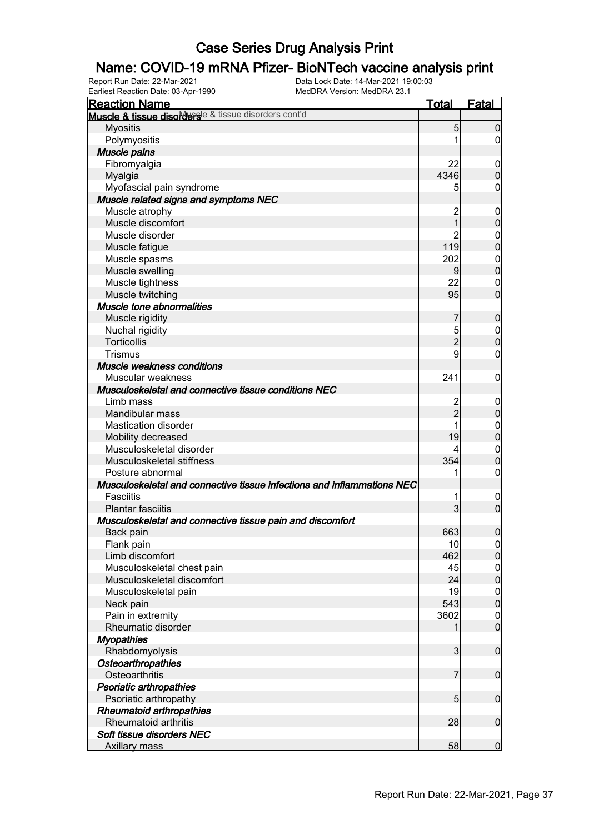## **Name: COVID-19 mRNA Pfizer- BioNTech vaccine analysis print**<br>Report Run Date: 22-Mar-2021

Earliest Reaction Date: 03-Apr-1990

| <b>Reaction Name</b>                                                   | Total                   | <b>Fatal</b>                    |
|------------------------------------------------------------------------|-------------------------|---------------------------------|
| Muscle & tissue disordersle & tissue disorders cont'd                  |                         |                                 |
| <b>Myositis</b>                                                        | 5                       | $\Omega$                        |
| Polymyositis                                                           | 1                       | $\overline{0}$                  |
| Muscle pains                                                           |                         |                                 |
| Fibromyalgia                                                           | 22                      | $\mathbf 0$                     |
| Myalgia                                                                | 4346                    | $\overline{0}$                  |
| Myofascial pain syndrome                                               | 5                       | 0                               |
| Muscle related signs and symptoms NEC                                  |                         |                                 |
| Muscle atrophy                                                         | $\overline{c}$          | $\boldsymbol{0}$                |
| Muscle discomfort                                                      | $\overline{1}$          | $\mathbf 0$                     |
| Muscle disorder                                                        | 2                       | $\mathbf 0$                     |
| Muscle fatigue                                                         | 119                     | $\mathbf 0$                     |
| Muscle spasms                                                          | 202                     | $\mathbf{0}$                    |
| Muscle swelling                                                        | 9                       | $\overline{0}$                  |
| Muscle tightness                                                       | 22                      | $\boldsymbol{0}$                |
| Muscle twitching                                                       | 95                      | $\overline{0}$                  |
| Muscle tone abnormalities                                              |                         |                                 |
| Muscle rigidity                                                        | 7                       | $\boldsymbol{0}$                |
| Nuchal rigidity                                                        | 5                       | $\mathbf 0$                     |
| <b>Torticollis</b>                                                     | $\overline{2}$          | $\overline{0}$                  |
| <b>Trismus</b>                                                         | 9                       | $\mathbf 0$                     |
| Muscle weakness conditions                                             |                         |                                 |
| Muscular weakness                                                      | 241                     | 0                               |
| Musculoskeletal and connective tissue conditions NEC                   |                         |                                 |
| Limb mass                                                              |                         |                                 |
| Mandibular mass                                                        | 2<br>$\overline{2}$     | $\boldsymbol{0}$<br>$\mathbf 0$ |
| <b>Mastication disorder</b>                                            | 1                       |                                 |
|                                                                        | 19                      | $\mathbf 0$<br>$\overline{0}$   |
| Mobility decreased                                                     | 4                       |                                 |
| Musculoskeletal disorder                                               |                         | $\mathbf 0$                     |
| Musculoskeletal stiffness                                              | 354                     | $\overline{0}$                  |
| Posture abnormal                                                       | 1                       | $\mathbf 0$                     |
| Musculoskeletal and connective tissue infections and inflammations NEC |                         |                                 |
| Fasciitis                                                              | 1                       | $\overline{0}$                  |
| <b>Plantar fasciitis</b>                                               | 3                       | $\overline{0}$                  |
| Musculoskeletal and connective tissue pain and discomfort              |                         |                                 |
| Back pain                                                              | 663                     | $\pmb{0}$                       |
| Flank pain                                                             | 10                      | $\overline{0}$                  |
| Limb discomfort                                                        | 462                     | $\overline{0}$                  |
| Musculoskeletal chest pain                                             | 45                      | $\boldsymbol{0}$                |
| Musculoskeletal discomfort                                             | 24                      | $\overline{0}$                  |
| Musculoskeletal pain                                                   | 19                      | $\mathbf{0}$                    |
| Neck pain                                                              | 543                     | $\overline{0}$                  |
| Pain in extremity                                                      | 3602                    | $\mathbf 0$                     |
| Rheumatic disorder                                                     | 1                       | $\overline{0}$                  |
| <b>Myopathies</b>                                                      |                         |                                 |
| Rhabdomyolysis                                                         | $\overline{\mathbf{3}}$ | $\boldsymbol{0}$                |
| <b>Osteoarthropathies</b>                                              |                         |                                 |
| Osteoarthritis                                                         | $\overline{7}$          | $\mathbf 0$                     |
| <b>Psoriatic arthropathies</b>                                         |                         |                                 |
| Psoriatic arthropathy                                                  | $5\overline{)}$         | $\mathbf 0$                     |
| <b>Rheumatoid arthropathies</b>                                        |                         |                                 |
| Rheumatoid arthritis                                                   | 28                      | $\mathbf 0$                     |
| Soft tissue disorders NEC                                              |                         |                                 |
| <b>Axillary mass</b>                                                   | 58                      | $\mathbf 0$                     |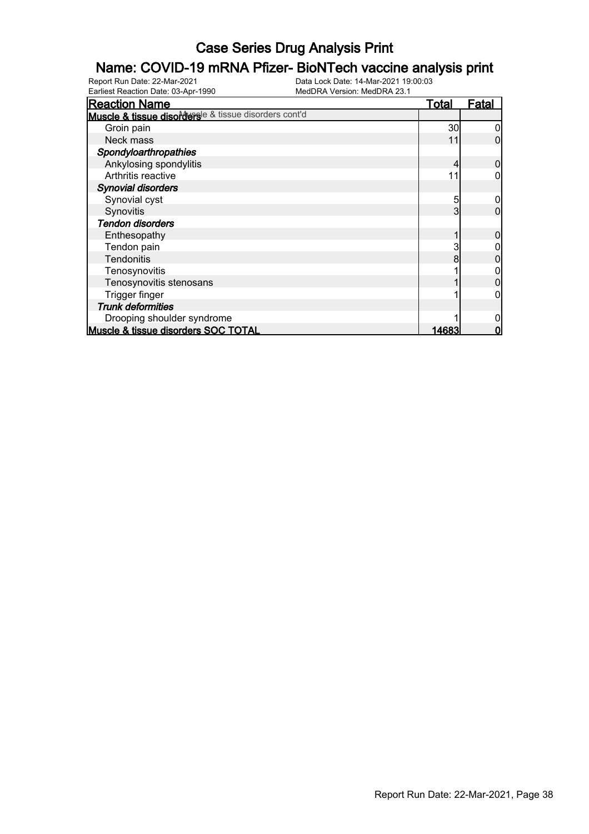## **Name: COVID-19 mRNA Pfizer- BioNTech vaccine analysis print**<br>Report Run Date: 22-Mar-2021

Earliest Reaction Date: 03-Apr-1990

| <b>Reaction Name</b>                                  | <b>Total</b> | <b>Fatal</b> |
|-------------------------------------------------------|--------------|--------------|
| Muscle & tissue disordersle & tissue disorders cont'd |              |              |
| Groin pain                                            | 30           |              |
| Neck mass                                             | 11           |              |
| Spondyloarthropathies                                 |              |              |
| Ankylosing spondylitis                                |              |              |
| Arthritis reactive                                    | 11           |              |
| <b>Synovial disorders</b>                             |              |              |
| Synovial cyst                                         | 5            |              |
| Synovitis                                             | 3            | N            |
| <b>Tendon disorders</b>                               |              |              |
| Enthesopathy                                          |              | 0            |
| Tendon pain                                           | 3            |              |
| <b>Tendonitis</b>                                     | 8            |              |
| Tenosynovitis                                         |              |              |
| Tenosynovitis stenosans                               |              |              |
| Trigger finger                                        |              |              |
| <b>Trunk deformities</b>                              |              |              |
| Drooping shoulder syndrome                            |              |              |
| Muscle & tissue disorders SOC TOTAL                   | 14683        | 0            |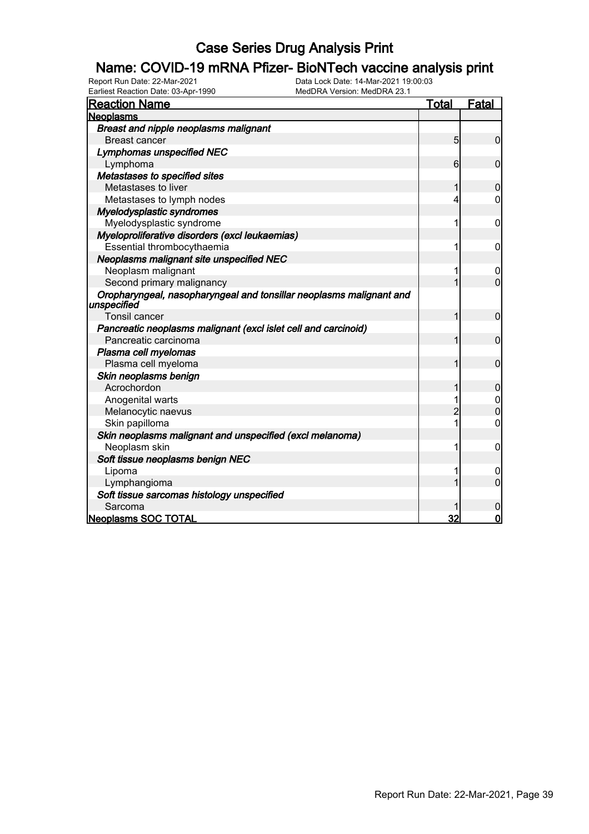## **Name: COVID-19 mRNA Pfizer- BioNTech vaccine analysis print**<br>Report Run Date: 22-Mar-2021

Earliest Reaction Date: 03-Apr-1990

| <b>Reaction Name</b>                                                               | <u>Total</u>    | Fatal            |
|------------------------------------------------------------------------------------|-----------------|------------------|
| <b>Neoplasms</b>                                                                   |                 |                  |
| Breast and nipple neoplasms malignant                                              |                 |                  |
| Breast cancer                                                                      | 5               | $\mathbf 0$      |
| Lymphomas unspecified NEC                                                          |                 |                  |
| Lymphoma                                                                           | $6 \overline{}$ | $\mathbf 0$      |
| Metastases to specified sites                                                      |                 |                  |
| Metastases to liver                                                                | 1               | $\mathbf 0$      |
| Metastases to lymph nodes                                                          | 4               | $\mathbf 0$      |
| Myelodysplastic syndromes                                                          |                 |                  |
| Myelodysplastic syndrome                                                           | 1               | $\mathbf 0$      |
| Myeloproliferative disorders (excl leukaemias)                                     |                 |                  |
| Essential thrombocythaemia                                                         |                 | 0                |
| Neoplasms malignant site unspecified NEC                                           |                 |                  |
| Neoplasm malignant                                                                 | 1               | $\boldsymbol{0}$ |
| Second primary malignancy                                                          |                 | $\overline{0}$   |
| Oropharyngeal, nasopharyngeal and tonsillar neoplasms malignant and<br>unspecified |                 |                  |
| <b>Tonsil cancer</b>                                                               | 1               | $\mathbf 0$      |
| Pancreatic neoplasms malignant (excl islet cell and carcinoid)                     |                 |                  |
| Pancreatic carcinoma                                                               | 1               | $\mathbf 0$      |
| Plasma cell myelomas                                                               |                 |                  |
| Plasma cell myeloma                                                                | 1               | $\mathbf 0$      |
| Skin neoplasms benign                                                              |                 |                  |
| Acrochordon                                                                        | 1               | $\mathbf 0$      |
| Anogenital warts                                                                   | 1               | $\mathbf 0$      |
| Melanocytic naevus                                                                 | $\overline{2}$  | $\mathbf 0$      |
| Skin papilloma                                                                     | 1               | 0                |
| Skin neoplasms malignant and unspecified (excl melanoma)                           |                 |                  |
| Neoplasm skin                                                                      | 1               | 0                |
| Soft tissue neoplasms benign NEC                                                   |                 |                  |
| Lipoma                                                                             |                 | 0                |
| Lymphangioma                                                                       |                 | $\overline{0}$   |
| Soft tissue sarcomas histology unspecified                                         |                 |                  |
| Sarcoma                                                                            |                 | $\boldsymbol{0}$ |
| <b>Neoplasms SOC TOTAL</b>                                                         | 32              | $\overline{0}$   |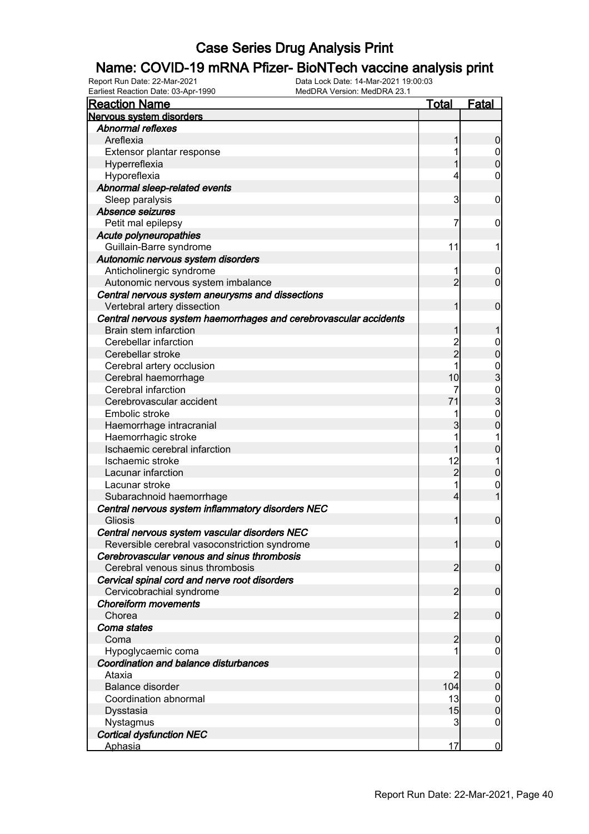## **Name: COVID-19 mRNA Pfizer- BioNTech vaccine analysis print**<br>Report Run Date: 22-Mar-2021

Earliest Reaction Date: 03-Apr-1990

| <b>Reaction Name</b>                                              | <b>Total</b>   | <b>Fatal</b>     |
|-------------------------------------------------------------------|----------------|------------------|
| Nervous system disorders                                          |                |                  |
| <b>Abnormal reflexes</b>                                          |                |                  |
| Areflexia                                                         |                | $\boldsymbol{0}$ |
| Extensor plantar response                                         |                | $\overline{0}$   |
| Hyperreflexia                                                     |                | $\mathbf 0$      |
| Hyporeflexia                                                      | 4              | 0                |
| Abnormal sleep-related events                                     |                |                  |
| Sleep paralysis                                                   | 3              | $\mathbf 0$      |
| Absence seizures                                                  |                |                  |
| Petit mal epilepsy                                                | 7              | $\mathbf 0$      |
| <b>Acute polyneuropathies</b>                                     |                |                  |
| Guillain-Barre syndrome                                           | 11             | 1                |
| Autonomic nervous system disorders                                |                |                  |
| Anticholinergic syndrome                                          |                | 0                |
| Autonomic nervous system imbalance                                | $\overline{2}$ | $\mathbf 0$      |
| Central nervous system aneurysms and dissections                  |                |                  |
| Vertebral artery dissection                                       |                | $\mathbf 0$      |
| Central nervous system haemorrhages and cerebrovascular accidents |                |                  |
| Brain stem infarction                                             | 1              |                  |
| Cerebellar infarction                                             |                | 0                |
| Cerebellar stroke                                                 | 2<br>2         | $\mathbf 0$      |
| Cerebral artery occlusion                                         | 1              |                  |
| Cerebral haemorrhage                                              | 10             | 0<br>3           |
| Cerebral infarction                                               |                |                  |
| Cerebrovascular accident                                          | 71             | $\frac{0}{3}$    |
| Embolic stroke                                                    |                | $\mathbf 0$      |
| Haemorrhage intracranial                                          | 3              | $\mathbf 0$      |
| Haemorrhagic stroke                                               |                |                  |
| Ischaemic cerebral infarction                                     | 1              | $\boldsymbol{0}$ |
| Ischaemic stroke                                                  | 12             |                  |
| Lacunar infarction                                                | $\overline{c}$ | $\pmb{0}$        |
| Lacunar stroke                                                    |                | 0                |
| Subarachnoid haemorrhage                                          | 4              | 1                |
| Central nervous system inflammatory disorders NEC                 |                |                  |
| Gliosis                                                           | 1              | $\mathbf 0$      |
| Central nervous system vascular disorders NEC                     |                |                  |
| Reversible cerebral vasoconstriction syndrome                     | 1              | $\overline{0}$   |
| Cerebrovascular venous and sinus thrombosis                       |                |                  |
| Cerebral venous sinus thrombosis                                  | $\overline{2}$ | $\mathbf 0$      |
| Cervical spinal cord and nerve root disorders                     |                |                  |
| Cervicobrachial syndrome                                          | $\overline{2}$ | $\mathbf 0$      |
| <b>Choreiform movements</b>                                       |                |                  |
| Chorea                                                            | $\overline{2}$ | $\mathbf 0$      |
| Coma states                                                       |                |                  |
| Coma                                                              | $\overline{c}$ | $\mathbf 0$      |
| Hypoglycaemic coma                                                |                | 0                |
| Coordination and balance disturbances                             |                |                  |
| Ataxia                                                            | 2              | $\boldsymbol{0}$ |
| <b>Balance disorder</b>                                           | 104            | $\pmb{0}$        |
| Coordination abnormal                                             | 13             | $\overline{0}$   |
| Dysstasia                                                         | 15             | $\pmb{0}$        |
| Nystagmus                                                         | 3              | $\boldsymbol{0}$ |
| <b>Cortical dysfunction NEC</b>                                   |                |                  |
| Aphasia                                                           | 17             | 0                |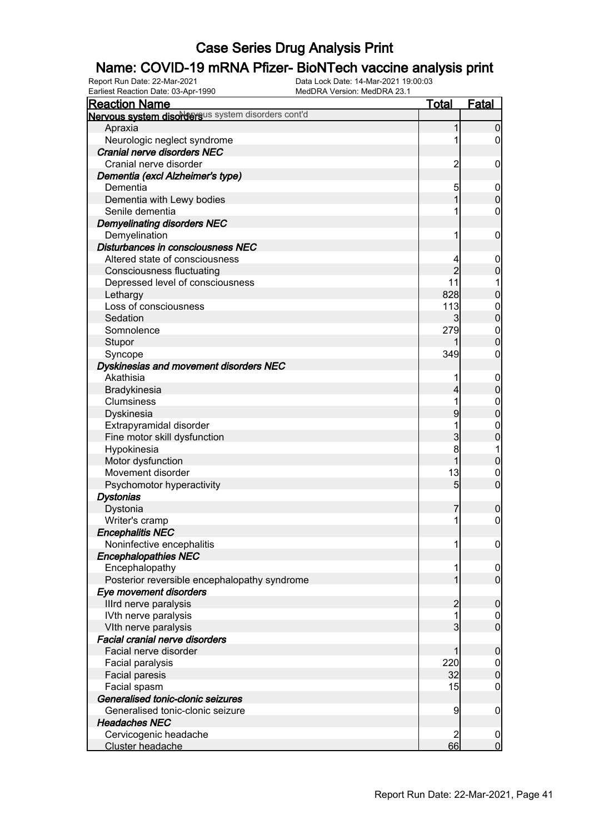#### Name: COVID-19 mRNA Pfizer- BioNTech vaccine analysis print

Earliest Reaction Date: 03-Apr-1990 MedDRA Version: MedDRA 23.1

| Latilest Reaction Date: 03-Apr-1990<br><b>Reaction Name</b> | MEUDINA VEISIUII. MEUDINA ZJ. I | <b>Total</b> | Fatal            |
|-------------------------------------------------------------|---------------------------------|--------------|------------------|
| Nervous system disordersus system disorders cont'd          |                                 |              |                  |
| Apraxia                                                     |                                 | 1            | $\mathbf 0$      |
| Neurologic neglect syndrome                                 |                                 |              | 0                |
| <b>Cranial nerve disorders NEC</b>                          |                                 |              |                  |
| Cranial nerve disorder                                      |                                 | 2            | 0                |
| Dementia (excl Alzheimer's type)                            |                                 |              |                  |
| Dementia                                                    |                                 | 5            | $\boldsymbol{0}$ |
| Dementia with Lewy bodies                                   |                                 | 1            | $\overline{0}$   |
| Senile dementia                                             |                                 |              | 0                |
| <b>Demyelinating disorders NEC</b>                          |                                 |              |                  |
| Demyelination                                               |                                 |              | 0                |
| Disturbances in consciousness NEC                           |                                 |              |                  |
| Altered state of consciousness                              |                                 |              | $\boldsymbol{0}$ |
| <b>Consciousness fluctuating</b>                            |                                 |              | $\mathbf 0$      |
| Depressed level of consciousness                            |                                 | 11           |                  |
| Lethargy                                                    |                                 | 828          | $\mathbf 0$      |
| Loss of consciousness                                       |                                 | 113          | $\mathbf 0$      |
| Sedation                                                    |                                 | 3            | $\overline{0}$   |
| Somnolence                                                  |                                 | 279          | $\boldsymbol{0}$ |
| Stupor                                                      |                                 |              | $\overline{0}$   |
| Syncope                                                     |                                 | 349          | 0                |
| Dyskinesias and movement disorders NEC                      |                                 |              |                  |
| Akathisia                                                   |                                 |              | 0                |
| Bradykinesia                                                |                                 | 4            | $\mathbf 0$      |
| Clumsiness                                                  |                                 |              | 0                |
| Dyskinesia                                                  |                                 | 9            | $\overline{0}$   |
| Extrapyramidal disorder                                     |                                 |              | $\mathbf 0$      |
| Fine motor skill dysfunction                                |                                 | 3            | $\overline{0}$   |
| Hypokinesia                                                 |                                 | 8            | 1                |
| Motor dysfunction                                           |                                 | 1            | $\mathbf 0$      |
| Movement disorder                                           |                                 | 13           | $\mathbf 0$      |
| Psychomotor hyperactivity                                   |                                 | 5            | $\overline{0}$   |
| <b>Dystonias</b>                                            |                                 |              |                  |
| Dystonia                                                    |                                 | 7            | $\mathbf 0$      |
| Writer's cramp                                              |                                 |              | 0                |
| <b>Encephalitis NEC</b>                                     |                                 |              |                  |
| Noninfective encephalitis                                   |                                 |              | $\overline{0}$   |
| <b>Encephalopathies NEC</b>                                 |                                 |              |                  |
| Encephalopathy                                              |                                 |              | $\overline{0}$   |
| Posterior reversible encephalopathy syndrome                |                                 |              | $\mathbf 0$      |
| Eye movement disorders                                      |                                 |              |                  |
| Illrd nerve paralysis                                       |                                 | 2            | $\mathbf 0$      |
| IVth nerve paralysis                                        |                                 | 1            | $\boldsymbol{0}$ |
| Vith nerve paralysis                                        |                                 | 3            | $\overline{0}$   |
| Facial cranial nerve disorders                              |                                 |              |                  |
| Facial nerve disorder                                       |                                 |              | $\mathbf 0$      |
| Facial paralysis                                            |                                 | 220          | $\mathbf 0$      |
| <b>Facial paresis</b>                                       |                                 | 32           | $\overline{0}$   |
| Facial spasm                                                |                                 | 15           | 0                |
| Generalised tonic-clonic seizures                           |                                 |              |                  |
| Generalised tonic-clonic seizure                            |                                 | 9            | $\boldsymbol{0}$ |
| <b>Headaches NEC</b>                                        |                                 |              |                  |
| Cervicogenic headache                                       |                                 | 2            | $\overline{0}$   |
| Cluster headache                                            |                                 | 66           | $\overline{0}$   |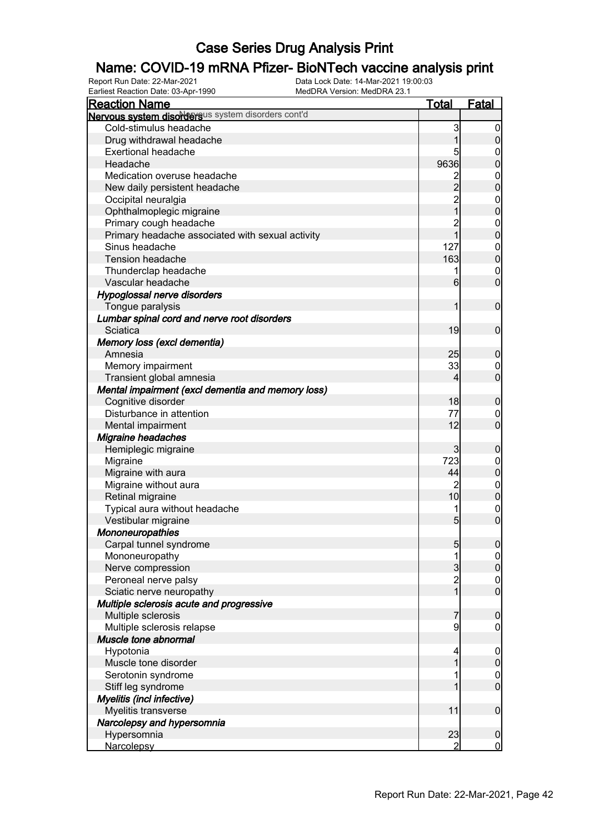# **Name: COVID-19 mRNA Pfizer- BioNTech vaccine analysis print**<br>Report Run Date: 22-Mar-2021

| loot Houblin Dulo. Oo Hpi<br><b>Reaction Name</b>  | <u>Total</u>         | Fatal                           |
|----------------------------------------------------|----------------------|---------------------------------|
| Nervous system disordersus system disorders cont'd |                      |                                 |
| Cold-stimulus headache                             | 3                    | $\boldsymbol{0}$                |
| Drug withdrawal headache                           |                      | $\overline{0}$                  |
| <b>Exertional headache</b>                         | 5                    | $\mathbf 0$                     |
| Headache                                           | 9636                 | $\overline{0}$                  |
| Medication overuse headache                        |                      | $\mathbf 0$                     |
| New daily persistent headache                      | $\frac{2}{2}$        | $\mathbf 0$                     |
| Occipital neuralgia                                |                      | $\boldsymbol{0}$                |
| Ophthalmoplegic migraine                           | $\overline{1}$       | $\overline{0}$                  |
| Primary cough headache                             |                      | $\mathbf 0$                     |
| Primary headache associated with sexual activity   | 1                    | $\overline{0}$                  |
| Sinus headache                                     | 127                  |                                 |
| <b>Tension headache</b>                            | 163                  | $\mathbf 0$<br>$\mathbf 0$      |
|                                                    |                      |                                 |
| Thunderclap headache                               |                      | $\mathbf 0$                     |
| Vascular headache                                  | 6                    | $\mathbf 0$                     |
| Hypoglossal nerve disorders                        |                      |                                 |
| Tongue paralysis                                   |                      | $\mathbf 0$                     |
| Lumbar spinal cord and nerve root disorders        |                      |                                 |
| Sciatica                                           | 19                   | $\mathbf 0$                     |
| Memory loss (excl dementia)                        |                      |                                 |
| Amnesia                                            | 25                   | $\mathbf 0$                     |
| Memory impairment                                  | 33                   | $\boldsymbol{0}$                |
| Transient global amnesia                           | 4                    | $\overline{0}$                  |
| Mental impairment (excl dementia and memory loss)  |                      |                                 |
| Cognitive disorder                                 | 18                   | $\mathbf 0$                     |
| Disturbance in attention                           | 77                   | 0                               |
| Mental impairment                                  | 12                   | $\overline{0}$                  |
| <b>Migraine headaches</b>                          |                      |                                 |
| Hemiplegic migraine                                | 3                    | $\boldsymbol{0}$                |
| Migraine                                           | 723                  | $\mathbf 0$                     |
| Migraine with aura                                 | 44                   | $\boldsymbol{0}$                |
| Migraine without aura                              |                      | $\mathbf 0$                     |
| Retinal migraine                                   | 10                   | $\pmb{0}$                       |
| Typical aura without headache                      |                      | $\mathbf 0$                     |
| Vestibular migraine                                | $5\overline{)}$      | $\overline{0}$                  |
| Mononeuropathies                                   |                      |                                 |
| Carpal tunnel syndrome                             | 5                    | 0                               |
| Mononeuropathy                                     |                      | $\overline{0}$                  |
| Nerve compression                                  | 3                    | $\mathbf 0$                     |
| Peroneal nerve palsy                               | $\overline{c}$       | $\boldsymbol{0}$                |
| Sciatic nerve neuropathy                           | 1                    | $\overline{0}$                  |
| Multiple sclerosis acute and progressive           |                      |                                 |
| Multiple sclerosis                                 | 7                    | $\boldsymbol{0}$                |
| Multiple sclerosis relapse                         | 9                    | 0                               |
| Muscle tone abnormal                               |                      |                                 |
| Hypotonia                                          |                      | $\mathbf 0$                     |
| Muscle tone disorder                               |                      | $\mathbf 0$                     |
| Serotonin syndrome                                 |                      | $\boldsymbol{0}$                |
| Stiff leg syndrome                                 |                      | $\overline{0}$                  |
| <b>Myelitis (incl infective)</b>                   |                      |                                 |
| Myelitis transverse                                | 11                   | $\boldsymbol{0}$                |
| Narcolepsy and hypersomnia                         |                      |                                 |
|                                                    |                      |                                 |
|                                                    |                      |                                 |
| Hypersomnia<br>Narcolepsy                          | 23<br>$\overline{c}$ | $\boldsymbol{0}$<br>$\mathbf 0$ |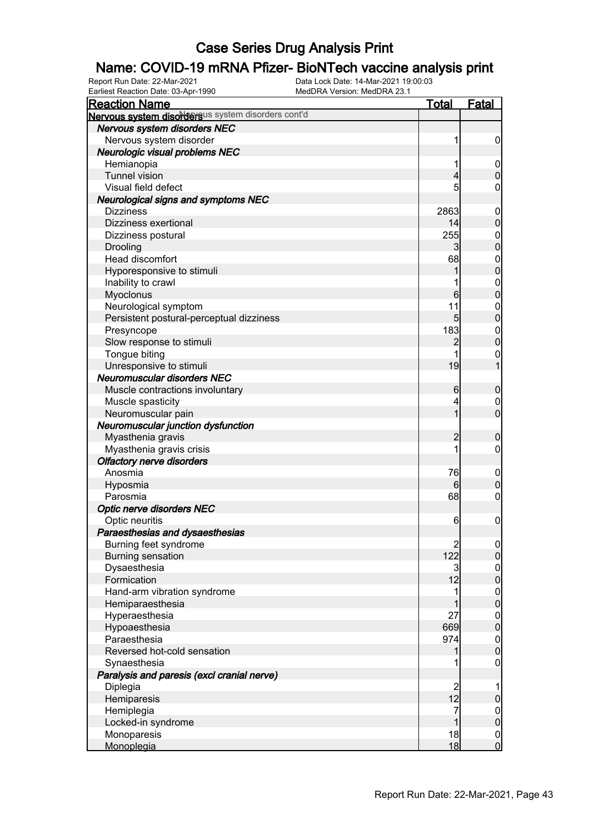## **Name: COVID-19 mRNA Pfizer- BioNTech vaccine analysis print**<br>Report Run Date: 22-Mar-2021

Earliest Reaction Date: 03-Apr-1990

| <b>Reaction Name</b>                               | <b>Total</b>                           | <b>Fatal</b>                         |
|----------------------------------------------------|----------------------------------------|--------------------------------------|
| Nervous system disordersus system disorders cont'd |                                        |                                      |
| Nervous system disorders NEC                       |                                        |                                      |
| Nervous system disorder                            | 1                                      | $\boldsymbol{0}$                     |
| Neurologic visual problems NEC                     |                                        |                                      |
| Hemianopia                                         | 1                                      | $\mathbf 0$                          |
| <b>Tunnel vision</b>                               | 4                                      | $\boldsymbol{0}$                     |
| Visual field defect                                | 5                                      | 0                                    |
| Neurological signs and symptoms NEC                |                                        |                                      |
| <b>Dizziness</b>                                   | 2863                                   | $\mathbf 0$                          |
| Dizziness exertional                               | 14                                     | $\mathbf 0$                          |
| Dizziness postural                                 | 255                                    | $\boldsymbol{0}$                     |
| Drooling                                           | 3                                      | $\overline{0}$                       |
| Head discomfort                                    | 68                                     | $\boldsymbol{0}$                     |
| Hyporesponsive to stimuli                          | 1                                      | $\overline{0}$                       |
| Inability to crawl                                 |                                        | $\boldsymbol{0}$                     |
| Myoclonus                                          | 6                                      | $\overline{0}$                       |
| Neurological symptom                               | 11                                     | $\mathbf 0$                          |
| Persistent postural-perceptual dizziness           | 5                                      | $\mathbf 0$                          |
| Presyncope                                         | 183                                    | $\boldsymbol{0}$                     |
| Slow response to stimuli                           | $\overline{c}$                         | $\mathbf 0$                          |
| Tongue biting                                      |                                        | 0                                    |
| Unresponsive to stimuli                            | 19                                     | 1                                    |
| <b>Neuromuscular disorders NEC</b>                 |                                        |                                      |
| Muscle contractions involuntary                    | 6                                      | $\mathbf 0$                          |
| Muscle spasticity                                  | 4                                      | 0                                    |
| Neuromuscular pain                                 | 1                                      | $\mathbf 0$                          |
| Neuromuscular junction dysfunction                 |                                        |                                      |
| Myasthenia gravis                                  | $\overline{c}$                         | $\mathbf 0$                          |
| Myasthenia gravis crisis                           | 1                                      | 0                                    |
| <b>Olfactory nerve disorders</b>                   |                                        |                                      |
| Anosmia                                            | 76                                     | $\mathbf 0$                          |
| Hyposmia                                           | 6                                      | $\mathbf 0$                          |
| Parosmia                                           | 68                                     | $\mathbf 0$                          |
| <b>Optic nerve disorders NEC</b>                   |                                        |                                      |
| Optic neuritis                                     | 6                                      | $\boldsymbol{0}$                     |
| Paraesthesias and dysaesthesias                    |                                        |                                      |
| Burning feet syndrome                              |                                        | 0                                    |
| <b>Burning sensation</b>                           | $\frac{2}{122}$                        | 0                                    |
| Dysaesthesia                                       | 3                                      |                                      |
| Formication                                        | 12                                     | $\begin{matrix} 0 \\ 0 \end{matrix}$ |
| Hand-arm vibration syndrome                        | 1                                      |                                      |
| Hemiparaesthesia                                   | 1                                      | $\begin{matrix} 0 \\ 0 \end{matrix}$ |
| Hyperaesthesia                                     | 27                                     | $\boldsymbol{0}$                     |
| Hypoaesthesia                                      | 669                                    | $\overline{0}$                       |
| Paraesthesia                                       | 974                                    |                                      |
| Reversed hot-cold sensation                        |                                        | $0$<br>0                             |
| Synaesthesia                                       |                                        | $\mathbf 0$                          |
| Paralysis and paresis (excl cranial nerve)         |                                        |                                      |
| Diplegia                                           |                                        | 1                                    |
| Hemiparesis                                        | $\begin{array}{c} 2 \\ 12 \end{array}$ | $\pmb{0}$                            |
| Hemiplegia                                         | 7                                      | $\boldsymbol{0}$                     |
| Locked-in syndrome                                 | 1                                      | $\overline{0}$                       |
| Monoparesis                                        | 18                                     | $\overline{0}$                       |
| Monoplegia                                         | 18                                     | $\mathbf 0$                          |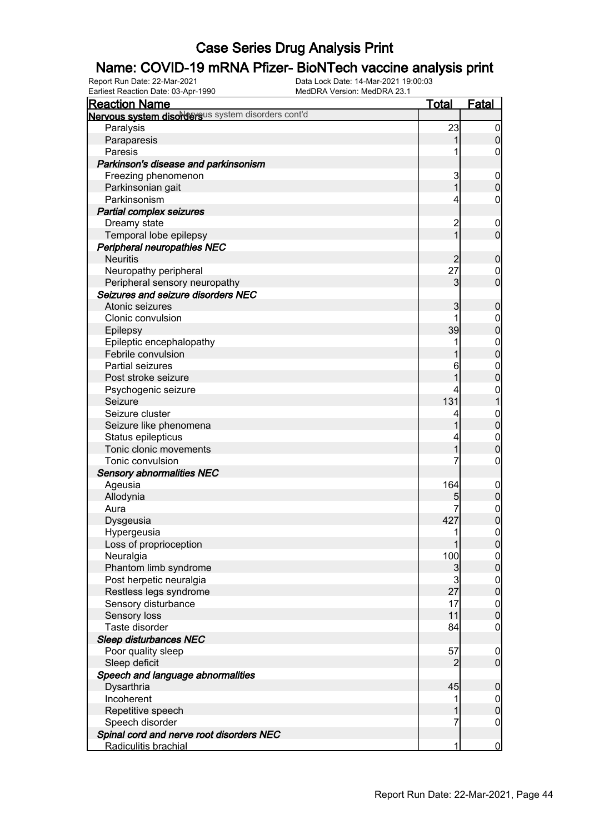## **Name: COVID-19 mRNA Pfizer- BioNTech vaccine analysis print**<br>Report Run Date: 22-Mar-2021

Earliest Reaction Date: 03-Apr-1990

| <b>Reaction Name</b>                               | <b>Total</b>            | <b>Fatal</b>                         |
|----------------------------------------------------|-------------------------|--------------------------------------|
| Nervous system disordersus system disorders cont'd |                         |                                      |
| Paralysis                                          | 23                      | $\overline{0}$                       |
| Paraparesis                                        |                         | $\boldsymbol{0}$                     |
| Paresis                                            |                         | 0                                    |
| Parkinson's disease and parkinsonism               |                         |                                      |
| Freezing phenomenon                                | 3                       | $\mathbf 0$                          |
| Parkinsonian gait                                  | 1                       | $\mathbf 0$                          |
| Parkinsonism                                       | 4                       | $\mathbf 0$                          |
| <b>Partial complex seizures</b>                    |                         |                                      |
| Dreamy state                                       | $\overline{\mathbf{c}}$ | $\mathbf 0$                          |
| Temporal lobe epilepsy                             | 1                       | $\mathbf 0$                          |
| <b>Peripheral neuropathies NEC</b>                 |                         |                                      |
| <b>Neuritis</b>                                    | $\overline{c}$          | $\mathbf 0$                          |
| Neuropathy peripheral                              | 27                      | 0                                    |
| Peripheral sensory neuropathy                      | 3                       | $\mathbf 0$                          |
| Seizures and seizure disorders NEC                 |                         |                                      |
| Atonic seizures                                    | 3                       | $\mathbf 0$                          |
| Clonic convulsion                                  | 1                       | $\boldsymbol{0}$                     |
| Epilepsy                                           | 39                      | $\mathbf 0$                          |
| Epileptic encephalopathy                           |                         | $\boldsymbol{0}$                     |
| Febrile convulsion                                 |                         | $\mathbf 0$                          |
| <b>Partial seizures</b>                            | 6                       | $\mathbf{0}$                         |
| Post stroke seizure                                |                         | $\mathbf 0$                          |
| Psychogenic seizure                                |                         | $\mathbf 0$                          |
| Seizure                                            | 131                     | 1                                    |
| Seizure cluster                                    |                         | $\mathbf{0}$                         |
| Seizure like phenomena                             |                         | $\mathbf 0$                          |
| Status epilepticus                                 |                         | $\boldsymbol{0}$                     |
| Tonic clonic movements                             |                         | $\mathbf 0$                          |
| Tonic convulsion                                   |                         | 0                                    |
| <b>Sensory abnormalities NEC</b>                   |                         |                                      |
| Ageusia                                            | 164                     | $\mathbf 0$                          |
| Allodynia                                          | 5                       | $\pmb{0}$                            |
| Aura                                               |                         | $\boldsymbol{0}$                     |
| Dysgeusia                                          | 427                     | $\overline{0}$                       |
| Hypergeusia                                        | 11                      | $\pmb{0}$                            |
| Loss of proprioception                             | 1                       | $\overline{0}$                       |
| Neuralgia                                          | 100                     | $\overline{0}$                       |
| Phantom limb syndrome                              | $\mathfrak{S}$          | $\mathbf 0$                          |
| Post herpetic neuralgia                            | 3                       |                                      |
| Restless legs syndrome                             | 27                      | $\begin{matrix} 0 \\ 0 \end{matrix}$ |
| Sensory disturbance                                | 17                      | $\overline{0}$                       |
| Sensory loss                                       | 11                      | $\mathbf 0$                          |
| Taste disorder                                     | 84                      | $\mathbf 0$                          |
| <b>Sleep disturbances NEC</b>                      |                         |                                      |
| Poor quality sleep                                 | 57                      | $\mathbf 0$                          |
| Sleep deficit                                      | $\overline{c}$          | $\mathbf 0$                          |
| Speech and language abnormalities                  |                         |                                      |
| Dysarthria                                         | 45                      | $\mathbf 0$                          |
| Incoherent                                         |                         | $\overline{0}$                       |
| Repetitive speech                                  |                         | $\pmb{0}$                            |
| Speech disorder                                    | 7                       | $\mathbf 0$                          |
| Spinal cord and nerve root disorders NEC           |                         |                                      |
| Radiculitis brachial                               | 1                       | $\overline{0}$                       |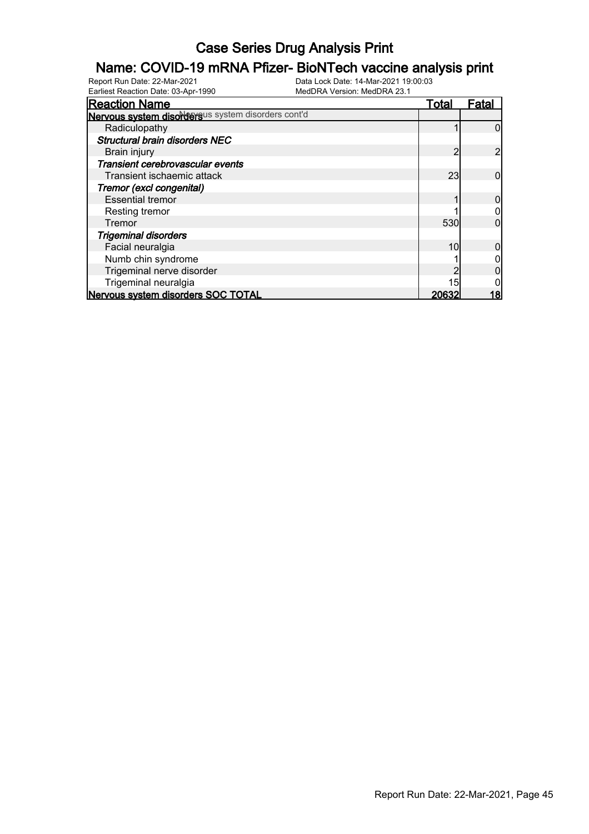# **Name: COVID-19 mRNA Pfizer- BioNTech vaccine analysis print**<br>Report Run Date: 22-Mar-2021

| Lancot Roadwon Dato. 00 Mph 1000                   |                 |       |
|----------------------------------------------------|-----------------|-------|
| <b>Reaction Name</b>                               | <u>Total</u>    | Fatal |
| Nervous system disordersus system disorders cont'd |                 |       |
| Radiculopathy                                      |                 |       |
| <b>Structural brain disorders NEC</b>              |                 |       |
| Brain injury                                       | っ               |       |
| Transient cerebrovascular events                   |                 |       |
| Transient ischaemic attack                         | 23              |       |
| Tremor (excl congenital)                           |                 |       |
| <b>Essential tremor</b>                            |                 |       |
| Resting tremor                                     |                 |       |
| Tremor                                             | 530             |       |
| <b>Trigeminal disorders</b>                        |                 |       |
| Facial neuralgia                                   | 10              |       |
| Numb chin syndrome                                 |                 |       |
| Trigeminal nerve disorder                          |                 |       |
| Trigeminal neuralgia                               | 15 <sub>l</sub> |       |
| Nervous system disorders SOC TOTAL                 | 20632           | 18    |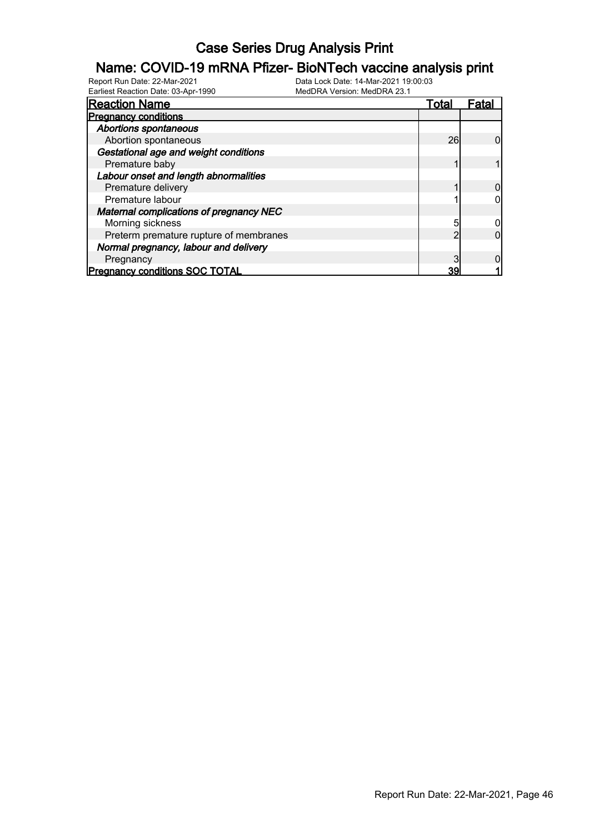#### Name: COVID-19 mRNA Pfizer- BioNTech vaccine analysis print

Earliest Reaction Date: 03-Apr-1990 MedDRA Version: MedDRA 23.1

| <b>Reaction Name</b>                           | <u>Total</u> | Fatal |
|------------------------------------------------|--------------|-------|
| <b>Pregnancy conditions</b>                    |              |       |
| <b>Abortions spontaneous</b>                   |              |       |
| Abortion spontaneous                           | 26           |       |
| Gestational age and weight conditions          |              |       |
| Premature baby                                 |              |       |
| Labour onset and length abnormalities          |              |       |
| Premature delivery                             |              |       |
| Premature labour                               |              |       |
| <b>Maternal complications of pregnancy NEC</b> |              |       |
| Morning sickness                               | 5            |       |
| Preterm premature rupture of membranes         |              |       |
| Normal pregnancy, labour and delivery          |              |       |
| Pregnancy                                      |              |       |
| <b>Pregnancy conditions SOC TOTAL</b>          |              |       |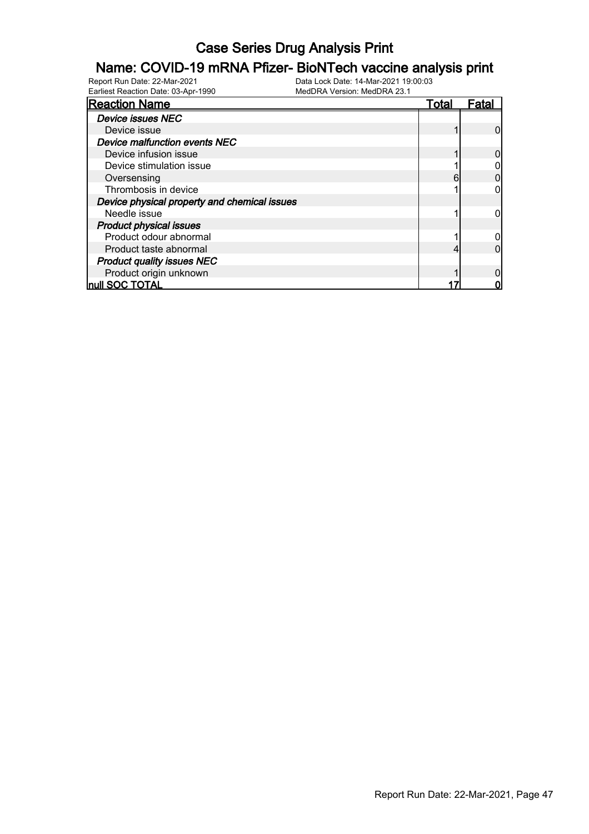#### Name: COVID-19 mRNA Pfizer- BioNTech vaccine analysis print

Earliest Reaction Date: 03-Apr-1990 MedDRA Version: MedDRA 23.1

| <b>Reaction Name</b>                         | Total | Fatal |
|----------------------------------------------|-------|-------|
| <b>Device issues NEC</b>                     |       |       |
| Device issue                                 |       |       |
| Device malfunction events NEC                |       |       |
| Device infusion issue                        |       |       |
| Device stimulation issue                     |       |       |
| Oversensing                                  | հ     |       |
| Thrombosis in device                         |       |       |
| Device physical property and chemical issues |       |       |
| Needle issue                                 |       |       |
| <b>Product physical issues</b>               |       |       |
| Product odour abnormal                       |       |       |
| Product taste abnormal                       |       |       |
| <b>Product quality issues NEC</b>            |       |       |
| Product origin unknown                       |       |       |
| <b>Inull SOC TOTAL</b>                       |       |       |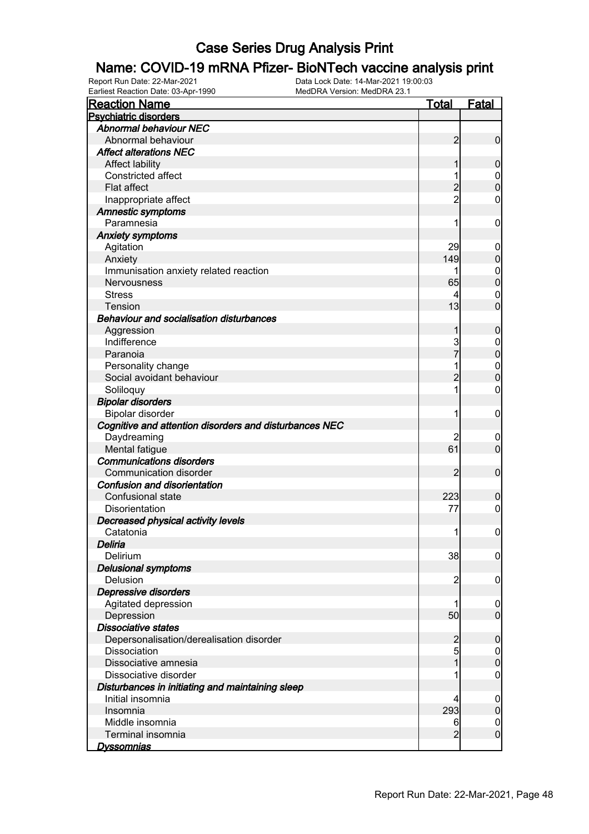#### Name: COVID-19 mRNA Pfizer- BioNTech vaccine analysis print

| Earliest Reaction Date: 03-Apr-1990                    | MedDRA Version: MedDRA 23.1 |                |                                 |
|--------------------------------------------------------|-----------------------------|----------------|---------------------------------|
| <u>Reaction Name</u>                                   |                             | <b>Total</b>   | <b>Fatal</b>                    |
| <b>Psychiatric disorders</b>                           |                             |                |                                 |
| <b>Abnormal behaviour NEC</b>                          |                             |                |                                 |
| Abnormal behaviour                                     |                             | $\overline{2}$ | $\mathbf 0$                     |
| <b>Affect alterations NEC</b>                          |                             |                |                                 |
| <b>Affect lability</b>                                 |                             | 1              | $\mathbf 0$                     |
| Constricted affect                                     |                             | 1              | $\mathbf 0$                     |
| Flat affect                                            |                             | $\overline{c}$ | $\mathbf 0$                     |
| Inappropriate affect                                   |                             | $\overline{2}$ | $\boldsymbol{0}$                |
| <b>Amnestic symptoms</b>                               |                             |                |                                 |
| Paramnesia                                             |                             | 1              | $\mathbf 0$                     |
| <b>Anxiety symptoms</b>                                |                             |                |                                 |
| Agitation                                              |                             | 29             | $\mathbf 0$                     |
| Anxiety                                                |                             | 149            | $\pmb{0}$                       |
| Immunisation anxiety related reaction                  |                             | 1              | $\boldsymbol{0}$                |
| Nervousness                                            |                             | 65             | $\mathbf 0$                     |
| <b>Stress</b>                                          |                             | 4              | $\mathbf 0$                     |
| Tension                                                |                             | 13             | $\mathbf 0$                     |
| <b>Behaviour and socialisation disturbances</b>        |                             |                |                                 |
| Aggression                                             |                             | 1              | $\mathbf 0$                     |
| Indifference                                           |                             | 3              | $\overline{0}$                  |
| Paranoia                                               |                             |                | $\mathbf 0$                     |
| Personality change                                     |                             | 1              | $\boldsymbol{0}$                |
| Social avoidant behaviour                              |                             | $\overline{c}$ | $\mathbf 0$                     |
| Soliloquy                                              |                             | 1              | $\pmb{0}$                       |
| <b>Bipolar disorders</b>                               |                             |                |                                 |
| Bipolar disorder                                       |                             | 1              | $\mathbf 0$                     |
| Cognitive and attention disorders and disturbances NEC |                             |                |                                 |
| Daydreaming                                            |                             | 2              | $\boldsymbol{0}$                |
| Mental fatigue                                         |                             | 61             | $\overline{0}$                  |
| <b>Communications disorders</b>                        |                             |                |                                 |
| Communication disorder                                 |                             | $\overline{2}$ | $\boldsymbol{0}$                |
| Confusion and disorientation                           |                             |                |                                 |
| Confusional state                                      |                             | 223            | $\mathbf 0$                     |
| Disorientation                                         |                             | 77             | $\mathbf 0$                     |
| Decreased physical activity levels                     |                             |                |                                 |
| Catatonia                                              |                             | 11             | $\mathbf 0$                     |
| Deliria                                                |                             |                |                                 |
| Delirium                                               |                             | 38             | $\boldsymbol{0}$                |
| <b>Delusional symptoms</b>                             |                             |                |                                 |
| Delusion                                               |                             | 2              | $\boldsymbol{0}$                |
| Depressive disorders                                   |                             |                |                                 |
| Agitated depression                                    |                             |                |                                 |
| Depression                                             |                             | 50             | 0<br>$\mathbf 0$                |
| <b>Dissociative states</b>                             |                             |                |                                 |
| Depersonalisation/derealisation disorder               |                             |                |                                 |
| Dissociation                                           |                             | 2<br>5         | $\mathbf 0$                     |
| Dissociative amnesia                                   |                             |                | $\boldsymbol{0}$<br>$\mathbf 0$ |
|                                                        |                             |                |                                 |
| Dissociative disorder                                  |                             |                | 0                               |
| Disturbances in initiating and maintaining sleep       |                             |                |                                 |
| Initial insomnia                                       |                             |                | 0                               |
| Insomnia                                               |                             | 293            | $\pmb{0}$                       |
| Middle insomnia                                        |                             | 6              | 0                               |
| Terminal insomnia                                      |                             | $\overline{2}$ | $\mathbf 0$                     |
| <u>Dyssomnias</u>                                      |                             |                |                                 |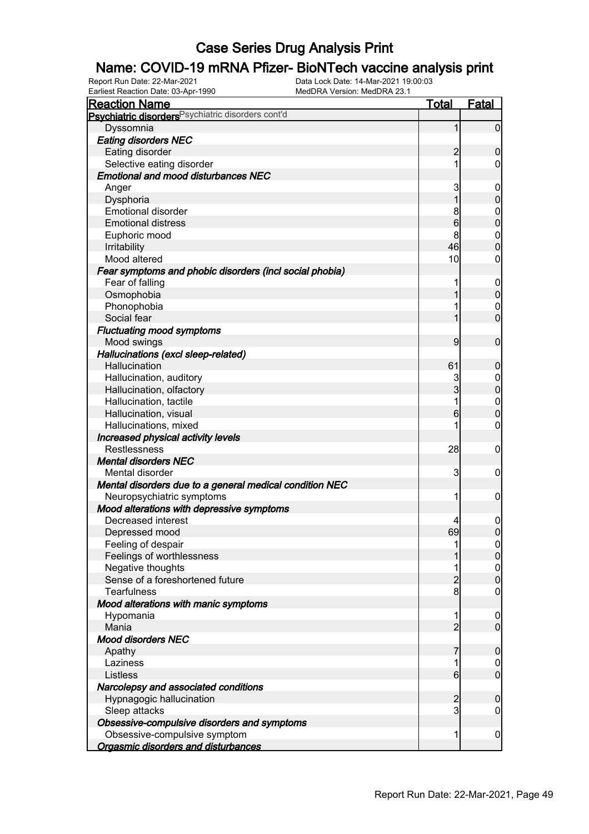## **Name: COVID-19 mRNA Pfizer- BioNTech vaccine analysis print**<br>Report Run Date: 22-Mar-2021

Earliest Reaction Date: 03-Apr-1990

| <b>Reaction Name</b>                                    | <b>Total</b>     | <b>Fatal</b>     |
|---------------------------------------------------------|------------------|------------------|
| Psychiatric disorders Psychiatric disorders cont'd      |                  |                  |
| Dyssomnia                                               | 1                | $\overline{0}$   |
| <b>Eating disorders NEC</b>                             |                  |                  |
| Eating disorder                                         | $\overline{c}$   | $\mathbf 0$      |
| Selective eating disorder                               | 1                | $\overline{0}$   |
| <b>Emotional and mood disturbances NEC</b>              |                  |                  |
| Anger                                                   | 3                | $\boldsymbol{0}$ |
| Dysphoria                                               | 1                | $\mathbf 0$      |
| <b>Emotional disorder</b>                               | 8                | $\mathbf 0$      |
| <b>Emotional distress</b>                               | 6                | $\mathbf 0$      |
| Euphoric mood                                           | 8                | $\mathbf 0$      |
| Irritability                                            | 46               | $\boldsymbol{0}$ |
| Mood altered                                            | 10               | 0                |
| Fear symptoms and phobic disorders (incl social phobia) |                  |                  |
| Fear of falling                                         |                  | $\mathbf 0$      |
| Osmophobia                                              |                  | $\mathbf 0$      |
| Phonophobia                                             |                  | $\mathbf 0$      |
| Social fear                                             |                  | $\mathbf 0$      |
| <b>Fluctuating mood symptoms</b>                        |                  |                  |
| Mood swings                                             | 9                | $\mathbf 0$      |
| Hallucinations (excl sleep-related)                     |                  |                  |
| Hallucination                                           | 61               | $\mathbf 0$      |
| Hallucination, auditory                                 | 3                | $\mathbf 0$      |
| Hallucination, olfactory                                | $\overline{3}$   | $\pmb{0}$        |
| Hallucination, tactile                                  | 1                | $\boldsymbol{0}$ |
| Hallucination, visual                                   | $6 \overline{6}$ | $\mathbf 0$      |
| Hallucinations, mixed                                   |                  | $\mathbf 0$      |
| Increased physical activity levels                      |                  |                  |
| <b>Restlessness</b>                                     | 28               | $\mathbf 0$      |
| <b>Mental disorders NEC</b>                             |                  |                  |
| Mental disorder                                         | 3                | $\mathbf 0$      |
| Mental disorders due to a general medical condition NEC |                  |                  |
| Neuropsychiatric symptoms                               | 1                | $\mathbf 0$      |
| Mood alterations with depressive symptoms               |                  |                  |
| Decreased interest                                      |                  | 0                |
| Depressed mood                                          | 69               | $\overline{0}$   |
| Feeling of despair                                      | 1                | $\overline{0}$   |
| Feelings of worthlessness                               |                  | $\overline{0}$   |
| Negative thoughts                                       |                  | $\overline{0}$   |
| Sense of a foreshortened future                         | $\overline{2}$   | $\pmb{0}$        |
| <b>Tearfulness</b>                                      | 8                | $\mathbf 0$      |
| Mood alterations with manic symptoms                    |                  |                  |
| Hypomania                                               | 1                | $\mathbf 0$      |
| Mania                                                   | $\overline{2}$   | $\overline{0}$   |
| <b>Mood disorders NEC</b>                               |                  |                  |
| Apathy                                                  | 7                | $\mathbf 0$      |
| Laziness                                                | 1                | $\overline{0}$   |
| Listless                                                | $6 \overline{}$  | $\mathbf 0$      |
| Narcolepsy and associated conditions                    |                  |                  |
| Hypnagogic hallucination                                | $\overline{a}$   | $\mathbf 0$      |
| Sleep attacks                                           | 3                | $\mathbf 0$      |
| Obsessive-compulsive disorders and symptoms             |                  |                  |
| Obsessive-compulsive symptom                            | 1                | $\mathbf 0$      |
| <b>Orgasmic disorders and disturbances</b>              |                  |                  |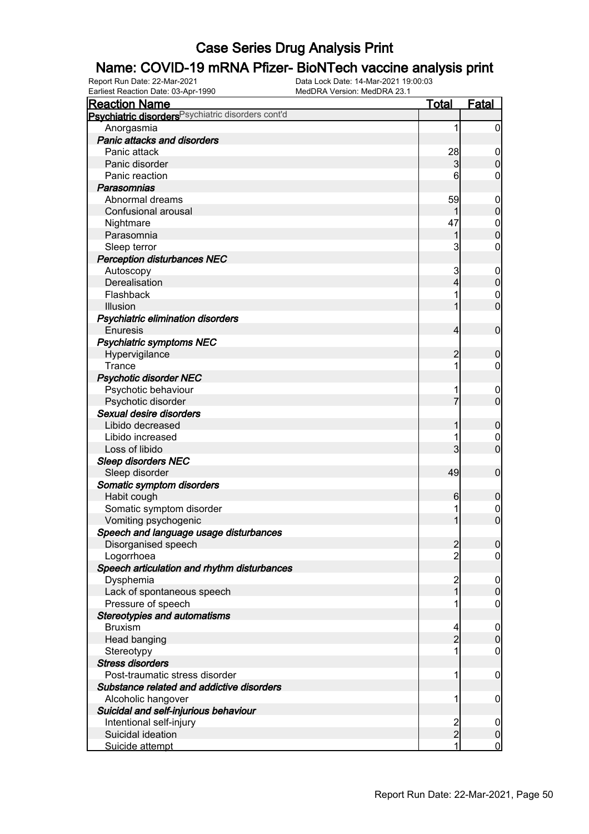#### Name: COVID-19 mRNA Pfizer- BioNTech vaccine analysis print

Earliest Reaction Date: 03-Apr-1990 MedDRA Version: MedDRA 23.1

| <b>Reaction Name</b>                                          | <u>Total</u>   | <b>Fatal</b>                     |
|---------------------------------------------------------------|----------------|----------------------------------|
| Psychiatric disorders <sup>Psychiatric disorders cont'd</sup> |                |                                  |
| Anorgasmia                                                    | 1              | 0                                |
| Panic attacks and disorders                                   |                |                                  |
| Panic attack                                                  | 28             | $\mathbf 0$                      |
| Panic disorder                                                | 3              | $\mathbf 0$                      |
| Panic reaction                                                | 6              | 0                                |
| Parasomnias                                                   |                |                                  |
| Abnormal dreams                                               | 59             | $\mathbf 0$                      |
| Confusional arousal                                           |                | $\mathbf 0$                      |
| Nightmare                                                     | 47             | $\begin{matrix}0\\0\end{matrix}$ |
| Parasomnia                                                    | 1              |                                  |
| Sleep terror                                                  | 3              | $\mathbf 0$                      |
| <b>Perception disturbances NEC</b>                            |                |                                  |
| Autoscopy                                                     | 3              | $\boldsymbol{0}$                 |
| Derealisation                                                 | 4              | $\mathbf 0$                      |
| Flashback                                                     | 1              | $\mathbf 0$                      |
| Illusion                                                      | 1              | $\overline{0}$                   |
| Psychiatric elimination disorders                             |                |                                  |
| <b>Enuresis</b>                                               | 4              | $\mathbf 0$                      |
| <b>Psychiatric symptoms NEC</b>                               |                |                                  |
| Hypervigilance                                                | 2              | $\mathbf 0$                      |
| <b>Trance</b>                                                 | 1              | $\mathbf 0$                      |
| <b>Psychotic disorder NEC</b>                                 |                |                                  |
| Psychotic behaviour                                           | 1              | $\boldsymbol{0}$                 |
| Psychotic disorder                                            |                | $\mathbf 0$                      |
| Sexual desire disorders                                       |                |                                  |
| Libido decreased                                              | 1              | $\mathbf 0$                      |
| Libido increased                                              | 1              | $\mathbf 0$                      |
| Loss of libido                                                | 3              | $\overline{0}$                   |
| <b>Sleep disorders NEC</b>                                    |                |                                  |
| Sleep disorder                                                | 49             | $\mathbf 0$                      |
| Somatic symptom disorders                                     |                |                                  |
| Habit cough                                                   | 6              | $\mathbf 0$                      |
| Somatic symptom disorder                                      | 1              | $\mathbf 0$                      |
| Vomiting psychogenic                                          | 1              | $\overline{0}$                   |
| Speech and language usage disturbances                        |                |                                  |
| Disorganised speech                                           | $\frac{2}{2}$  | 0                                |
| Logorrhoea                                                    |                | $\overline{0}$                   |
| Speech articulation and rhythm disturbances                   |                |                                  |
| Dysphemia                                                     | $\overline{c}$ | $\mathbf 0$                      |
| Lack of spontaneous speech                                    | $\mathbf{1}$   | $\boldsymbol{0}$                 |
| Pressure of speech                                            | 1              | $\boldsymbol{0}$                 |
| <b>Stereotypies and automatisms</b>                           |                |                                  |
| <b>Bruxism</b>                                                | 4              | $\mathbf 0$                      |
| Head banging                                                  | $\overline{2}$ | $\boldsymbol{0}$                 |
| Stereotypy                                                    | 1              | $\boldsymbol{0}$                 |
| <b>Stress disorders</b>                                       |                |                                  |
| Post-traumatic stress disorder                                | 1              | $\mathbf 0$                      |
| Substance related and addictive disorders                     |                |                                  |
| Alcoholic hangover                                            | 1              | $\mathbf 0$                      |
| Suicidal and self-injurious behaviour                         |                |                                  |
| Intentional self-injury                                       | $\overline{c}$ | 0                                |
| Suicidal ideation                                             | $\overline{2}$ | $\pmb{0}$                        |
| Suicide attempt                                               | 1              | $\overline{0}$                   |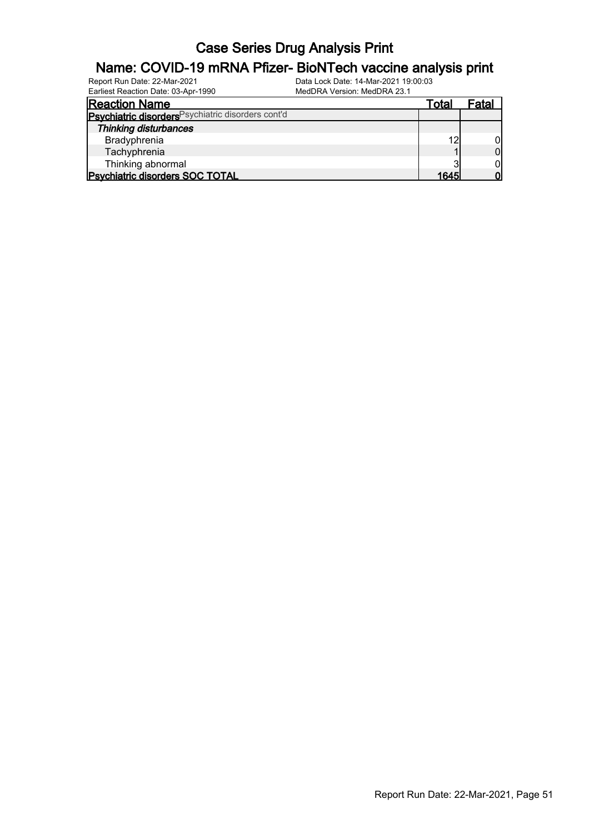# **Name: COVID-19 mRNA Pfizer- BioNTech vaccine analysis print**<br>Report Run Date: 22-Mar-2021

| Lamest Readubil Date: 00-Apr-1000                             | 1 |       |       |
|---------------------------------------------------------------|---|-------|-------|
| <b>Reaction Name</b>                                          |   | Total | Fatal |
| Psychiatric disorders <sup>Psychiatric disorders cont'd</sup> |   |       |       |
| <b>Thinking disturbances</b>                                  |   |       |       |
| Bradyphrenia                                                  |   | 12    |       |
| Tachyphrenia                                                  |   |       |       |
| Thinking abnormal                                             |   |       |       |
| <b>Psychiatric disorders SOC TOTAL</b>                        |   | 1645  |       |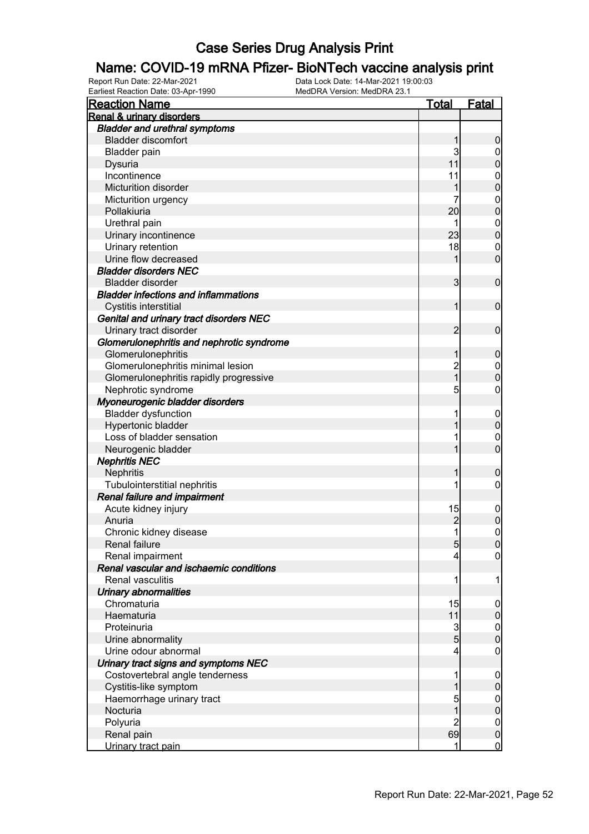## **Name: COVID-19 mRNA Pfizer- BioNTech vaccine analysis print**<br>Report Run Date: 22-Mar-2021

| Lamcst Readuoir Date: 00-Apr-1000<br><b>Reaction Name</b> | <b>Total</b>   | <b>Fatal</b>     |
|-----------------------------------------------------------|----------------|------------------|
| Renal & urinary disorders                                 |                |                  |
| <b>Bladder and urethral symptoms</b>                      |                |                  |
| <b>Bladder discomfort</b>                                 |                | $\boldsymbol{0}$ |
| <b>Bladder</b> pain                                       | 3              | $\mathbf 0$      |
| Dysuria                                                   | 11             | $\overline{0}$   |
| Incontinence                                              | 11             | $\mathbf 0$      |
| Micturition disorder                                      | 1              | $\overline{0}$   |
| Micturition urgency                                       | 7              | $\mathbf 0$      |
| Pollakiuria                                               | 20             | $\overline{0}$   |
| Urethral pain                                             |                | $\mathbf 0$      |
| Urinary incontinence                                      | 23             | $\mathbf 0$      |
| Urinary retention                                         | 18             | $\mathbf 0$      |
| Urine flow decreased                                      | 1              | $\mathbf 0$      |
| <b>Bladder disorders NEC</b>                              |                |                  |
| <b>Bladder disorder</b>                                   | 3              | $\mathbf 0$      |
| <b>Bladder infections and inflammations</b>               |                |                  |
|                                                           |                |                  |
| Cystitis interstitial                                     | 1              | $\mathbf 0$      |
| Genital and urinary tract disorders NEC                   |                |                  |
| Urinary tract disorder                                    | $\overline{2}$ | $\mathbf 0$      |
| Glomerulonephritis and nephrotic syndrome                 |                |                  |
| Glomerulonephritis                                        | 1              | $\boldsymbol{0}$ |
| Glomerulonephritis minimal lesion                         | $\frac{2}{1}$  | $\mathbf 0$      |
| Glomerulonephritis rapidly progressive                    |                | $\overline{0}$   |
| Nephrotic syndrome                                        | 5              | 0                |
| Myoneurogenic bladder disorders                           |                |                  |
| <b>Bladder dysfunction</b>                                |                | $\mathbf 0$      |
| Hypertonic bladder                                        |                | $\mathbf 0$      |
| Loss of bladder sensation                                 |                | $\mathbf 0$      |
| Neurogenic bladder                                        |                | $\mathbf 0$      |
| <b>Nephritis NEC</b>                                      |                |                  |
| Nephritis                                                 |                | $\mathbf 0$      |
| Tubulointerstitial nephritis                              |                | 0                |
| Renal failure and impairment                              |                |                  |
| Acute kidney injury                                       | 15             | $\boldsymbol{0}$ |
| Anuria                                                    | $\overline{c}$ | $\overline{0}$   |
| Chronic kidney disease                                    | $\mathbf{1}$   | $\overline{0}$   |
| <b>Renal failure</b>                                      | 5 <sub>5</sub> | 0                |
| Renal impairment                                          | 4              | $\overline{0}$   |
| Renal vascular and ischaemic conditions                   |                |                  |
| Renal vasculitis                                          |                | 1                |
| <b>Urinary abnormalities</b>                              |                |                  |
| Chromaturia                                               | 15             | $\overline{0}$   |
| Haematuria                                                | 11             | $\pmb{0}$        |
| Proteinuria                                               | 3              | $\overline{0}$   |
| Urine abnormality                                         | $\overline{5}$ | $\overline{0}$   |
| Urine odour abnormal                                      | 4              | 0                |
| Urinary tract signs and symptoms NEC                      |                |                  |
| Costovertebral angle tenderness                           |                | $\mathbf 0$      |
| Cystitis-like symptom                                     |                | $\pmb{0}$        |
| Haemorrhage urinary tract                                 | 5              | $\mathbf 0$      |
| Nocturia                                                  |                | $\overline{0}$   |
| Polyuria                                                  |                | $\overline{0}$   |
| Renal pain                                                | 69             | $\pmb{0}$        |
| Urinary tract pain                                        | 1              | $\overline{0}$   |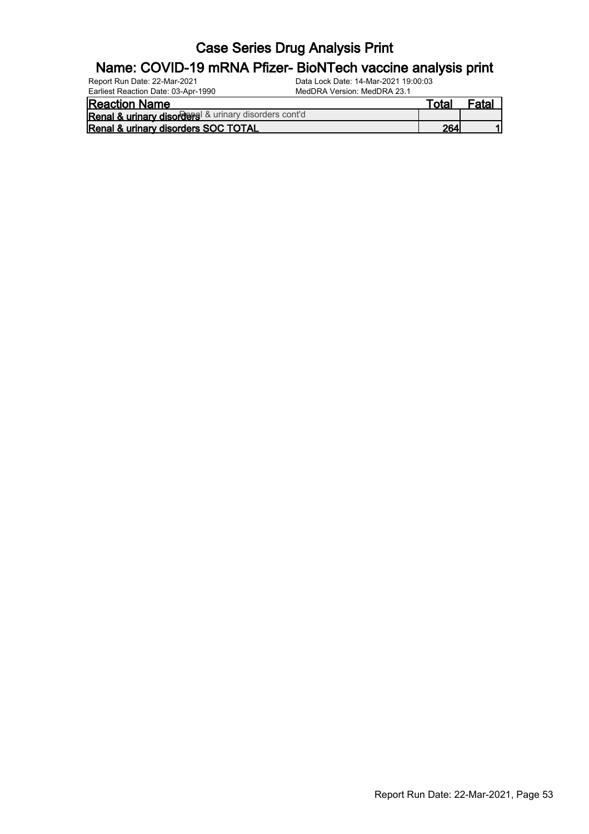## **Name: COVID-19 mRNA Pfizer- BioNTech vaccine analysis print**<br>Report Run Date: 22-Mar-2021

Earliest Reaction Date: 03-Apr-1990

| <b>Reaction Name</b>                                 | ™ota⊧ | <sup>=</sup> atal |
|------------------------------------------------------|-------|-------------------|
| Renal & urinary disorders & urinary disorders cont'd |       |                   |
| Renal & urinary disorders SOC TOTAL                  | 264   |                   |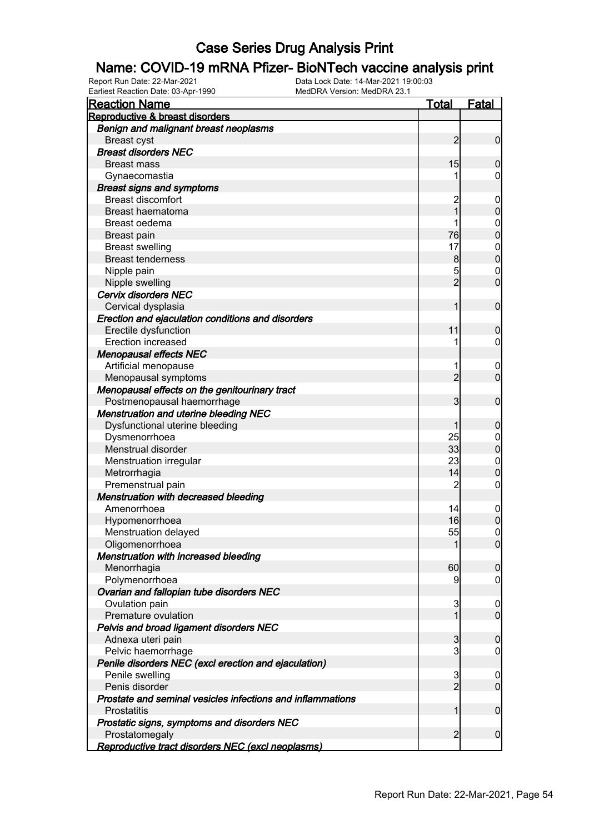## **Name: COVID-19 mRNA Pfizer- BioNTech vaccine analysis print**<br>Report Run Date: 22-Mar-2021

Earliest Reaction Date: 03-Apr-1990

| 51.940.007<br><b>Reaction Name</b>                         | <b>Total</b>   | Fatal            |
|------------------------------------------------------------|----------------|------------------|
| Reproductive & breast disorders                            |                |                  |
| Benign and malignant breast neoplasms                      |                |                  |
| <b>Breast cyst</b>                                         | $\overline{2}$ | $\mathbf 0$      |
| <b>Breast disorders NEC</b>                                |                |                  |
| <b>Breast mass</b>                                         | 15             | $\mathbf 0$      |
| Gynaecomastia                                              |                | 0                |
| <b>Breast signs and symptoms</b>                           |                |                  |
| <b>Breast discomfort</b>                                   | 2              | $\mathbf 0$      |
| <b>Breast haematoma</b>                                    | 1              | $\mathbf 0$      |
| Breast oedema                                              |                | $\boldsymbol{0}$ |
| <b>Breast pain</b>                                         | 76             | $\overline{0}$   |
| <b>Breast swelling</b>                                     | 17             | $\boldsymbol{0}$ |
| <b>Breast tenderness</b>                                   | 8              | $\overline{0}$   |
| Nipple pain                                                | 5              | $\mathbf 0$      |
| Nipple swelling                                            | $\overline{2}$ | $\overline{0}$   |
| Cervix disorders NEC                                       |                |                  |
| Cervical dysplasia                                         | 1              | $\mathbf 0$      |
| Erection and ejaculation conditions and disorders          |                |                  |
| Erectile dysfunction                                       | 11             | $\mathbf 0$      |
| <b>Erection increased</b>                                  |                | 0                |
| <b>Menopausal effects NEC</b>                              |                |                  |
| Artificial menopause                                       |                | 0                |
| Menopausal symptoms                                        | $\overline{2}$ | $\overline{0}$   |
| Menopausal effects on the genitourinary tract              |                |                  |
| Postmenopausal haemorrhage                                 | 3              | $\mathbf 0$      |
| <b>Menstruation and uterine bleeding NEC</b>               |                |                  |
| Dysfunctional uterine bleeding                             |                | $\mathbf 0$      |
| Dysmenorrhoea                                              | 25             | $\mathbf 0$      |
| Menstrual disorder                                         | 33             | $\mathbf 0$      |
| Menstruation irregular                                     | 23             | $\mathbf 0$      |
| Metrorrhagia                                               | 14             | $\mathbf 0$      |
| Premenstrual pain                                          | 2              | $\mathbf 0$      |
| Menstruation with decreased bleeding                       |                |                  |
| Amenorrhoea                                                | 14             | $\boldsymbol{0}$ |
| Hypomenorrhoea                                             | 16             | $\mathbf 0$      |
| Menstruation delayed                                       | 55             | $\mathbf 0$      |
| Oligomenorrhoea                                            | 1              | $\overline{0}$   |
| Menstruation with increased bleeding                       |                |                  |
| Menorrhagia                                                | 60             | $\mathbf 0$      |
| Polymenorrhoea                                             | 9              | $\boldsymbol{0}$ |
| Ovarian and fallopian tube disorders NEC                   |                |                  |
| Ovulation pain                                             | 3              | $\overline{0}$   |
| Premature ovulation                                        | 1              | $\mathbf 0$      |
| Pelvis and broad ligament disorders NEC                    |                |                  |
| Adnexa uteri pain                                          | 3              | $\boldsymbol{0}$ |
| Pelvic haemorrhage                                         | 3              | $\mathbf 0$      |
| Penile disorders NEC (excl erection and ejaculation)       |                |                  |
| Penile swelling                                            | 3              | $\overline{0}$   |
| Penis disorder                                             | $\overline{2}$ | $\mathbf 0$      |
| Prostate and seminal vesicles infections and inflammations |                |                  |
| Prostatitis                                                | 1              | $\mathbf 0$      |
| Prostatic signs, symptoms and disorders NEC                |                |                  |
| Prostatomegaly                                             | $\overline{2}$ | $\boldsymbol{0}$ |
| Reproductive tract disorders NEC (excl neoplasms)          |                |                  |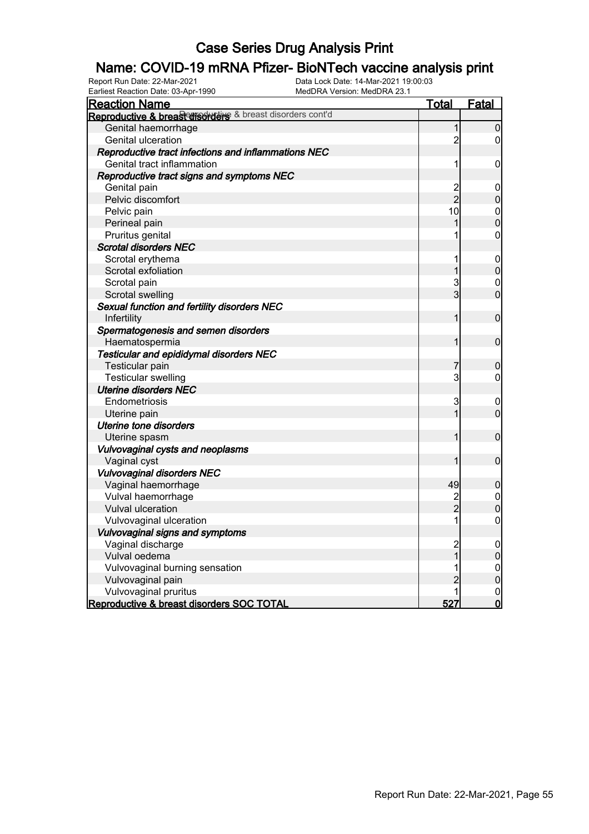#### Name: COVID-19 mRNA Pfizer- BioNTech vaccine analysis print

| Latilest Neaction Date: 03-Apr-1990<br><b>Reaction Name</b> | <b>INCULITA VEISIUII. INCULITA ZJ. I</b><br><u>Total</u> | Fatal                                |
|-------------------------------------------------------------|----------------------------------------------------------|--------------------------------------|
| Reproductive & breas conservative & breast disorders cont'd |                                                          |                                      |
| Genital haemorrhage                                         | 1                                                        | $\overline{0}$                       |
| Genital ulceration                                          | $\overline{c}$                                           | $\overline{0}$                       |
| Reproductive tract infections and inflammations NEC         |                                                          |                                      |
| Genital tract inflammation                                  | $\mathbf{1}$                                             | $\boldsymbol{0}$                     |
| Reproductive tract signs and symptoms NEC                   |                                                          |                                      |
| Genital pain                                                | $\overline{c}$                                           | $\mathbf 0$                          |
| Pelvic discomfort                                           | $\overline{2}$                                           | $\mathbf 0$                          |
| Pelvic pain                                                 | 10                                                       | $\begin{matrix} 0 \\ 0 \end{matrix}$ |
| Perineal pain                                               | 1                                                        |                                      |
| Pruritus genital                                            | 1                                                        | $\mathbf 0$                          |
| <b>Scrotal disorders NEC</b>                                |                                                          |                                      |
| Scrotal erythema                                            | 1                                                        | $\mathbf 0$                          |
| Scrotal exfoliation                                         | $\mathbf{1}$                                             | $\mathbf 0$                          |
| Scrotal pain                                                | $\mathbf{3}$                                             | $\boldsymbol{0}$                     |
| Scrotal swelling                                            | $\overline{3}$                                           | $\overline{0}$                       |
| Sexual function and fertility disorders NEC                 |                                                          |                                      |
| Infertility                                                 | $\mathbf{1}$                                             | $\boldsymbol{0}$                     |
| Spermatogenesis and semen disorders                         |                                                          |                                      |
| Haematospermia                                              | 1                                                        | $\mathbf 0$                          |
| Testicular and epididymal disorders NEC                     |                                                          |                                      |
| Testicular pain                                             | 7                                                        | $\mathbf 0$                          |
| <b>Testicular swelling</b>                                  | 3                                                        | $\mathbf 0$                          |
| <b>Uterine disorders NEC</b>                                |                                                          |                                      |
| Endometriosis                                               | 3                                                        | $\mathbf 0$                          |
| Uterine pain                                                | $\overline{1}$                                           | $\mathbf 0$                          |
| <b>Uterine tone disorders</b>                               |                                                          |                                      |
| Uterine spasm                                               | $\mathbf{1}$                                             | $\mathbf 0$                          |
| Vulvovaginal cysts and neoplasms                            |                                                          |                                      |
| Vaginal cyst                                                | 1                                                        | $\boldsymbol{0}$                     |
| <b>Vulvovaginal disorders NEC</b>                           |                                                          |                                      |
| Vaginal haemorrhage                                         | 49                                                       | $\boldsymbol{0}$                     |
| Vulval haemorrhage                                          | $\overline{c}$                                           | $\boldsymbol{0}$                     |
| <b>Vulval ulceration</b>                                    | $\overline{2}$                                           | $\overline{0}$                       |
| Vulvovaginal ulceration                                     | $\overline{1}$                                           | $\mathbf 0$                          |
| <b>Vulvovaginal signs and symptoms</b>                      |                                                          |                                      |
| Vaginal discharge                                           | 2<br>1                                                   | $\mathbf 0$                          |
| Vulval oedema                                               |                                                          | $\overline{0}$                       |
| Vulvovaginal burning sensation                              |                                                          | $\mathbf{0}$                         |
| Vulvovaginal pain                                           |                                                          | $\overline{0}$                       |
| Vulvovaginal pruritus                                       | 1                                                        | $\mathbf{0}$                         |
| Reproductive & breast disorders SOC TOTAL                   | 527                                                      | $\overline{\mathbf{0}}$              |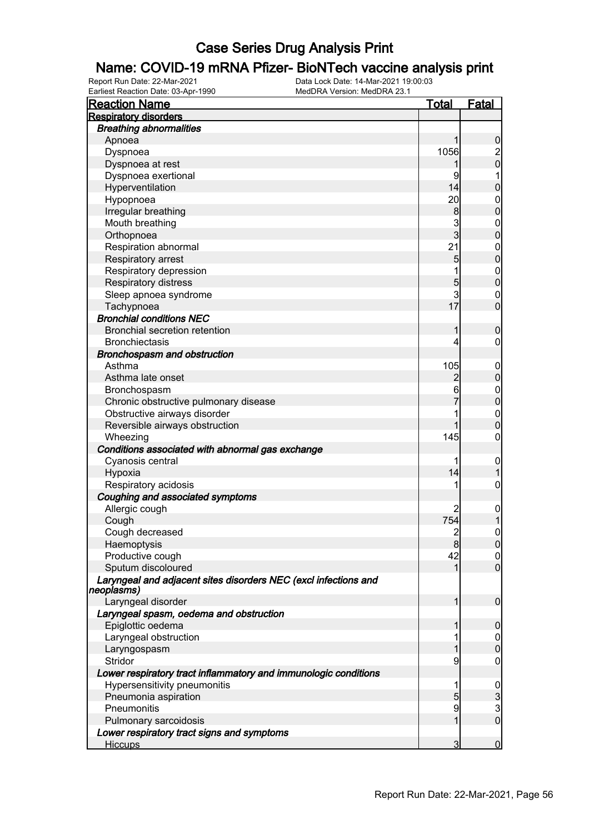#### Name: COVID-19 mRNA Pfizer- BioNTech vaccine analysis print

| <b>Respiratory disorders</b><br><b>Breathing abnormalities</b><br>Apnoea<br>$\boldsymbol{0}$<br>1<br>$\begin{bmatrix} 2 \\ 0 \end{bmatrix}$<br>1056<br>Dyspnoea<br>Dyspnoea at rest<br>9<br>Dyspnoea exertional<br>1<br>$\mathbf 0$<br>14<br>Hyperventilation<br>20<br>$0\atop 0$<br>Hypopnoea<br>Irregular breathing<br>$\boldsymbol{8}$<br>$\frac{3}{3}$<br>$0\atop 0$<br>Mouth breathing<br>Orthopnoea<br>21<br>$0\atop 0$<br>Respiration abnormal<br>5<br>Respiratory arrest<br>Respiratory depression<br>1<br>$0\atop 0$<br>5<br>Respiratory distress<br>3<br>Sleep apnoea syndrome<br>$\boldsymbol{0}$<br>$\overline{0}$<br>17<br>Tachypnoea<br><b>Bronchial conditions NEC</b><br><b>Bronchial secretion retention</b><br>$\pmb{0}$<br>1<br>$\overline{0}$<br><b>Bronchiectasis</b><br>4<br>Bronchospasm and obstruction<br>105<br>Asthma<br>$\boldsymbol{0}$<br>$\mathbf 0$<br>Asthma late onset<br>$\overline{c}$<br>6<br>$0\atop 0$<br>Bronchospasm<br>Chronic obstructive pulmonary disease<br>Obstructive airways disorder<br>$\begin{matrix}0\\0\end{matrix}$<br>1<br>1<br>Reversible airways obstruction<br>145<br>$\boldsymbol{0}$<br>Wheezing<br>Conditions associated with abnormal gas exchange<br>Cyanosis central<br>$\mathbf{0}$<br>1<br>$\overline{1}$<br>14<br>Hypoxia<br>Respiratory acidosis<br>$\mathbf 0$<br>1<br>Coughing and associated symptoms<br>Allergic cough<br>2<br>$\boldsymbol{0}$<br>$\overline{1}$<br>754<br>Cough<br>$\overline{0}$<br>$\overline{c}$<br>Cough decreased<br>Haemoptysis<br>8<br> 0 <br>Productive cough<br>42<br>$\overline{0}$<br>$\overline{0}$<br>Sputum discoloured<br>1<br>Laryngeal and adjacent sites disorders NEC (excl infections and<br>neoplasms)<br>Laryngeal disorder<br>0<br>Laryngeal spasm, oedema and obstruction<br>Epiglottic oedema<br>$\mathbf 0$<br>Laryngeal obstruction<br>1<br>0<br>$\overline{0}$<br>Laryngospasm<br><b>Stridor</b><br>9<br>0<br>Lower respiratory tract inflammatory and immunologic conditions<br>Hypersensitivity pneumonitis<br>1<br>$\boldsymbol{0}$<br>3<br>5<br>Pneumonia aspiration<br>$\frac{3}{0}$<br>9<br>Pneumonitis<br>Pulmonary sarcoidosis<br>1<br>Lower respiratory tract signs and symptoms | <b>Reaction Name</b> | <u>Total</u> | Fatal          |
|------------------------------------------------------------------------------------------------------------------------------------------------------------------------------------------------------------------------------------------------------------------------------------------------------------------------------------------------------------------------------------------------------------------------------------------------------------------------------------------------------------------------------------------------------------------------------------------------------------------------------------------------------------------------------------------------------------------------------------------------------------------------------------------------------------------------------------------------------------------------------------------------------------------------------------------------------------------------------------------------------------------------------------------------------------------------------------------------------------------------------------------------------------------------------------------------------------------------------------------------------------------------------------------------------------------------------------------------------------------------------------------------------------------------------------------------------------------------------------------------------------------------------------------------------------------------------------------------------------------------------------------------------------------------------------------------------------------------------------------------------------------------------------------------------------------------------------------------------------------------------------------------------------------------------------------------------------------------------------------------------------------------------------------------------------------------------------------------------------------------------------------------------------------------------------------------------------------|----------------------|--------------|----------------|
|                                                                                                                                                                                                                                                                                                                                                                                                                                                                                                                                                                                                                                                                                                                                                                                                                                                                                                                                                                                                                                                                                                                                                                                                                                                                                                                                                                                                                                                                                                                                                                                                                                                                                                                                                                                                                                                                                                                                                                                                                                                                                                                                                                                                                  |                      |              |                |
|                                                                                                                                                                                                                                                                                                                                                                                                                                                                                                                                                                                                                                                                                                                                                                                                                                                                                                                                                                                                                                                                                                                                                                                                                                                                                                                                                                                                                                                                                                                                                                                                                                                                                                                                                                                                                                                                                                                                                                                                                                                                                                                                                                                                                  |                      |              |                |
|                                                                                                                                                                                                                                                                                                                                                                                                                                                                                                                                                                                                                                                                                                                                                                                                                                                                                                                                                                                                                                                                                                                                                                                                                                                                                                                                                                                                                                                                                                                                                                                                                                                                                                                                                                                                                                                                                                                                                                                                                                                                                                                                                                                                                  |                      |              |                |
|                                                                                                                                                                                                                                                                                                                                                                                                                                                                                                                                                                                                                                                                                                                                                                                                                                                                                                                                                                                                                                                                                                                                                                                                                                                                                                                                                                                                                                                                                                                                                                                                                                                                                                                                                                                                                                                                                                                                                                                                                                                                                                                                                                                                                  |                      |              |                |
|                                                                                                                                                                                                                                                                                                                                                                                                                                                                                                                                                                                                                                                                                                                                                                                                                                                                                                                                                                                                                                                                                                                                                                                                                                                                                                                                                                                                                                                                                                                                                                                                                                                                                                                                                                                                                                                                                                                                                                                                                                                                                                                                                                                                                  |                      |              |                |
|                                                                                                                                                                                                                                                                                                                                                                                                                                                                                                                                                                                                                                                                                                                                                                                                                                                                                                                                                                                                                                                                                                                                                                                                                                                                                                                                                                                                                                                                                                                                                                                                                                                                                                                                                                                                                                                                                                                                                                                                                                                                                                                                                                                                                  |                      |              |                |
|                                                                                                                                                                                                                                                                                                                                                                                                                                                                                                                                                                                                                                                                                                                                                                                                                                                                                                                                                                                                                                                                                                                                                                                                                                                                                                                                                                                                                                                                                                                                                                                                                                                                                                                                                                                                                                                                                                                                                                                                                                                                                                                                                                                                                  |                      |              |                |
|                                                                                                                                                                                                                                                                                                                                                                                                                                                                                                                                                                                                                                                                                                                                                                                                                                                                                                                                                                                                                                                                                                                                                                                                                                                                                                                                                                                                                                                                                                                                                                                                                                                                                                                                                                                                                                                                                                                                                                                                                                                                                                                                                                                                                  |                      |              |                |
|                                                                                                                                                                                                                                                                                                                                                                                                                                                                                                                                                                                                                                                                                                                                                                                                                                                                                                                                                                                                                                                                                                                                                                                                                                                                                                                                                                                                                                                                                                                                                                                                                                                                                                                                                                                                                                                                                                                                                                                                                                                                                                                                                                                                                  |                      |              |                |
|                                                                                                                                                                                                                                                                                                                                                                                                                                                                                                                                                                                                                                                                                                                                                                                                                                                                                                                                                                                                                                                                                                                                                                                                                                                                                                                                                                                                                                                                                                                                                                                                                                                                                                                                                                                                                                                                                                                                                                                                                                                                                                                                                                                                                  |                      |              |                |
|                                                                                                                                                                                                                                                                                                                                                                                                                                                                                                                                                                                                                                                                                                                                                                                                                                                                                                                                                                                                                                                                                                                                                                                                                                                                                                                                                                                                                                                                                                                                                                                                                                                                                                                                                                                                                                                                                                                                                                                                                                                                                                                                                                                                                  |                      |              |                |
|                                                                                                                                                                                                                                                                                                                                                                                                                                                                                                                                                                                                                                                                                                                                                                                                                                                                                                                                                                                                                                                                                                                                                                                                                                                                                                                                                                                                                                                                                                                                                                                                                                                                                                                                                                                                                                                                                                                                                                                                                                                                                                                                                                                                                  |                      |              |                |
|                                                                                                                                                                                                                                                                                                                                                                                                                                                                                                                                                                                                                                                                                                                                                                                                                                                                                                                                                                                                                                                                                                                                                                                                                                                                                                                                                                                                                                                                                                                                                                                                                                                                                                                                                                                                                                                                                                                                                                                                                                                                                                                                                                                                                  |                      |              |                |
|                                                                                                                                                                                                                                                                                                                                                                                                                                                                                                                                                                                                                                                                                                                                                                                                                                                                                                                                                                                                                                                                                                                                                                                                                                                                                                                                                                                                                                                                                                                                                                                                                                                                                                                                                                                                                                                                                                                                                                                                                                                                                                                                                                                                                  |                      |              |                |
|                                                                                                                                                                                                                                                                                                                                                                                                                                                                                                                                                                                                                                                                                                                                                                                                                                                                                                                                                                                                                                                                                                                                                                                                                                                                                                                                                                                                                                                                                                                                                                                                                                                                                                                                                                                                                                                                                                                                                                                                                                                                                                                                                                                                                  |                      |              |                |
|                                                                                                                                                                                                                                                                                                                                                                                                                                                                                                                                                                                                                                                                                                                                                                                                                                                                                                                                                                                                                                                                                                                                                                                                                                                                                                                                                                                                                                                                                                                                                                                                                                                                                                                                                                                                                                                                                                                                                                                                                                                                                                                                                                                                                  |                      |              |                |
|                                                                                                                                                                                                                                                                                                                                                                                                                                                                                                                                                                                                                                                                                                                                                                                                                                                                                                                                                                                                                                                                                                                                                                                                                                                                                                                                                                                                                                                                                                                                                                                                                                                                                                                                                                                                                                                                                                                                                                                                                                                                                                                                                                                                                  |                      |              |                |
|                                                                                                                                                                                                                                                                                                                                                                                                                                                                                                                                                                                                                                                                                                                                                                                                                                                                                                                                                                                                                                                                                                                                                                                                                                                                                                                                                                                                                                                                                                                                                                                                                                                                                                                                                                                                                                                                                                                                                                                                                                                                                                                                                                                                                  |                      |              |                |
|                                                                                                                                                                                                                                                                                                                                                                                                                                                                                                                                                                                                                                                                                                                                                                                                                                                                                                                                                                                                                                                                                                                                                                                                                                                                                                                                                                                                                                                                                                                                                                                                                                                                                                                                                                                                                                                                                                                                                                                                                                                                                                                                                                                                                  |                      |              |                |
|                                                                                                                                                                                                                                                                                                                                                                                                                                                                                                                                                                                                                                                                                                                                                                                                                                                                                                                                                                                                                                                                                                                                                                                                                                                                                                                                                                                                                                                                                                                                                                                                                                                                                                                                                                                                                                                                                                                                                                                                                                                                                                                                                                                                                  |                      |              |                |
|                                                                                                                                                                                                                                                                                                                                                                                                                                                                                                                                                                                                                                                                                                                                                                                                                                                                                                                                                                                                                                                                                                                                                                                                                                                                                                                                                                                                                                                                                                                                                                                                                                                                                                                                                                                                                                                                                                                                                                                                                                                                                                                                                                                                                  |                      |              |                |
|                                                                                                                                                                                                                                                                                                                                                                                                                                                                                                                                                                                                                                                                                                                                                                                                                                                                                                                                                                                                                                                                                                                                                                                                                                                                                                                                                                                                                                                                                                                                                                                                                                                                                                                                                                                                                                                                                                                                                                                                                                                                                                                                                                                                                  |                      |              |                |
|                                                                                                                                                                                                                                                                                                                                                                                                                                                                                                                                                                                                                                                                                                                                                                                                                                                                                                                                                                                                                                                                                                                                                                                                                                                                                                                                                                                                                                                                                                                                                                                                                                                                                                                                                                                                                                                                                                                                                                                                                                                                                                                                                                                                                  |                      |              |                |
|                                                                                                                                                                                                                                                                                                                                                                                                                                                                                                                                                                                                                                                                                                                                                                                                                                                                                                                                                                                                                                                                                                                                                                                                                                                                                                                                                                                                                                                                                                                                                                                                                                                                                                                                                                                                                                                                                                                                                                                                                                                                                                                                                                                                                  |                      |              |                |
|                                                                                                                                                                                                                                                                                                                                                                                                                                                                                                                                                                                                                                                                                                                                                                                                                                                                                                                                                                                                                                                                                                                                                                                                                                                                                                                                                                                                                                                                                                                                                                                                                                                                                                                                                                                                                                                                                                                                                                                                                                                                                                                                                                                                                  |                      |              |                |
|                                                                                                                                                                                                                                                                                                                                                                                                                                                                                                                                                                                                                                                                                                                                                                                                                                                                                                                                                                                                                                                                                                                                                                                                                                                                                                                                                                                                                                                                                                                                                                                                                                                                                                                                                                                                                                                                                                                                                                                                                                                                                                                                                                                                                  |                      |              |                |
|                                                                                                                                                                                                                                                                                                                                                                                                                                                                                                                                                                                                                                                                                                                                                                                                                                                                                                                                                                                                                                                                                                                                                                                                                                                                                                                                                                                                                                                                                                                                                                                                                                                                                                                                                                                                                                                                                                                                                                                                                                                                                                                                                                                                                  |                      |              |                |
|                                                                                                                                                                                                                                                                                                                                                                                                                                                                                                                                                                                                                                                                                                                                                                                                                                                                                                                                                                                                                                                                                                                                                                                                                                                                                                                                                                                                                                                                                                                                                                                                                                                                                                                                                                                                                                                                                                                                                                                                                                                                                                                                                                                                                  |                      |              |                |
|                                                                                                                                                                                                                                                                                                                                                                                                                                                                                                                                                                                                                                                                                                                                                                                                                                                                                                                                                                                                                                                                                                                                                                                                                                                                                                                                                                                                                                                                                                                                                                                                                                                                                                                                                                                                                                                                                                                                                                                                                                                                                                                                                                                                                  |                      |              |                |
|                                                                                                                                                                                                                                                                                                                                                                                                                                                                                                                                                                                                                                                                                                                                                                                                                                                                                                                                                                                                                                                                                                                                                                                                                                                                                                                                                                                                                                                                                                                                                                                                                                                                                                                                                                                                                                                                                                                                                                                                                                                                                                                                                                                                                  |                      |              |                |
|                                                                                                                                                                                                                                                                                                                                                                                                                                                                                                                                                                                                                                                                                                                                                                                                                                                                                                                                                                                                                                                                                                                                                                                                                                                                                                                                                                                                                                                                                                                                                                                                                                                                                                                                                                                                                                                                                                                                                                                                                                                                                                                                                                                                                  |                      |              |                |
|                                                                                                                                                                                                                                                                                                                                                                                                                                                                                                                                                                                                                                                                                                                                                                                                                                                                                                                                                                                                                                                                                                                                                                                                                                                                                                                                                                                                                                                                                                                                                                                                                                                                                                                                                                                                                                                                                                                                                                                                                                                                                                                                                                                                                  |                      |              |                |
|                                                                                                                                                                                                                                                                                                                                                                                                                                                                                                                                                                                                                                                                                                                                                                                                                                                                                                                                                                                                                                                                                                                                                                                                                                                                                                                                                                                                                                                                                                                                                                                                                                                                                                                                                                                                                                                                                                                                                                                                                                                                                                                                                                                                                  |                      |              |                |
|                                                                                                                                                                                                                                                                                                                                                                                                                                                                                                                                                                                                                                                                                                                                                                                                                                                                                                                                                                                                                                                                                                                                                                                                                                                                                                                                                                                                                                                                                                                                                                                                                                                                                                                                                                                                                                                                                                                                                                                                                                                                                                                                                                                                                  |                      |              |                |
|                                                                                                                                                                                                                                                                                                                                                                                                                                                                                                                                                                                                                                                                                                                                                                                                                                                                                                                                                                                                                                                                                                                                                                                                                                                                                                                                                                                                                                                                                                                                                                                                                                                                                                                                                                                                                                                                                                                                                                                                                                                                                                                                                                                                                  |                      |              |                |
|                                                                                                                                                                                                                                                                                                                                                                                                                                                                                                                                                                                                                                                                                                                                                                                                                                                                                                                                                                                                                                                                                                                                                                                                                                                                                                                                                                                                                                                                                                                                                                                                                                                                                                                                                                                                                                                                                                                                                                                                                                                                                                                                                                                                                  |                      |              |                |
|                                                                                                                                                                                                                                                                                                                                                                                                                                                                                                                                                                                                                                                                                                                                                                                                                                                                                                                                                                                                                                                                                                                                                                                                                                                                                                                                                                                                                                                                                                                                                                                                                                                                                                                                                                                                                                                                                                                                                                                                                                                                                                                                                                                                                  |                      |              |                |
|                                                                                                                                                                                                                                                                                                                                                                                                                                                                                                                                                                                                                                                                                                                                                                                                                                                                                                                                                                                                                                                                                                                                                                                                                                                                                                                                                                                                                                                                                                                                                                                                                                                                                                                                                                                                                                                                                                                                                                                                                                                                                                                                                                                                                  |                      |              |                |
|                                                                                                                                                                                                                                                                                                                                                                                                                                                                                                                                                                                                                                                                                                                                                                                                                                                                                                                                                                                                                                                                                                                                                                                                                                                                                                                                                                                                                                                                                                                                                                                                                                                                                                                                                                                                                                                                                                                                                                                                                                                                                                                                                                                                                  |                      |              |                |
|                                                                                                                                                                                                                                                                                                                                                                                                                                                                                                                                                                                                                                                                                                                                                                                                                                                                                                                                                                                                                                                                                                                                                                                                                                                                                                                                                                                                                                                                                                                                                                                                                                                                                                                                                                                                                                                                                                                                                                                                                                                                                                                                                                                                                  |                      |              |                |
|                                                                                                                                                                                                                                                                                                                                                                                                                                                                                                                                                                                                                                                                                                                                                                                                                                                                                                                                                                                                                                                                                                                                                                                                                                                                                                                                                                                                                                                                                                                                                                                                                                                                                                                                                                                                                                                                                                                                                                                                                                                                                                                                                                                                                  |                      |              |                |
|                                                                                                                                                                                                                                                                                                                                                                                                                                                                                                                                                                                                                                                                                                                                                                                                                                                                                                                                                                                                                                                                                                                                                                                                                                                                                                                                                                                                                                                                                                                                                                                                                                                                                                                                                                                                                                                                                                                                                                                                                                                                                                                                                                                                                  |                      |              |                |
|                                                                                                                                                                                                                                                                                                                                                                                                                                                                                                                                                                                                                                                                                                                                                                                                                                                                                                                                                                                                                                                                                                                                                                                                                                                                                                                                                                                                                                                                                                                                                                                                                                                                                                                                                                                                                                                                                                                                                                                                                                                                                                                                                                                                                  |                      |              |                |
|                                                                                                                                                                                                                                                                                                                                                                                                                                                                                                                                                                                                                                                                                                                                                                                                                                                                                                                                                                                                                                                                                                                                                                                                                                                                                                                                                                                                                                                                                                                                                                                                                                                                                                                                                                                                                                                                                                                                                                                                                                                                                                                                                                                                                  |                      |              |                |
|                                                                                                                                                                                                                                                                                                                                                                                                                                                                                                                                                                                                                                                                                                                                                                                                                                                                                                                                                                                                                                                                                                                                                                                                                                                                                                                                                                                                                                                                                                                                                                                                                                                                                                                                                                                                                                                                                                                                                                                                                                                                                                                                                                                                                  |                      |              |                |
|                                                                                                                                                                                                                                                                                                                                                                                                                                                                                                                                                                                                                                                                                                                                                                                                                                                                                                                                                                                                                                                                                                                                                                                                                                                                                                                                                                                                                                                                                                                                                                                                                                                                                                                                                                                                                                                                                                                                                                                                                                                                                                                                                                                                                  |                      |              |                |
|                                                                                                                                                                                                                                                                                                                                                                                                                                                                                                                                                                                                                                                                                                                                                                                                                                                                                                                                                                                                                                                                                                                                                                                                                                                                                                                                                                                                                                                                                                                                                                                                                                                                                                                                                                                                                                                                                                                                                                                                                                                                                                                                                                                                                  |                      |              |                |
|                                                                                                                                                                                                                                                                                                                                                                                                                                                                                                                                                                                                                                                                                                                                                                                                                                                                                                                                                                                                                                                                                                                                                                                                                                                                                                                                                                                                                                                                                                                                                                                                                                                                                                                                                                                                                                                                                                                                                                                                                                                                                                                                                                                                                  |                      |              |                |
|                                                                                                                                                                                                                                                                                                                                                                                                                                                                                                                                                                                                                                                                                                                                                                                                                                                                                                                                                                                                                                                                                                                                                                                                                                                                                                                                                                                                                                                                                                                                                                                                                                                                                                                                                                                                                                                                                                                                                                                                                                                                                                                                                                                                                  |                      |              |                |
|                                                                                                                                                                                                                                                                                                                                                                                                                                                                                                                                                                                                                                                                                                                                                                                                                                                                                                                                                                                                                                                                                                                                                                                                                                                                                                                                                                                                                                                                                                                                                                                                                                                                                                                                                                                                                                                                                                                                                                                                                                                                                                                                                                                                                  |                      |              |                |
|                                                                                                                                                                                                                                                                                                                                                                                                                                                                                                                                                                                                                                                                                                                                                                                                                                                                                                                                                                                                                                                                                                                                                                                                                                                                                                                                                                                                                                                                                                                                                                                                                                                                                                                                                                                                                                                                                                                                                                                                                                                                                                                                                                                                                  |                      |              |                |
|                                                                                                                                                                                                                                                                                                                                                                                                                                                                                                                                                                                                                                                                                                                                                                                                                                                                                                                                                                                                                                                                                                                                                                                                                                                                                                                                                                                                                                                                                                                                                                                                                                                                                                                                                                                                                                                                                                                                                                                                                                                                                                                                                                                                                  |                      |              |                |
|                                                                                                                                                                                                                                                                                                                                                                                                                                                                                                                                                                                                                                                                                                                                                                                                                                                                                                                                                                                                                                                                                                                                                                                                                                                                                                                                                                                                                                                                                                                                                                                                                                                                                                                                                                                                                                                                                                                                                                                                                                                                                                                                                                                                                  |                      |              |                |
|                                                                                                                                                                                                                                                                                                                                                                                                                                                                                                                                                                                                                                                                                                                                                                                                                                                                                                                                                                                                                                                                                                                                                                                                                                                                                                                                                                                                                                                                                                                                                                                                                                                                                                                                                                                                                                                                                                                                                                                                                                                                                                                                                                                                                  |                      |              |                |
|                                                                                                                                                                                                                                                                                                                                                                                                                                                                                                                                                                                                                                                                                                                                                                                                                                                                                                                                                                                                                                                                                                                                                                                                                                                                                                                                                                                                                                                                                                                                                                                                                                                                                                                                                                                                                                                                                                                                                                                                                                                                                                                                                                                                                  | <b>Hiccups</b>       | 3            | $\overline{0}$ |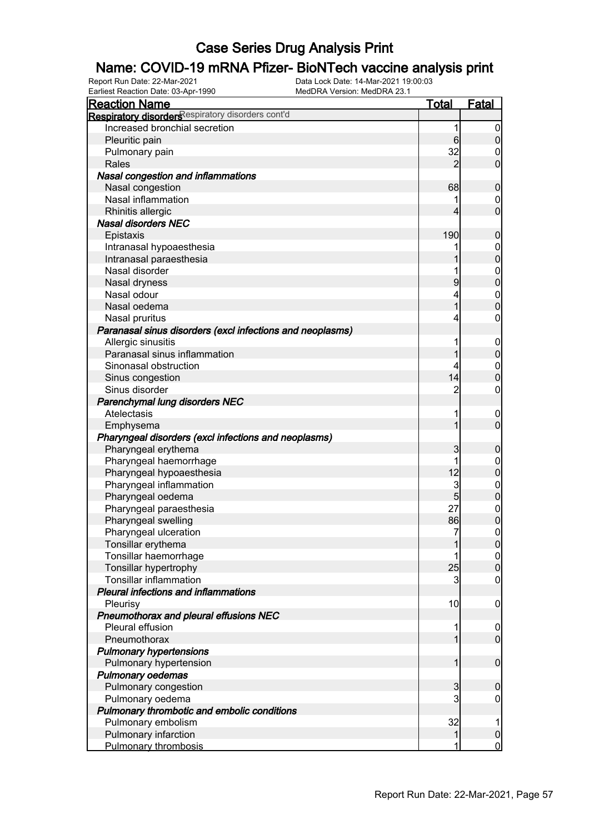#### Name: COVID-19 mRNA Pfizer- BioNTech vaccine analysis print

| wasan Daw oo npi<br><b>Reaction Name</b>                  | <u>Total</u>   | Fatal                           |
|-----------------------------------------------------------|----------------|---------------------------------|
| Respiratory disorders espiratory disorders cont'd         |                |                                 |
| Increased bronchial secretion                             |                | $\boldsymbol{0}$                |
| Pleuritic pain                                            | 6              | $\overline{0}$                  |
| Pulmonary pain                                            | 32             | 0                               |
| Rales                                                     | 2              | $\mathbf 0$                     |
| Nasal congestion and inflammations                        |                |                                 |
| Nasal congestion                                          | 68             | $\boldsymbol{0}$                |
| Nasal inflammation                                        |                | 0                               |
| Rhinitis allergic                                         |                | $\overline{0}$                  |
| <b>Nasal disorders NEC</b>                                |                |                                 |
| Epistaxis                                                 | 190            | $\boldsymbol{0}$                |
| Intranasal hypoaesthesia                                  |                | $\boldsymbol{0}$                |
| Intranasal paraesthesia                                   |                | $\overline{0}$                  |
| Nasal disorder                                            |                | $\boldsymbol{0}$                |
| Nasal dryness                                             | 9              | $\overline{0}$                  |
| Nasal odour                                               |                |                                 |
| Nasal oedema                                              |                | $\boldsymbol{0}$<br>$\mathbf 0$ |
|                                                           |                |                                 |
| Nasal pruritus                                            |                | 0                               |
| Paranasal sinus disorders (excl infections and neoplasms) |                |                                 |
| Allergic sinusitis                                        |                | $\mathbf 0$                     |
| Paranasal sinus inflammation                              |                | $\pmb{0}$                       |
| Sinonasal obstruction                                     |                | $\boldsymbol{0}$                |
| Sinus congestion                                          | 14             | $\mathbf 0$                     |
| Sinus disorder                                            | 2              | 0                               |
| Parenchymal lung disorders NEC                            |                |                                 |
| Atelectasis                                               |                | $\mathbf 0$                     |
| Emphysema                                                 |                | $\mathbf 0$                     |
| Pharyngeal disorders (excl infections and neoplasms)      |                |                                 |
| Pharyngeal erythema                                       | 3              | $\boldsymbol{0}$                |
| Pharyngeal haemorrhage                                    |                | $\mathbf 0$                     |
| Pharyngeal hypoaesthesia                                  | 12             | $\boldsymbol{0}$                |
| Pharyngeal inflammation                                   | 3              | $\boldsymbol{0}$                |
| Pharyngeal oedema                                         | $\overline{5}$ | $\overline{0}$                  |
| Pharyngeal paraesthesia                                   | 27             | $\boldsymbol{0}$                |
| Pharyngeal swelling                                       | 86             | $\overline{0}$                  |
| Pharyngeal ulceration                                     | 7              | $\mathbf 0$                     |
| Tonsillar erythema                                        | 1              | 0                               |
| Tonsillar haemorrhage                                     |                | $\overline{0}$                  |
| Tonsillar hypertrophy                                     | 25             | $\mathbf 0$                     |
| <b>Tonsillar inflammation</b>                             | 3              | $\mathbf 0$                     |
| <b>Pleural infections and inflammations</b>               |                |                                 |
| Pleurisy                                                  | 10             | $\mathbf 0$                     |
| Pneumothorax and pleural effusions NEC                    |                |                                 |
| Pleural effusion                                          |                | $\overline{0}$                  |
| Pneumothorax                                              |                | $\mathbf 0$                     |
| <b>Pulmonary hypertensions</b>                            |                |                                 |
| Pulmonary hypertension                                    | 1              | $\mathbf 0$                     |
| <b>Pulmonary oedemas</b>                                  |                |                                 |
| Pulmonary congestion                                      | 3              | $\boldsymbol{0}$                |
| Pulmonary oedema                                          | 3              | 0                               |
| Pulmonary thrombotic and embolic conditions               |                |                                 |
| Pulmonary embolism                                        | 32             |                                 |
| Pulmonary infarction                                      | 1              | $\mathbf 0$                     |
| <b>Pulmonary thrombosis</b>                               |                | $\mathbf 0$                     |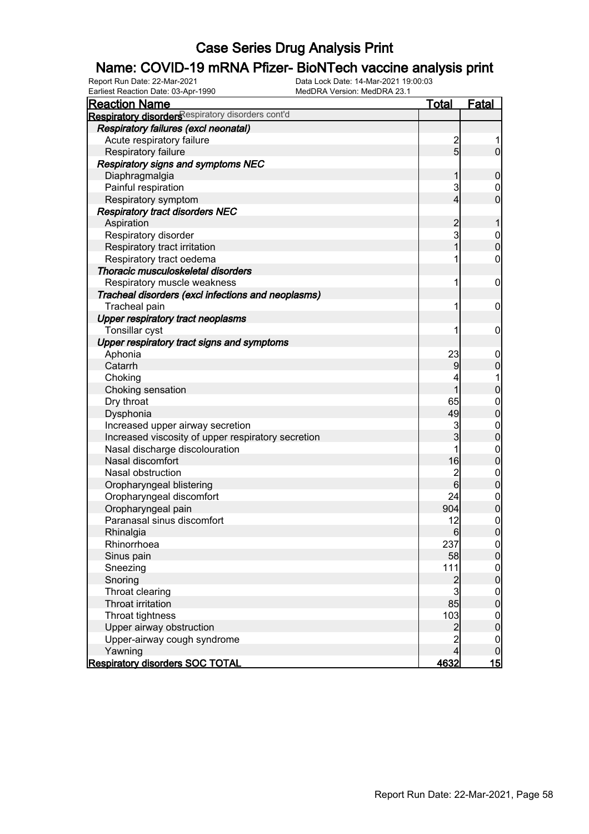# **Name: COVID-19 mRNA Pfizer- BioNTech vaccine analysis print**<br>Report Run Date: 22-Mar-2021

| <b>Reaction Name</b>                               | <u>Total</u>   | Fatal                                |
|----------------------------------------------------|----------------|--------------------------------------|
| Respiratory disorders espiratory disorders cont'd  |                |                                      |
| Respiratory failures (excl neonatal)               |                |                                      |
| Acute respiratory failure                          |                |                                      |
| Respiratory failure                                | $\frac{2}{5}$  | $\overline{0}$                       |
| Respiratory signs and symptoms NEC                 |                |                                      |
| Diaphragmalgia                                     | 1              | $\boldsymbol{0}$                     |
| Painful respiration                                | 3              | 0                                    |
| Respiratory symptom                                | $\overline{4}$ | $\overline{0}$                       |
| <b>Respiratory tract disorders NEC</b>             |                |                                      |
| Aspiration                                         | $\overline{c}$ | 1                                    |
| Respiratory disorder                               | 3              | $\boldsymbol{0}$                     |
| Respiratory tract irritation                       | 1              | $\mathbf 0$                          |
| Respiratory tract oedema                           |                | $\boldsymbol{0}$                     |
| Thoracic musculoskeletal disorders                 |                |                                      |
| Respiratory muscle weakness                        | 1              | $\mathbf 0$                          |
| Tracheal disorders (excl infections and neoplasms) |                |                                      |
| Tracheal pain                                      | 1              | $\mathbf 0$                          |
| <b>Upper respiratory tract neoplasms</b>           |                |                                      |
| Tonsillar cyst                                     | 1              | $\mathbf 0$                          |
| Upper respiratory tract signs and symptoms         |                |                                      |
| Aphonia                                            | 23             | $\mathbf 0$                          |
| Catarrh                                            | 9              | $\boldsymbol{0}$                     |
| Choking                                            |                |                                      |
| Choking sensation                                  | 1              | $\mathbf 0$                          |
| Dry throat                                         | 65             | $\boldsymbol{0}$                     |
| Dysphonia                                          | 49             | $\mathbf 0$                          |
| Increased upper airway secretion                   | 3              | $\boldsymbol{0}$                     |
| Increased viscosity of upper respiratory secretion | $\overline{3}$ | $\mathbf 0$                          |
| Nasal discharge discolouration                     | 1              | $\boldsymbol{0}$                     |
| Nasal discomfort                                   | 16             | $\mathbf 0$                          |
| Nasal obstruction                                  | $\overline{c}$ | $\boldsymbol{0}$                     |
| Oropharyngeal blistering                           | 6              | $\mathbf 0$                          |
| Oropharyngeal discomfort                           | 24             | $\boldsymbol{0}$                     |
| Oropharyngeal pain                                 | 904            | $\mathbf 0$                          |
| Paranasal sinus discomfort                         | 12             | $\mathbf 0$                          |
| Rhinalgia                                          | $6 \mid$       | $\overline{0}$                       |
| Rhinorrhoea                                        | 237            | 0                                    |
| Sinus pain                                         | 58             | 0                                    |
| Sneezing                                           | 111            |                                      |
| Snoring                                            | $\overline{c}$ | $\begin{matrix} 0 \\ 0 \end{matrix}$ |
| Throat clearing                                    | $\overline{3}$ | $\boldsymbol{0}$                     |
| Throat irritation                                  | 85             | $\mathbf 0$                          |
| Throat tightness                                   | 103            | $\boldsymbol{0}$                     |
| Upper airway obstruction                           | $\overline{c}$ | $\mathbf 0$                          |
| Upper-airway cough syndrome                        | $\overline{c}$ |                                      |
| Yawning                                            | $\overline{4}$ | $\overline{0}$<br>$\boldsymbol{0}$   |
| Respiratory disorders SOC TOTAL                    | 4632           | <u> 15</u>                           |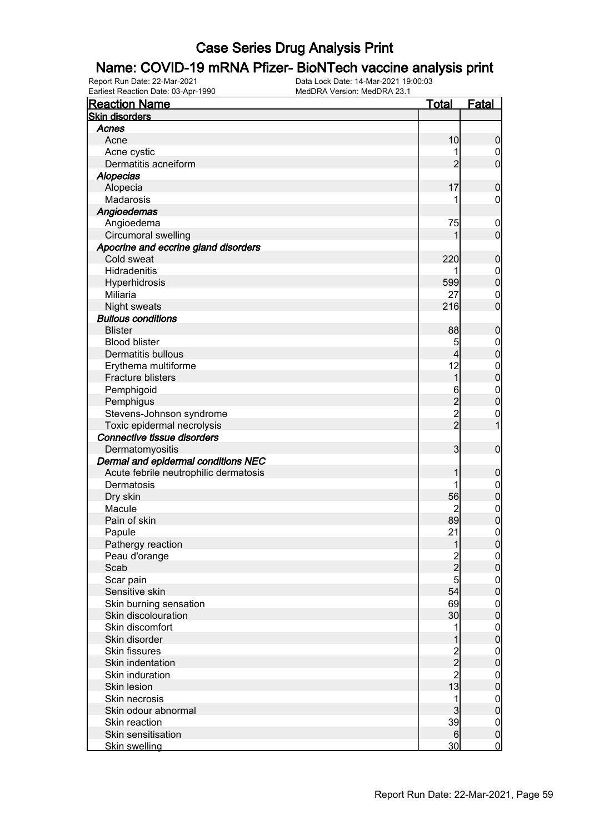#### Name: COVID-19 mRNA Pfizer- BioNTech vaccine analysis print

| <b>Reaction Name</b>                     | <b>Total</b>                                            | <b>Fatal</b>                         |
|------------------------------------------|---------------------------------------------------------|--------------------------------------|
| <b>Skin disorders</b>                    |                                                         |                                      |
| Acnes                                    |                                                         |                                      |
| Acne                                     | 10                                                      | $\boldsymbol{0}$                     |
| Acne cystic                              |                                                         | $\boldsymbol{0}$                     |
| Dermatitis acneiform                     | $\overline{2}$                                          | $\mathbf 0$                          |
| <b>Alopecias</b>                         |                                                         |                                      |
| Alopecia                                 | 17                                                      | $\mathbf 0$                          |
| Madarosis                                |                                                         | $\mathbf 0$                          |
| Angioedemas                              |                                                         |                                      |
| Angioedema                               | 75                                                      | $\mathbf 0$                          |
| Circumoral swelling                      |                                                         | $\mathbf 0$                          |
| Apocrine and eccrine gland disorders     |                                                         |                                      |
| Cold sweat                               | 220                                                     | $\mathbf 0$                          |
| Hidradenitis                             |                                                         | $\mathbf 0$                          |
| Hyperhidrosis                            | 599                                                     | $\pmb{0}$                            |
| Miliaria                                 | 27                                                      | $\mathbf 0$                          |
| <b>Night sweats</b>                      | 216                                                     | $\overline{0}$                       |
| <b>Bullous conditions</b>                |                                                         |                                      |
| <b>Blister</b>                           | 88                                                      | $\mathbf 0$                          |
| <b>Blood blister</b>                     | 5                                                       | $\mathbf 0$                          |
| Dermatitis bullous                       | $\overline{4}$                                          | $\mathbf 0$                          |
|                                          | 12                                                      |                                      |
| Erythema multiforme<br>Fracture blisters | $\mathbf{1}$                                            | $\boldsymbol{0}$<br>$\mathbf 0$      |
|                                          |                                                         |                                      |
| Pemphigoid                               | 6<br>2<br>2<br>2                                        | $\boldsymbol{0}$                     |
| Pemphigus                                |                                                         | $\overline{0}$                       |
| Stevens-Johnson syndrome                 |                                                         | $\mathbf 0$                          |
| Toxic epidermal necrolysis               |                                                         | 1                                    |
| Connective tissue disorders              |                                                         |                                      |
| Dermatomyositis                          | 3                                                       | $\boldsymbol{0}$                     |
| Dermal and epidermal conditions NEC      |                                                         |                                      |
| Acute febrile neutrophilic dermatosis    | 1                                                       | $\mathbf 0$                          |
| Dermatosis                               |                                                         | $\mathbf 0$                          |
| Dry skin                                 | 56                                                      | $\boldsymbol{0}$                     |
| Macule                                   | 2                                                       | $\boldsymbol{0}$                     |
| Pain of skin                             | 89                                                      | $\overline{0}$                       |
| Papule                                   | 21                                                      | $\pmb{0}$                            |
| Pathergy reaction                        | $\mathbf{1}$                                            | 0                                    |
| Peau d'orange                            |                                                         | $\overline{0}$                       |
| Scab                                     | $\begin{array}{c}\n2 \\ 2 \\ 5\n\end{array}$            | $\mathbf 0$                          |
| Scar pain                                |                                                         | $\begin{matrix} 0 \\ 0 \end{matrix}$ |
| Sensitive skin                           | 54                                                      |                                      |
| Skin burning sensation                   | 69                                                      | $\boldsymbol{0}$                     |
| Skin discolouration                      | 30                                                      | $\overline{0}$                       |
| Skin discomfort                          | 1                                                       | $0\atop 0$                           |
| Skin disorder                            |                                                         |                                      |
| Skin fissures                            |                                                         | $0\atop 0$                           |
| Skin indentation                         |                                                         |                                      |
| Skin induration                          | $\begin{array}{c}\n 2 \\  2 \\  2 \\  13\n \end{array}$ | $\boldsymbol{0}$                     |
| Skin lesion                              |                                                         | $\overline{0}$                       |
| Skin necrosis                            | 1                                                       | $\boldsymbol{0}$                     |
| Skin odour abnormal                      | 3                                                       | $\overline{0}$                       |
| Skin reaction                            | 39                                                      | $\boldsymbol{0}$                     |
| Skin sensitisation                       | $6 \,$                                                  | $\mathbf 0$                          |
| <b>Skin swelling</b>                     | 30                                                      | $\overline{0}$                       |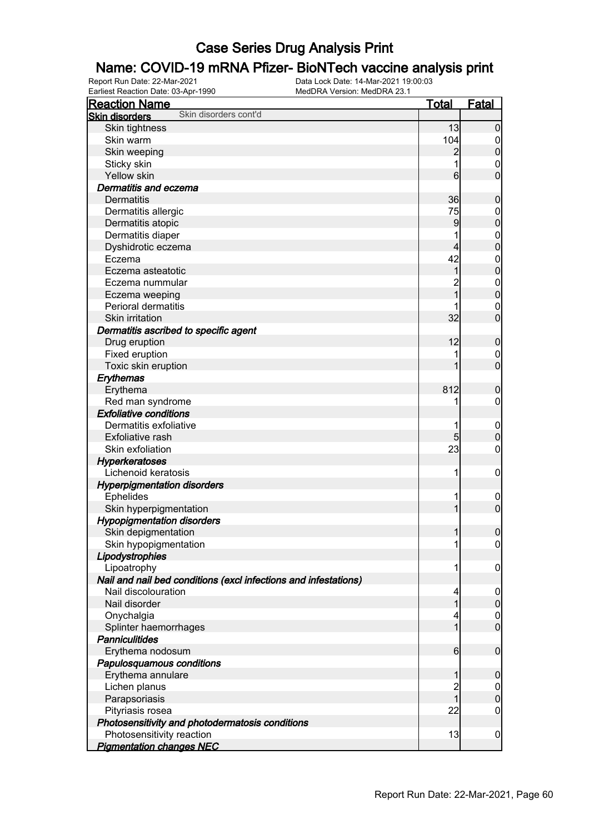## **Name: COVID-19 mRNA Pfizer- BioNTech vaccine analysis print**<br>Report Run Date: 22-Mar-2021

Earliest Reaction Date: 03-Apr-1990

| <b>Reaction Name</b>                                            | <u>Total</u>     | <b>Fatal</b>     |
|-----------------------------------------------------------------|------------------|------------------|
| Skin disorders cont'd<br><b>Skin disorders</b>                  |                  |                  |
| Skin tightness                                                  | 13               | $\mathbf 0$      |
| Skin warm                                                       | 104              | $\overline{0}$   |
| Skin weeping                                                    | $\overline{2}$   | $\pmb{0}$        |
| Sticky skin                                                     |                  | $\mathbf 0$      |
| Yellow skin                                                     | $6 \overline{}$  | $\mathbf 0$      |
| Dermatitis and eczema                                           |                  |                  |
| <b>Dermatitis</b>                                               | 36               | $\mathbf 0$      |
| Dermatitis allergic                                             | 75               | $\boldsymbol{0}$ |
| Dermatitis atopic                                               | 9                | $\mathbf 0$      |
| Dermatitis diaper                                               |                  | $\mathbf{0}$     |
| Dyshidrotic eczema                                              | 4                | $\overline{0}$   |
| Eczema                                                          | 42               | $\mathbf{0}$     |
| Eczema asteatotic                                               | 1                | $\overline{0}$   |
| Eczema nummular                                                 | $\overline{c}$   | $\mathbf{0}$     |
| Eczema weeping                                                  | $\overline{1}$   | $\mathbf 0$      |
| Perioral dermatitis                                             |                  | $\mathbf 0$      |
| <b>Skin irritation</b>                                          | 32               | $\overline{0}$   |
| Dermatitis ascribed to specific agent                           |                  |                  |
| Drug eruption                                                   | 12               | $\mathbf 0$      |
| Fixed eruption                                                  |                  | $\mathbf 0$      |
| Toxic skin eruption                                             |                  | $\overline{0}$   |
| Erythemas                                                       |                  |                  |
| Erythema                                                        | 812              | $\mathbf 0$      |
| Red man syndrome                                                |                  | $\boldsymbol{0}$ |
| <b>Exfoliative conditions</b>                                   |                  |                  |
| Dermatitis exfoliative                                          | 1                | $\mathbf 0$      |
| Exfoliative rash                                                | 5                | $\pmb{0}$        |
| Skin exfoliation                                                | 23               | 0                |
| <b>Hyperkeratoses</b>                                           |                  |                  |
| Lichenoid keratosis                                             | 1                | $\mathbf 0$      |
| <b>Hyperpigmentation disorders</b>                              |                  |                  |
| <b>Ephelides</b>                                                | 1                | $\mathbf 0$      |
| Skin hyperpigmentation                                          | 1                | $\overline{0}$   |
| <b>Hypopigmentation disorders</b>                               |                  |                  |
| Skin depigmentation                                             | $\mathbf{1}$     | $\boldsymbol{0}$ |
| Skin hypopigmentation                                           | 1                | 0                |
| Lipodystrophies                                                 |                  |                  |
| Lipoatrophy                                                     | 1                | $\overline{0}$   |
| Nail and nail bed conditions (excl infections and infestations) |                  |                  |
| Nail discolouration                                             | 4                | $\mathbf 0$      |
| Nail disorder                                                   | 1                | $\pmb{0}$        |
| Onychalgia                                                      | 4                | $\overline{0}$   |
| Splinter haemorrhages                                           | 1                | $\overline{0}$   |
| <b>Panniculitides</b>                                           |                  |                  |
| Erythema nodosum                                                | $6 \overline{6}$ | $\boldsymbol{0}$ |
| Papulosquamous conditions                                       |                  |                  |
| Erythema annulare                                               | 1                | $\boldsymbol{0}$ |
| Lichen planus                                                   | $\overline{c}$   | $\overline{0}$   |
| Parapsoriasis                                                   | $\overline{1}$   | $\mathbf 0$      |
| Pityriasis rosea                                                | 22               | $\mathbf 0$      |
| Photosensitivity and photodermatosis conditions                 |                  |                  |
| Photosensitivity reaction                                       | 13               | $\mathbf 0$      |
| <b>Pigmentation changes NEC</b>                                 |                  |                  |
|                                                                 |                  |                  |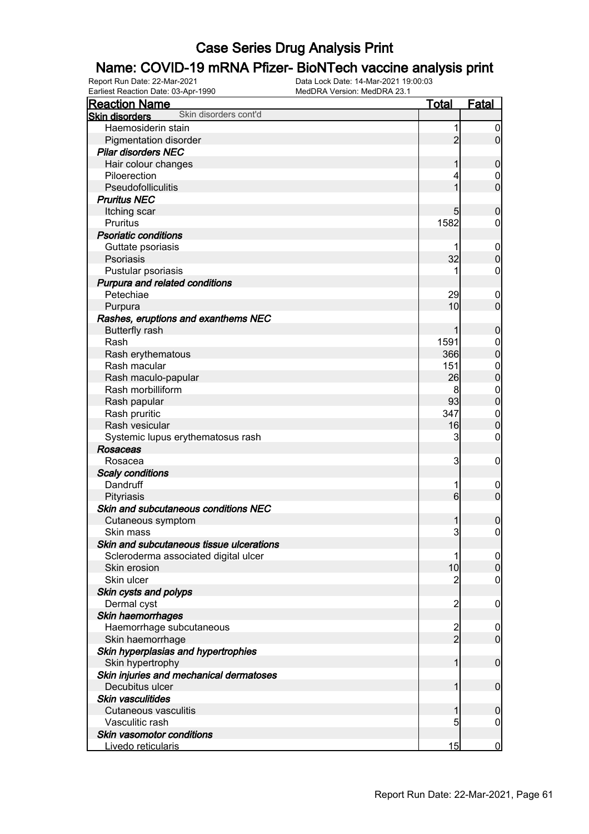# **Name: COVID-19 mRNA Pfizer- BioNTech vaccine analysis print**<br>Report Run Date: 22-Mar-2021

| <b>Reaction Name</b>                           | <u>Total</u>            | Fatal                      |
|------------------------------------------------|-------------------------|----------------------------|
| Skin disorders cont'd<br><b>Skin disorders</b> |                         |                            |
| Haemosiderin stain                             |                         | $\boldsymbol{0}$           |
| Pigmentation disorder                          | $\overline{2}$          | $\overline{0}$             |
| <b>Pilar disorders NEC</b>                     |                         |                            |
| Hair colour changes                            |                         | $\boldsymbol{0}$           |
| Piloerection                                   |                         | $\mathbf 0$                |
| Pseudofolliculitis                             |                         | $\mathbf 0$                |
| <b>Pruritus NEC</b>                            |                         |                            |
| Itching scar                                   | 5                       | $\boldsymbol{0}$           |
| Pruritus                                       | 1582                    | 0                          |
| <b>Psoriatic conditions</b>                    |                         |                            |
| Guttate psoriasis                              |                         |                            |
| Psoriasis                                      | 32                      | $\mathbf 0$<br>$\mathbf 0$ |
|                                                |                         |                            |
| Pustular psoriasis                             |                         | 0                          |
| Purpura and related conditions                 |                         |                            |
| Petechiae                                      | 29                      | $\boldsymbol{0}$           |
| Purpura                                        | 10                      | $\mathbf 0$                |
| Rashes, eruptions and exanthems NEC            |                         |                            |
| <b>Butterfly rash</b>                          |                         | $\boldsymbol{0}$           |
| Rash                                           | 1591                    | $\mathbf 0$                |
| Rash erythematous                              | 366                     | $\mathbf 0$                |
| Rash macular                                   | 151                     | $\boldsymbol{0}$           |
| Rash maculo-papular                            | 26                      | $\pmb{0}$                  |
| Rash morbilliform                              | 8                       | $\mathbf 0$                |
| Rash papular                                   | 93                      | $\pmb{0}$                  |
| Rash pruritic                                  | 347                     | $\mathbf 0$                |
| Rash vesicular                                 | 16                      | $\mathbf 0$                |
| Systemic lupus erythematosus rash              | 3                       | $\mathbf 0$                |
| <b>Rosaceas</b>                                |                         |                            |
| Rosacea                                        | 3                       | $\mathbf 0$                |
| <b>Scaly conditions</b>                        |                         |                            |
| Dandruff                                       |                         | $\boldsymbol{0}$           |
| Pityriasis                                     | $6 \overline{}$         | $\overline{0}$             |
| Skin and subcutaneous conditions NEC           |                         |                            |
| Cutaneous symptom                              |                         | $\boldsymbol{0}$           |
| Skin mass                                      | 3                       | $\mathbf 0$                |
| Skin and subcutaneous tissue ulcerations       |                         |                            |
| Scleroderma associated digital ulcer           |                         | $\overline{0}$             |
| Skin erosion                                   | 10                      | $\overline{0}$             |
| Skin ulcer                                     | 2                       | 0                          |
| Skin cysts and polyps                          |                         |                            |
| Dermal cyst                                    | $\overline{\mathbf{c}}$ | $\mathbf 0$                |
| Skin haemorrhages                              |                         |                            |
| Haemorrhage subcutaneous                       | $\overline{\mathbf{c}}$ | $\overline{0}$             |
| Skin haemorrhage                               | $\overline{2}$          | $\mathbf 0$                |
| Skin hyperplasias and hypertrophies            |                         |                            |
| Skin hypertrophy                               |                         | $\mathbf 0$                |
| Skin injuries and mechanical dermatoses        |                         |                            |
| Decubitus ulcer                                |                         | $\mathbf 0$                |
| <b>Skin vasculitides</b>                       |                         |                            |
| <b>Cutaneous vasculitis</b>                    |                         | $\boldsymbol{0}$           |
| Vasculitic rash                                | 5                       | $\mathbf 0$                |
| Skin vasomotor conditions                      |                         |                            |
| Livedo reticularis                             | 15                      | $\overline{0}$             |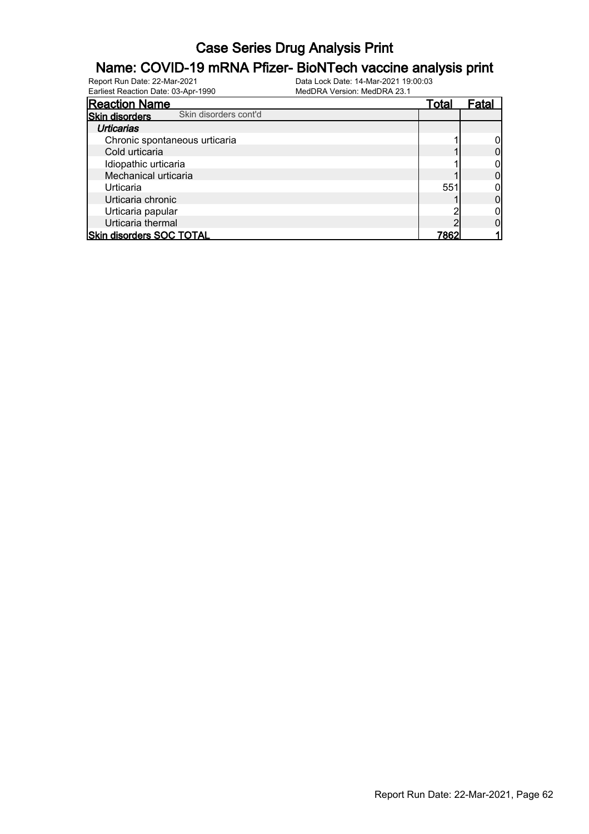#### Name: COVID-19 mRNA Pfizer- BioNTech vaccine analysis print

| <b>Reaction Name</b>                           | <u>Total</u> | <b>Fatal</b> |
|------------------------------------------------|--------------|--------------|
| Skin disorders cont'd<br><b>Skin disorders</b> |              |              |
| <b>Urticarias</b>                              |              |              |
| Chronic spontaneous urticaria                  |              |              |
| Cold urticaria                                 |              |              |
| Idiopathic urticaria                           |              |              |
| Mechanical urticaria                           |              |              |
| Urticaria                                      | 551          |              |
| Urticaria chronic                              |              |              |
| Urticaria papular                              |              |              |
| Urticaria thermal                              |              |              |
| <b>Skin disorders SOC TOTAL</b>                | 7862         |              |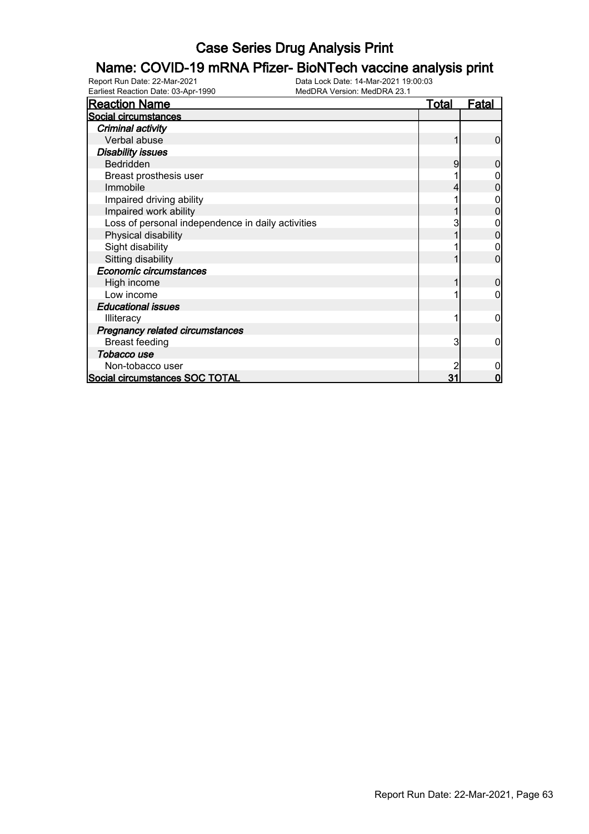## **Name: COVID-19 mRNA Pfizer- BioNTech vaccine analysis print**<br>Report Run Date: 22-Mar-2021

Earliest Reaction Date: 03-Apr-1990

| <b>Reaction Name</b>                              | <u>Total</u> | Fatal |
|---------------------------------------------------|--------------|-------|
| Social circumstances                              |              |       |
| Criminal activity                                 |              |       |
| Verbal abuse                                      |              | 0     |
| <b>Disability issues</b>                          |              |       |
| Bedridden                                         | 9            | O     |
| Breast prosthesis user                            |              |       |
| Immobile                                          |              |       |
| Impaired driving ability                          |              |       |
| Impaired work ability                             |              |       |
| Loss of personal independence in daily activities |              |       |
| Physical disability                               |              |       |
| Sight disability                                  |              |       |
| Sitting disability                                |              |       |
| Economic circumstances                            |              |       |
| High income                                       |              | O     |
| Low income                                        |              |       |
| <b>Educational issues</b>                         |              |       |
| Illiteracy                                        |              | 0     |
| <b>Pregnancy related circumstances</b>            |              |       |
| <b>Breast feeding</b>                             | 3            | 0     |
| Tobacco use                                       |              |       |
| Non-tobacco user                                  |              |       |
| Social circumstances SOC TOTAL                    | 31           | ი     |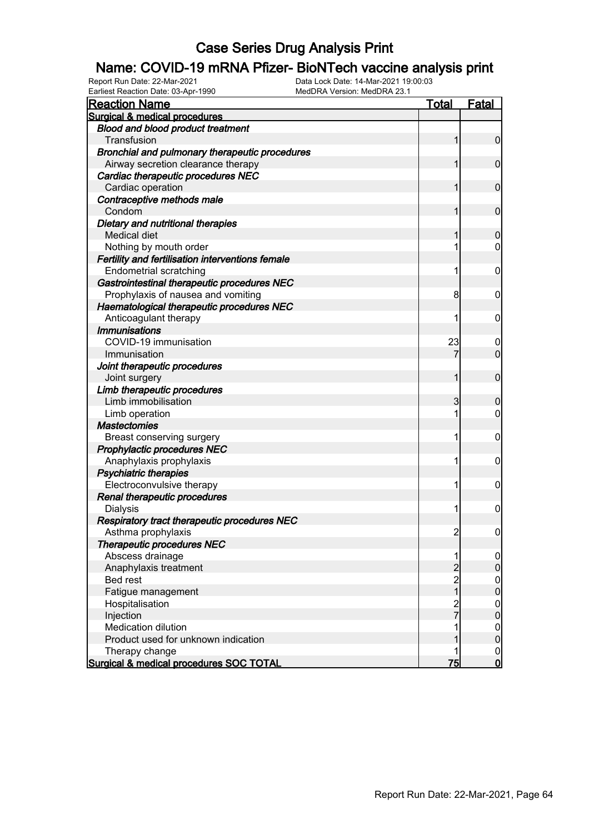## **Name: COVID-19 mRNA Pfizer- BioNTech vaccine analysis print**<br>Report Run Date: 22-Mar-2021

Earliest Reaction Date: 03-Apr-1990

| <b>Reaction Name</b>                             | <b>Total</b>                               | <b>Fatal</b>     |
|--------------------------------------------------|--------------------------------------------|------------------|
| Surgical & medical procedures                    |                                            |                  |
| <b>Blood and blood product treatment</b>         |                                            |                  |
| Transfusion                                      | 1                                          | $\mathbf 0$      |
| Bronchial and pulmonary therapeutic procedures   |                                            |                  |
| Airway secretion clearance therapy               | 1                                          | $\mathbf 0$      |
| Cardiac therapeutic procedures NEC               |                                            |                  |
| Cardiac operation                                | 1                                          | $\mathbf 0$      |
| Contraceptive methods male                       |                                            |                  |
| Condom                                           | 1                                          | $\mathbf 0$      |
| Dietary and nutritional therapies                |                                            |                  |
| Medical diet                                     | 1                                          | $\boldsymbol{0}$ |
| Nothing by mouth order                           | 1                                          | 0                |
| Fertility and fertilisation interventions female |                                            |                  |
| <b>Endometrial scratching</b>                    | 1                                          | $\mathbf 0$      |
| Gastrointestinal therapeutic procedures NEC      |                                            |                  |
| Prophylaxis of nausea and vomiting               | 8                                          | $\mathbf 0$      |
| Haematological therapeutic procedures NEC        |                                            |                  |
| Anticoagulant therapy                            | 1                                          | 0                |
| <b>Immunisations</b>                             |                                            |                  |
| COVID-19 immunisation                            | 23                                         | 0                |
| Immunisation                                     | 7                                          | $\mathbf 0$      |
| Joint therapeutic procedures                     |                                            |                  |
| Joint surgery                                    | 1                                          | $\mathbf 0$      |
| Limb therapeutic procedures                      |                                            |                  |
| Limb immobilisation                              | 3                                          | $\boldsymbol{0}$ |
| Limb operation                                   | 1                                          | $\mathbf 0$      |
| <b>Mastectomies</b>                              |                                            |                  |
| Breast conserving surgery                        | 1                                          | $\mathbf 0$      |
| <b>Prophylactic procedures NEC</b>               |                                            |                  |
| Anaphylaxis prophylaxis                          | 1                                          | $\mathbf 0$      |
| <b>Psychiatric therapies</b>                     |                                            |                  |
| Electroconvulsive therapy                        | 1                                          | $\mathbf 0$      |
| Renal therapeutic procedures                     |                                            |                  |
| <b>Dialysis</b>                                  | 1                                          | $\mathbf 0$      |
| Respiratory tract therapeutic procedures NEC     |                                            |                  |
| Asthma prophylaxis                               | $\overline{2}$                             | $\boldsymbol{0}$ |
| <b>Therapeutic procedures NEC</b>                |                                            |                  |
| Abscess drainage                                 | 1                                          | $\overline{0}$   |
| Anaphylaxis treatment                            |                                            | $\mathbf 0$      |
| <b>Bed rest</b>                                  | $\begin{array}{c} 2 \\ 2 \\ 1 \end{array}$ | $\mathbf 0$      |
| Fatigue management                               |                                            | $\overline{0}$   |
| Hospitalisation                                  | 2<br>7                                     | $\boldsymbol{0}$ |
| Injection                                        |                                            | $\overline{0}$   |
| Medication dilution                              |                                            | $\boldsymbol{0}$ |
| Product used for unknown indication              |                                            | $\mathbf 0$      |
| Therapy change                                   | 1                                          | $\boldsymbol{0}$ |
| Surgical & medical procedures SOC TOTAL          | 75                                         | $\mathsf{O}$     |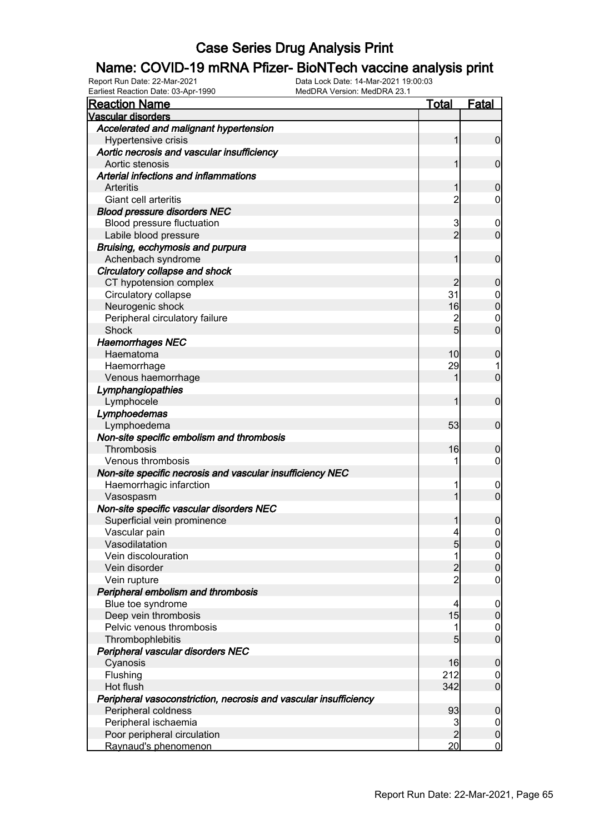#### Name: COVID-19 mRNA Pfizer- BioNTech vaccine analysis print

| <b>Reaction Name</b>                                             | <u>Total</u>    | <b>Fatal</b>                         |
|------------------------------------------------------------------|-----------------|--------------------------------------|
| <b>Vascular disorders</b>                                        |                 |                                      |
| Accelerated and malignant hypertension                           |                 |                                      |
| Hypertensive crisis                                              | $\mathbf{1}$    | $\mathbf 0$                          |
| Aortic necrosis and vascular insufficiency                       |                 |                                      |
| Aortic stenosis                                                  | $\mathbf{1}$    | $\mathbf 0$                          |
| Arterial infections and inflammations                            |                 |                                      |
| Arteritis                                                        | 1               | $\mathbf 0$                          |
| Giant cell arteritis                                             | $\overline{2}$  | $\mathbf 0$                          |
| <b>Blood pressure disorders NEC</b>                              |                 |                                      |
| Blood pressure fluctuation                                       | 3               | $\mathbf 0$                          |
| Labile blood pressure                                            | $\overline{2}$  | $\mathbf 0$                          |
| Bruising, ecchymosis and purpura                                 |                 |                                      |
| Achenbach syndrome                                               | 1               | $\mathbf 0$                          |
| Circulatory collapse and shock                                   |                 |                                      |
| CT hypotension complex                                           | 2               | $\mathbf 0$                          |
| Circulatory collapse                                             | 31              | $\boldsymbol{0}$                     |
| Neurogenic shock                                                 | 16              | $\overline{0}$                       |
| Peripheral circulatory failure                                   | $\overline{c}$  | $\mathbf 0$                          |
| Shock                                                            | $\overline{5}$  | $\overline{0}$                       |
| <b>Haemorrhages NEC</b>                                          |                 |                                      |
| Haematoma                                                        | 10              | $\mathbf 0$                          |
| Haemorrhage                                                      | 29              | 1                                    |
| Venous haemorrhage                                               | 1               | $\overline{0}$                       |
| Lymphangiopathies                                                |                 |                                      |
| Lymphocele                                                       | 1               | $\mathbf 0$                          |
| Lymphoedemas                                                     |                 |                                      |
| Lymphoedema                                                      | 53              | $\mathbf 0$                          |
| Non-site specific embolism and thrombosis                        |                 |                                      |
| Thrombosis                                                       | 16              | $\mathbf 0$                          |
| Venous thrombosis                                                | 1               | $\mathbf 0$                          |
| Non-site specific necrosis and vascular insufficiency NEC        |                 |                                      |
| Haemorrhagic infarction                                          | 1               | $\overline{0}$                       |
| Vasospasm                                                        | $\overline{1}$  | $\overline{0}$                       |
| Non-site specific vascular disorders NEC                         |                 |                                      |
| Superficial vein prominence                                      | 1               | 0                                    |
| Vascular pain                                                    | $\overline{4}$  | $\mathbf 0$                          |
| Vasodilatation                                                   | 5               | 0                                    |
| Vein discolouration                                              | 1               | $\overline{0}$                       |
| Vein disorder                                                    | $\overline{c}$  | $\mathbf 0$                          |
| Vein rupture                                                     | $\overline{2}$  | $\boldsymbol{0}$                     |
| Peripheral embolism and thrombosis                               |                 |                                      |
| Blue toe syndrome                                                | 4               | $\mathbf 0$                          |
| Deep vein thrombosis                                             | 15              | $\boldsymbol{0}$                     |
| Pelvic venous thrombosis                                         | 1               |                                      |
| Thrombophlebitis                                                 | $5\overline{)}$ | $\begin{matrix} 0 \\ 0 \end{matrix}$ |
| Peripheral vascular disorders NEC                                |                 |                                      |
| Cyanosis                                                         | 16              | $\boldsymbol{0}$                     |
| Flushing                                                         | 212             | $\mathbf 0$                          |
| Hot flush                                                        | 342             | $\overline{0}$                       |
| Peripheral vasoconstriction, necrosis and vascular insufficiency |                 |                                      |
| Peripheral coldness                                              | 93              | $\boldsymbol{0}$                     |
| Peripheral ischaemia                                             | 3               | $\mathbf 0$                          |
| Poor peripheral circulation                                      | $\overline{2}$  | $\pmb{0}$                            |
| Raynaud's phenomenon                                             | 20 <sup>1</sup> | $\overline{0}$                       |